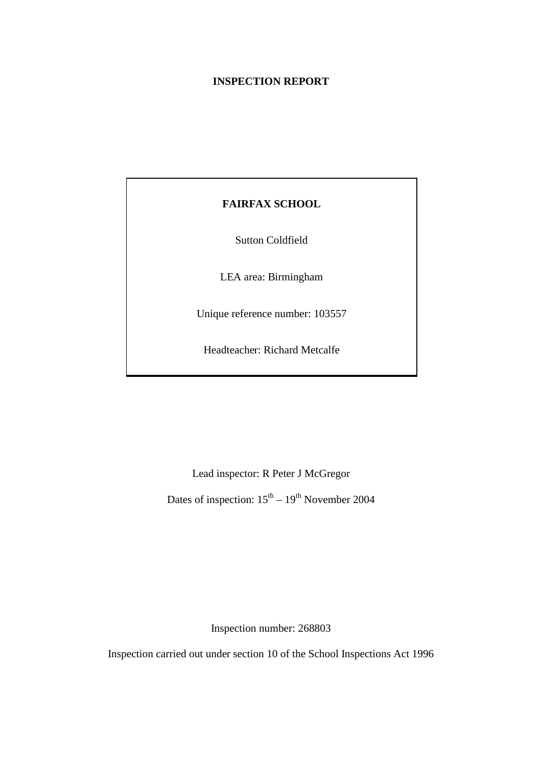## **INSPECTION REPORT**

## **FAIRFAX SCHOOL**

Sutton Coldfield

LEA area: Birmingham

Unique reference number: 103557

Headteacher: Richard Metcalfe

Lead inspector: R Peter J McGregor

Dates of inspection:  $15^{th} - 19^{th}$  November 2004

Inspection number: 268803

Inspection carried out under section 10 of the School Inspections Act 1996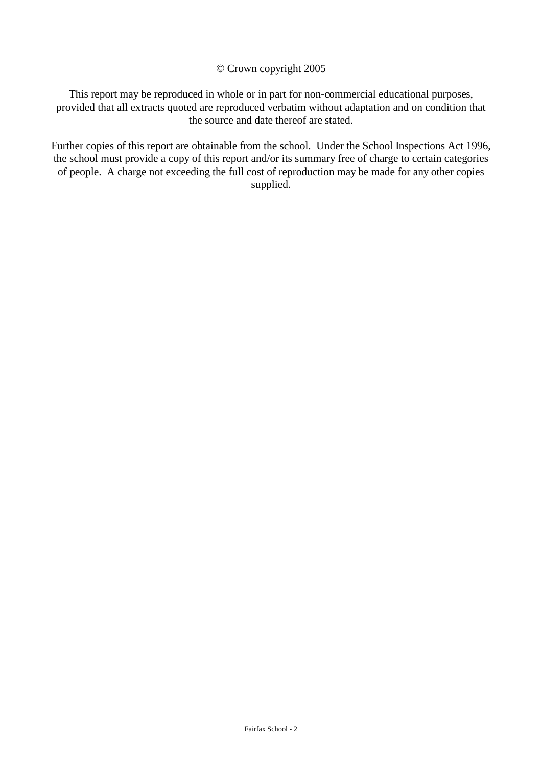## © Crown copyright 2005

This report may be reproduced in whole or in part for non-commercial educational purposes, provided that all extracts quoted are reproduced verbatim without adaptation and on condition that the source and date thereof are stated.

Further copies of this report are obtainable from the school. Under the School Inspections Act 1996, the school must provide a copy of this report and/or its summary free of charge to certain categories of people. A charge not exceeding the full cost of reproduction may be made for any other copies supplied.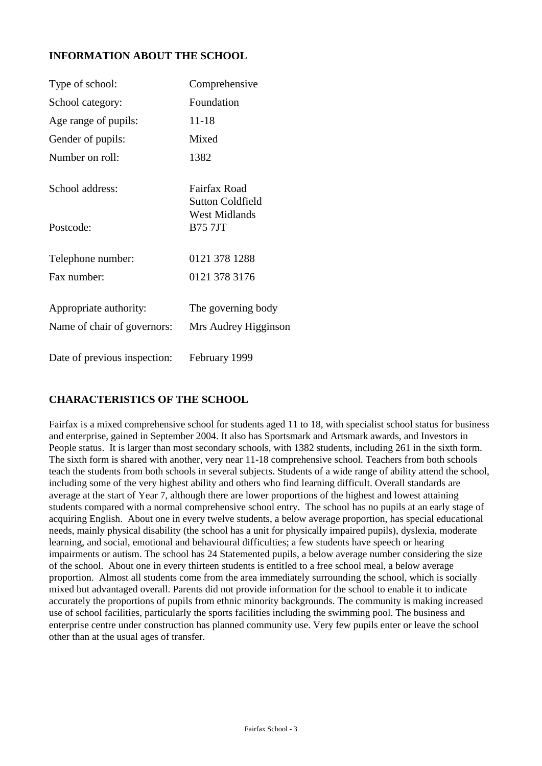## **INFORMATION ABOUT THE SCHOOL**

| Type of school:                                       | Comprehensive                              |
|-------------------------------------------------------|--------------------------------------------|
| School category:                                      | Foundation                                 |
| Age range of pupils:                                  | 11-18                                      |
| Gender of pupils:                                     | Mixed                                      |
| Number on roll:                                       | 1382                                       |
| School address:                                       | Fairfax Road<br><b>Sutton Coldfield</b>    |
| Postcode:                                             | <b>West Midlands</b><br><b>B75 7JT</b>     |
| Telephone number:                                     | 0121 378 1288                              |
| Fax number:                                           | 0121 378 3176                              |
| Appropriate authority:<br>Name of chair of governors: | The governing body<br>Mrs Audrey Higginson |
| Date of previous inspection:                          | February 1999                              |

## **CHARACTERISTICS OF THE SCHOOL**

Fairfax is a mixed comprehensive school for students aged 11 to 18, with specialist school status for business and enterprise, gained in September 2004. It also has Sportsmark and Artsmark awards, and Investors in People status. It is larger than most secondary schools, with 1382 students, including 261 in the sixth form. The sixth form is shared with another, very near 11-18 comprehensive school. Teachers from both schools teach the students from both schools in several subjects. Students of a wide range of ability attend the school, including some of the very highest ability and others who find learning difficult. Overall standards are average at the start of Year 7, although there are lower proportions of the highest and lowest attaining students compared with a normal comprehensive school entry. The school has no pupils at an early stage of acquiring English. About one in every twelve students, a below average proportion, has special educational needs, mainly physical disability (the school has a unit for physically impaired pupils), dyslexia, moderate learning, and social, emotional and behavioural difficulties; a few students have speech or hearing impairments or autism. The school has 24 Statemented pupils, a below average number considering the size of the school. About one in every thirteen students is entitled to a free school meal, a below average proportion. Almost all students come from the area immediately surrounding the school, which is socially mixed but advantaged overall. Parents did not provide information for the school to enable it to indicate accurately the proportions of pupils from ethnic minority backgrounds. The community is making increased use of school facilities, particularly the sports facilities including the swimming pool. The business and enterprise centre under construction has planned community use. Very few pupils enter or leave the school other than at the usual ages of transfer.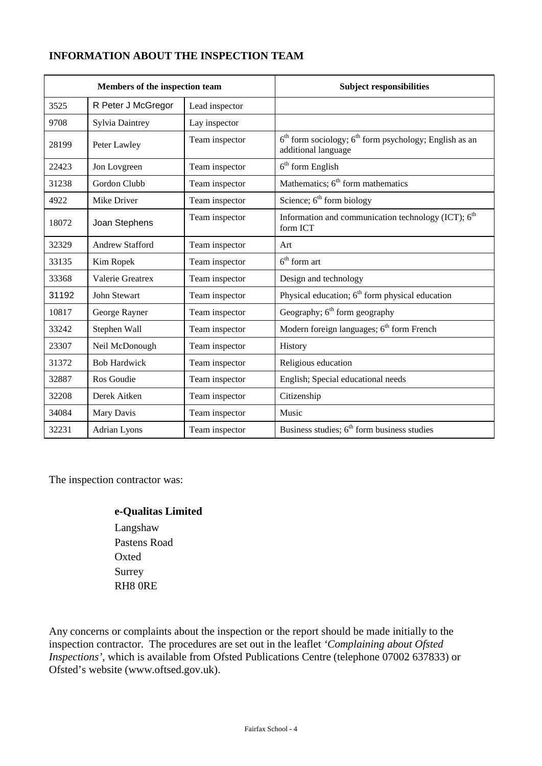## **INFORMATION ABOUT THE INSPECTION TEAM**

| Members of the inspection team |                        |                | <b>Subject responsibilities</b>                                                   |
|--------------------------------|------------------------|----------------|-----------------------------------------------------------------------------------|
| 3525                           | R Peter J McGregor     | Lead inspector |                                                                                   |
| 9708                           | Sylvia Daintrey        | Lay inspector  |                                                                                   |
| 28199                          | Peter Lawley           | Team inspector | $6th$ form sociology; $6th$ form psychology; English as an<br>additional language |
| 22423                          | Jon Lovgreen           | Team inspector | $6th$ form English                                                                |
| 31238                          | Gordon Clubb           | Team inspector | Mathematics; $6th$ form mathematics                                               |
| 4922                           | Mike Driver            | Team inspector | Science; $6th$ form biology                                                       |
| 18072                          | Joan Stephens          | Team inspector | Information and communication technology (ICT); $6th$<br>form ICT                 |
| 32329                          | <b>Andrew Stafford</b> | Team inspector | Art                                                                               |
| 33135                          | Kim Ropek              | Team inspector | $6th$ form art                                                                    |
| 33368                          | Valerie Greatrex       | Team inspector | Design and technology                                                             |
| 31192                          | John Stewart           | Team inspector | Physical education; $6th$ form physical education                                 |
| 10817                          | George Rayner          | Team inspector | Geography; $6th$ form geography                                                   |
| 33242                          | Stephen Wall           | Team inspector | Modern foreign languages; 6 <sup>th</sup> form French                             |
| 23307                          | Neil McDonough         | Team inspector | History                                                                           |
| 31372                          | <b>Bob Hardwick</b>    | Team inspector | Religious education                                                               |
| 32887                          | Ros Goudie             | Team inspector | English; Special educational needs                                                |
| 32208                          | Derek Aitken           | Team inspector | Citizenship                                                                       |
| 34084                          | Mary Davis             | Team inspector | Music                                                                             |
| 32231                          | Adrian Lyons           | Team inspector | Business studies; $6th$ form business studies                                     |

The inspection contractor was:

#### **e-Qualitas Limited**

Langshaw Pastens Road Oxted Surrey RH8 0RE

Any concerns or complaints about the inspection or the report should be made initially to the inspection contractor. The procedures are set out in the leaflet *'Complaining about Ofsted Inspections'*, which is available from Ofsted Publications Centre (telephone 07002 637833) or Ofsted's website (www.oftsed.gov.uk).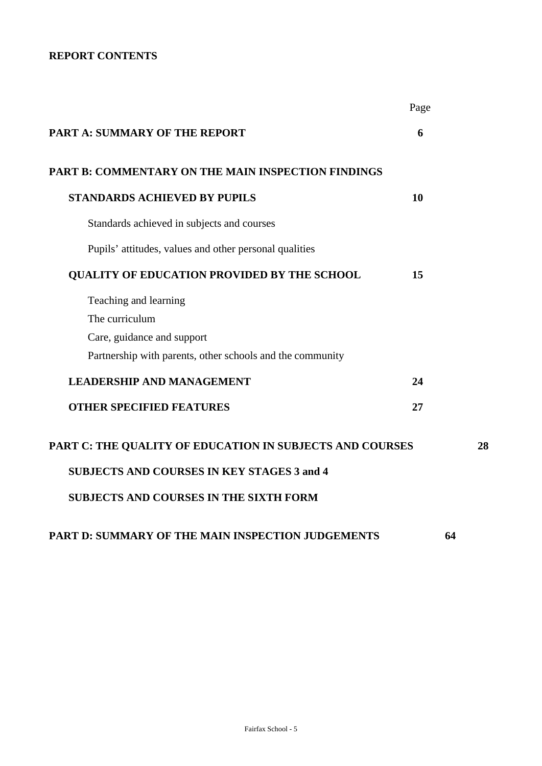## **REPORT CONTENTS**

|                                                           | Page |    |
|-----------------------------------------------------------|------|----|
| PART A: SUMMARY OF THE REPORT                             | 6    |    |
| <b>PART B: COMMENTARY ON THE MAIN INSPECTION FINDINGS</b> |      |    |
| <b>STANDARDS ACHIEVED BY PUPILS</b>                       | 10   |    |
| Standards achieved in subjects and courses                |      |    |
| Pupils' attitudes, values and other personal qualities    |      |    |
| <b>QUALITY OF EDUCATION PROVIDED BY THE SCHOOL</b>        | 15   |    |
| Teaching and learning                                     |      |    |
| The curriculum                                            |      |    |
| Care, guidance and support                                |      |    |
| Partnership with parents, other schools and the community |      |    |
| <b>LEADERSHIP AND MANAGEMENT</b>                          | 24   |    |
| <b>OTHER SPECIFIED FEATURES</b>                           | 27   |    |
| PART C: THE QUALITY OF EDUCATION IN SUBJECTS AND COURSES  |      | 28 |
| <b>SUBJECTS AND COURSES IN KEY STAGES 3 and 4</b>         |      |    |
| <b>SUBJECTS AND COURSES IN THE SIXTH FORM</b>             |      |    |
| PART D: SUMMARY OF THE MAIN INSPECTION JUDGEMENTS         | 64   |    |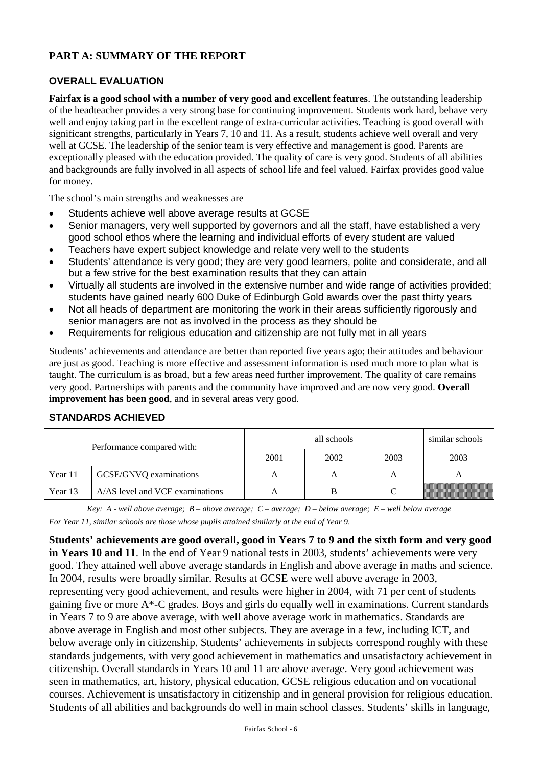## **PART A: SUMMARY OF THE REPORT**

## **OVERALL EVALUATION**

**Fairfax is a good school with a number of very good and excellent features**. The outstanding leadership of the headteacher provides a very strong base for continuing improvement. Students work hard, behave very well and enjoy taking part in the excellent range of extra-curricular activities. Teaching is good overall with significant strengths, particularly in Years 7, 10 and 11. As a result, students achieve well overall and very well at GCSE. The leadership of the senior team is very effective and management is good. Parents are exceptionally pleased with the education provided. The quality of care is very good. Students of all abilities and backgrounds are fully involved in all aspects of school life and feel valued. Fairfax provides good value for money.

The school's main strengths and weaknesses are

- Students achieve well above average results at GCSE
- Senior managers, very well supported by governors and all the staff, have established a very good school ethos where the learning and individual efforts of every student are valued
- Teachers have expert subject knowledge and relate very well to the students
- Students' attendance is very good; they are very good learners, polite and considerate, and all but a few strive for the best examination results that they can attain
- Virtually all students are involved in the extensive number and wide range of activities provided; students have gained nearly 600 Duke of Edinburgh Gold awards over the past thirty years
- Not all heads of department are monitoring the work in their areas sufficiently rigorously and senior managers are not as involved in the process as they should be
- Requirements for religious education and citizenship are not fully met in all years

Students' achievements and attendance are better than reported five years ago; their attitudes and behaviour are just as good. Teaching is more effective and assessment information is used much more to plan what is taught. The curriculum is as broad, but a few areas need further improvement. The quality of care remains very good. Partnerships with parents and the community have improved and are now very good. **Overall improvement has been good**, and in several areas very good.

| Performance compared with: |                                 |      | similar schools |      |      |
|----------------------------|---------------------------------|------|-----------------|------|------|
|                            |                                 | 2001 | 2002            | 2003 | 2003 |
| Year 11                    | GCSE/GNVQ examinations          | Α    | Α               |      |      |
| Year 13                    | A/AS level and VCE examinations | A    |                 |      |      |

#### **STANDARDS ACHIEVED**

*Key: A - well above average; B – above average; C – average; D – below average; E – well below average For Year 11, similar schools are those whose pupils attained similarly at the end of Year 9.*

**Students' achievements are good overall, good in Years 7 to 9 and the sixth form and very good in Years 10 and 11**. In the end of Year 9 national tests in 2003, students' achievements were very good. They attained well above average standards in English and above average in maths and science. In 2004, results were broadly similar. Results at GCSE were well above average in 2003, representing very good achievement, and results were higher in 2004, with 71 per cent of students gaining five or more A\*-C grades. Boys and girls do equally well in examinations. Current standards in Years 7 to 9 are above average, with well above average work in mathematics. Standards are above average in English and most other subjects. They are average in a few, including ICT, and below average only in citizenship. Students' achievements in subjects correspond roughly with these standards judgements, with very good achievement in mathematics and unsatisfactory achievement in citizenship. Overall standards in Years 10 and 11 are above average. Very good achievement was seen in mathematics, art, history, physical education, GCSE religious education and on vocational courses. Achievement is unsatisfactory in citizenship and in general provision for religious education. Students of all abilities and backgrounds do well in main school classes. Students' skills in language,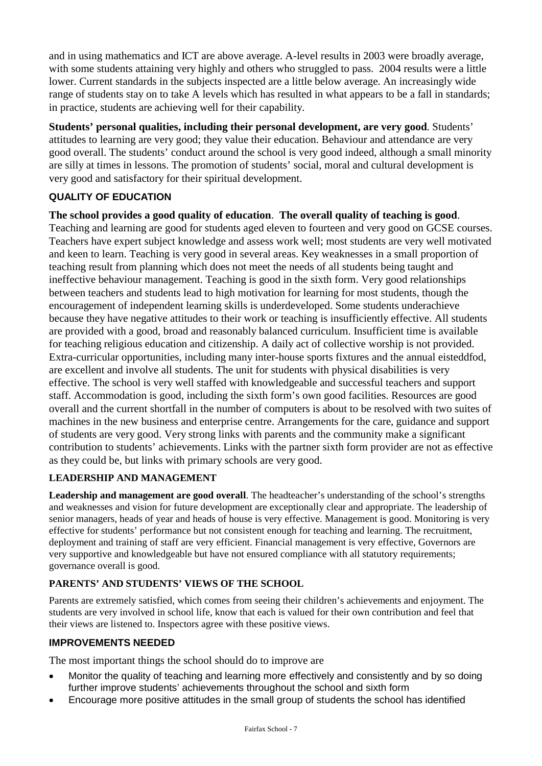and in using mathematics and ICT are above average. A-level results in 2003 were broadly average, with some students attaining very highly and others who struggled to pass. 2004 results were a little lower. Current standards in the subjects inspected are a little below average. An increasingly wide range of students stay on to take A levels which has resulted in what appears to be a fall in standards; in practice, students are achieving well for their capability.

**Students' personal qualities, including their personal development, are very good**. Students' attitudes to learning are very good; they value their education. Behaviour and attendance are very good overall. The students' conduct around the school is very good indeed, although a small minority are silly at times in lessons. The promotion of students' social, moral and cultural development is very good and satisfactory for their spiritual development.

# **QUALITY OF EDUCATION**

**The school provides a good quality of education**. **The overall quality of teaching is good**. Teaching and learning are good for students aged eleven to fourteen and very good on GCSE courses. Teachers have expert subject knowledge and assess work well; most students are very well motivated and keen to learn. Teaching is very good in several areas. Key weaknesses in a small proportion of teaching result from planning which does not meet the needs of all students being taught and ineffective behaviour management. Teaching is good in the sixth form. Very good relationships between teachers and students lead to high motivation for learning for most students, though the encouragement of independent learning skills is underdeveloped. Some students underachieve because they have negative attitudes to their work or teaching is insufficiently effective. All students are provided with a good, broad and reasonably balanced curriculum. Insufficient time is available for teaching religious education and citizenship. A daily act of collective worship is not provided. Extra-curricular opportunities, including many inter-house sports fixtures and the annual eisteddfod, are excellent and involve all students. The unit for students with physical disabilities is very effective. The school is very well staffed with knowledgeable and successful teachers and support staff. Accommodation is good, including the sixth form's own good facilities. Resources are good overall and the current shortfall in the number of computers is about to be resolved with two suites of machines in the new business and enterprise centre. Arrangements for the care, guidance and support of students are very good. Very strong links with parents and the community make a significant contribution to students' achievements. Links with the partner sixth form provider are not as effective as they could be, but links with primary schools are very good.

# **LEADERSHIP AND MANAGEMENT**

**Leadership and management are good overall**. The headteacher's understanding of the school's strengths and weaknesses and vision for future development are exceptionally clear and appropriate. The leadership of senior managers, heads of year and heads of house is very effective. Management is good. Monitoring is very effective for students' performance but not consistent enough for teaching and learning. The recruitment, deployment and training of staff are very efficient. Financial management is very effective, Governors are very supportive and knowledgeable but have not ensured compliance with all statutory requirements; governance overall is good.

## **PARENTS' AND STUDENTS' VIEWS OF THE SCHOOL**

Parents are extremely satisfied, which comes from seeing their children's achievements and enjoyment. The students are very involved in school life, know that each is valued for their own contribution and feel that their views are listened to. Inspectors agree with these positive views.

## **IMPROVEMENTS NEEDED**

The most important things the school should do to improve are

- Monitor the quality of teaching and learning more effectively and consistently and by so doing further improve students' achievements throughout the school and sixth form
- Encourage more positive attitudes in the small group of students the school has identified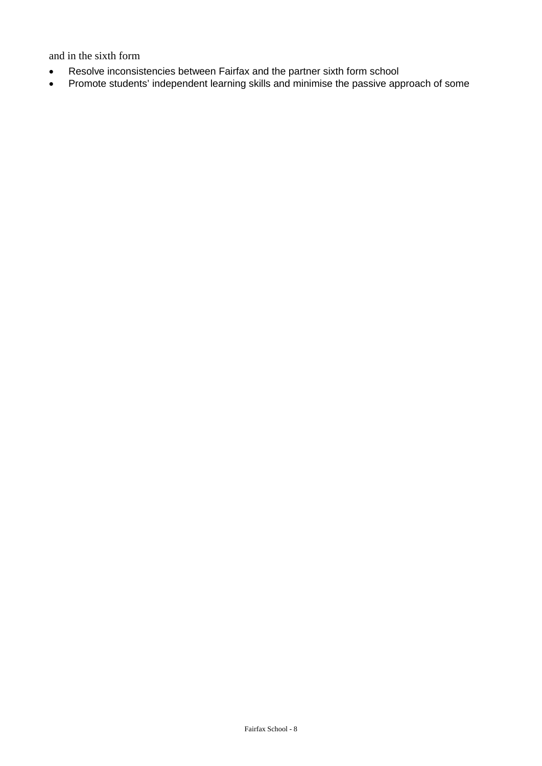and in the sixth form

- Resolve inconsistencies between Fairfax and the partner sixth form school
- Promote students' independent learning skills and minimise the passive approach of some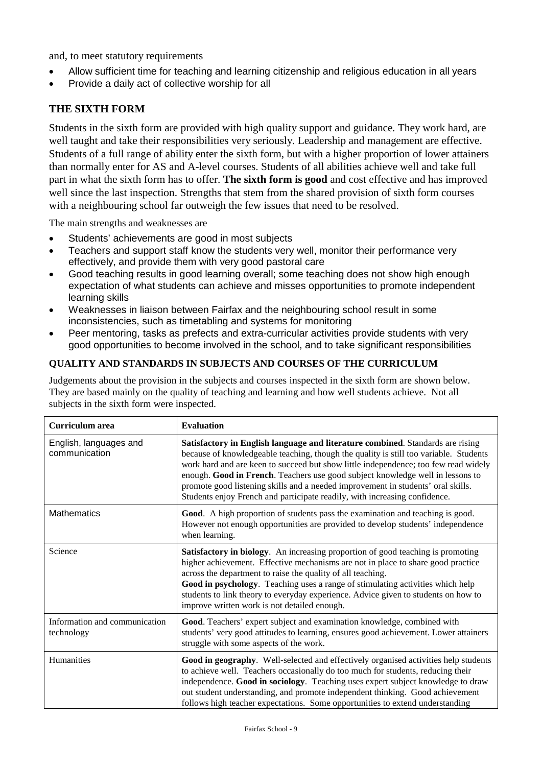and, to meet statutory requirements

- Allow sufficient time for teaching and learning citizenship and religious education in all years
- Provide a daily act of collective worship for all

## **THE SIXTH FORM**

Students in the sixth form are provided with high quality support and guidance. They work hard, are well taught and take their responsibilities very seriously. Leadership and management are effective. Students of a full range of ability enter the sixth form, but with a higher proportion of lower attainers than normally enter for AS and A-level courses. Students of all abilities achieve well and take full part in what the sixth form has to offer. **The sixth form is good** and cost effective and has improved well since the last inspection. Strengths that stem from the shared provision of sixth form courses with a neighbouring school far outweigh the few issues that need to be resolved.

The main strengths and weaknesses are

- Students' achievements are good in most subjects
- Teachers and support staff know the students very well, monitor their performance very effectively, and provide them with very good pastoral care
- Good teaching results in good learning overall; some teaching does not show high enough expectation of what students can achieve and misses opportunities to promote independent learning skills
- Weaknesses in liaison between Fairfax and the neighbouring school result in some inconsistencies, such as timetabling and systems for monitoring
- Peer mentoring, tasks as prefects and extra-curricular activities provide students with very good opportunities to become involved in the school, and to take significant responsibilities

#### **QUALITY AND STANDARDS IN SUBJECTS AND COURSES OF THE CURRICULUM**

Judgements about the provision in the subjects and courses inspected in the sixth form are shown below. They are based mainly on the quality of teaching and learning and how well students achieve. Not all subjects in the sixth form were inspected.

| Curriculum area                             | <b>Evaluation</b>                                                                                                                                                                                                                                                                                                                                                                                                                                                                                                  |
|---------------------------------------------|--------------------------------------------------------------------------------------------------------------------------------------------------------------------------------------------------------------------------------------------------------------------------------------------------------------------------------------------------------------------------------------------------------------------------------------------------------------------------------------------------------------------|
| English, languages and<br>communication     | Satisfactory in English language and literature combined. Standards are rising<br>because of knowledgeable teaching, though the quality is still too variable. Students<br>work hard and are keen to succeed but show little independence; too few read widely<br>enough. Good in French. Teachers use good subject knowledge well in lessons to<br>promote good listening skills and a needed improvement in students' oral skills.<br>Students enjoy French and participate readily, with increasing confidence. |
| <b>Mathematics</b>                          | Good. A high proportion of students pass the examination and teaching is good.<br>However not enough opportunities are provided to develop students' independence<br>when learning.                                                                                                                                                                                                                                                                                                                                |
| Science                                     | Satisfactory in biology. An increasing proportion of good teaching is promoting<br>higher achievement. Effective mechanisms are not in place to share good practice<br>across the department to raise the quality of all teaching.<br>Good in psychology. Teaching uses a range of stimulating activities which help<br>students to link theory to everyday experience. Advice given to students on how to<br>improve written work is not detailed enough.                                                         |
| Information and communication<br>technology | Good. Teachers' expert subject and examination knowledge, combined with<br>students' very good attitudes to learning, ensures good achievement. Lower attainers<br>struggle with some aspects of the work.                                                                                                                                                                                                                                                                                                         |
| Humanities                                  | Good in geography. Well-selected and effectively organised activities help students<br>to achieve well. Teachers occasionally do too much for students, reducing their<br>independence. Good in sociology. Teaching uses expert subject knowledge to draw<br>out student understanding, and promote independent thinking. Good achievement<br>follows high teacher expectations. Some opportunities to extend understanding                                                                                        |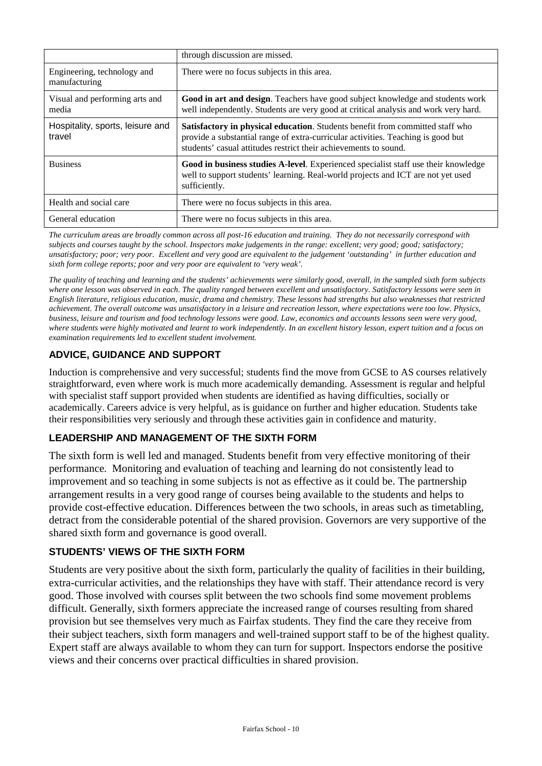|                                              | through discussion are missed.                                                                                                                                                                                                        |
|----------------------------------------------|---------------------------------------------------------------------------------------------------------------------------------------------------------------------------------------------------------------------------------------|
| Engineering, technology and<br>manufacturing | There were no focus subjects in this area.                                                                                                                                                                                            |
| Visual and performing arts and<br>media      | Good in art and design. Teachers have good subject knowledge and students work<br>well independently. Students are very good at critical analysis and work very hard.                                                                 |
| Hospitality, sports, leisure and<br>travel   | Satisfactory in physical education. Students benefit from committed staff who<br>provide a substantial range of extra-curricular activities. Teaching is good but<br>students' casual attitudes restrict their achievements to sound. |
| <b>Business</b>                              | Good in business studies A-level. Experienced specialist staff use their knowledge<br>well to support students' learning. Real-world projects and ICT are not yet used<br>sufficiently.                                               |
| Health and social care                       | There were no focus subjects in this area.                                                                                                                                                                                            |
| General education                            | There were no focus subjects in this area.                                                                                                                                                                                            |

*The curriculum areas are broadly common across all post-16 education and training. They do not necessarily correspond with subjects and courses taught by the school. Inspectors make judgements in the range: excellent; very good; good; satisfactory; unsatisfactory; poor; very poor. Excellent and very good are equivalent to the judgement 'outstanding' in further education and sixth form college reports; poor and very poor are equivalent to 'very weak'.*

*The quality of teaching and learning and the students' achievements were similarly good, overall, in the sampled sixth form subjects where one lesson was observed in each. The quality ranged between excellent and unsatisfactory. Satisfactory lessons were seen in English literature, religious education, music, drama and chemistry. These lessons had strengths but also weaknesses that restricted achievement. The overall outcome was unsatisfactory in a leisure and recreation lesson, where expectations were too low. Physics, business, leisure and tourism and food technology lessons were good. Law, economics and accounts lessons seen were very good, where students were highly motivated and learnt to work independently. In an excellent history lesson, expert tuition and a focus on examination requirements led to excellent student involvement.*

# **ADVICE, GUIDANCE AND SUPPORT**

Induction is comprehensive and very successful; students find the move from GCSE to AS courses relatively straightforward, even where work is much more academically demanding. Assessment is regular and helpful with specialist staff support provided when students are identified as having difficulties, socially or academically. Careers advice is very helpful, as is guidance on further and higher education. Students take their responsibilities very seriously and through these activities gain in confidence and maturity.

## **LEADERSHIP AND MANAGEMENT OF THE SIXTH FORM**

The sixth form is well led and managed. Students benefit from very effective monitoring of their performance. Monitoring and evaluation of teaching and learning do not consistently lead to improvement and so teaching in some subjects is not as effective as it could be. The partnership arrangement results in a very good range of courses being available to the students and helps to provide cost-effective education. Differences between the two schools, in areas such as timetabling, detract from the considerable potential of the shared provision. Governors are very supportive of the shared sixth form and governance is good overall.

## **STUDENTS' VIEWS OF THE SIXTH FORM**

Students are very positive about the sixth form, particularly the quality of facilities in their building, extra-curricular activities, and the relationships they have with staff. Their attendance record is very good. Those involved with courses split between the two schools find some movement problems difficult. Generally, sixth formers appreciate the increased range of courses resulting from shared provision but see themselves very much as Fairfax students. They find the care they receive from their subject teachers, sixth form managers and well-trained support staff to be of the highest quality. Expert staff are always available to whom they can turn for support. Inspectors endorse the positive views and their concerns over practical difficulties in shared provision.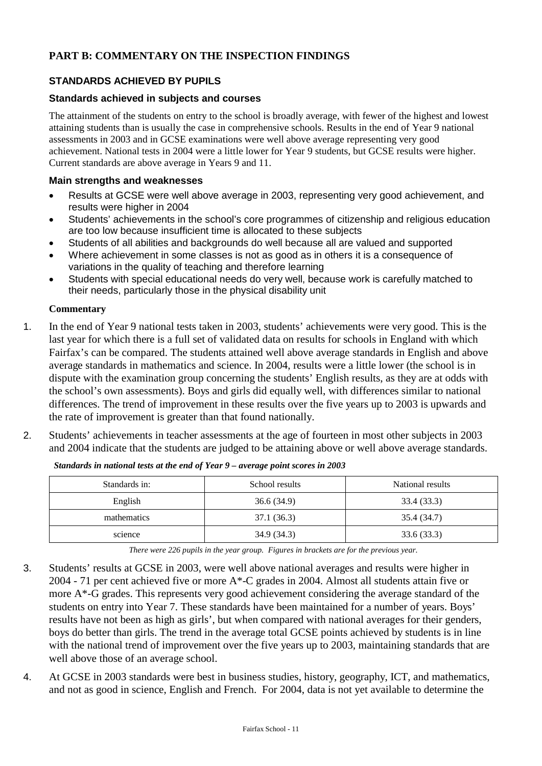## **PART B: COMMENTARY ON THE INSPECTION FINDINGS**

## **STANDARDS ACHIEVED BY PUPILS**

#### **Standards achieved in subjects and courses**

The attainment of the students on entry to the school is broadly average, with fewer of the highest and lowest attaining students than is usually the case in comprehensive schools. Results in the end of Year 9 national assessments in 2003 and in GCSE examinations were well above average representing very good achievement. National tests in 2004 were a little lower for Year 9 students, but GCSE results were higher. Current standards are above average in Years 9 and 11.

#### **Main strengths and weaknesses**

- Results at GCSE were well above average in 2003, representing very good achievement, and results were higher in 2004
- Students' achievements in the school's core programmes of citizenship and religious education are too low because insufficient time is allocated to these subjects
- Students of all abilities and backgrounds do well because all are valued and supported
- Where achievement in some classes is not as good as in others it is a consequence of variations in the quality of teaching and therefore learning
- Students with special educational needs do very well, because work is carefully matched to their needs, particularly those in the physical disability unit

#### **Commentary**

- 1. In the end of Year 9 national tests taken in 2003, students' achievements were very good. This is the last year for which there is a full set of validated data on results for schools in England with which Fairfax's can be compared. The students attained well above average standards in English and above average standards in mathematics and science. In 2004, results were a little lower (the school is in dispute with the examination group concerning the students' English results, as they are at odds with the school's own assessments). Boys and girls did equally well, with differences similar to national differences. The trend of improvement in these results over the five years up to 2003 is upwards and the rate of improvement is greater than that found nationally.
- 2. Students' achievements in teacher assessments at the age of fourteen in most other subjects in 2003 and 2004 indicate that the students are judged to be attaining above or well above average standards.

| Standards in: | School results | National results |
|---------------|----------------|------------------|
| English       | 36.6 (34.9)    | 33.4 (33.3)      |
| mathematics   | 37.1 (36.3)    | 35.4 (34.7)      |
| science       | 34.9 (34.3)    | 33.6 (33.3)      |

*Standards in national tests at the end of Year 9 – average point scores in 2003*

*There were 226 pupils in the year group. Figures in brackets are for the previous year.*

- 3. Students' results at GCSE in 2003, were well above national averages and results were higher in 2004 - 71 per cent achieved five or more A\*-C grades in 2004. Almost all students attain five or more A\*-G grades. This represents very good achievement considering the average standard of the students on entry into Year 7. These standards have been maintained for a number of years. Boys' results have not been as high as girls', but when compared with national averages for their genders, boys do better than girls. The trend in the average total GCSE points achieved by students is in line with the national trend of improvement over the five years up to 2003, maintaining standards that are well above those of an average school.
- 4. At GCSE in 2003 standards were best in business studies, history, geography, ICT, and mathematics, and not as good in science, English and French. For 2004, data is not yet available to determine the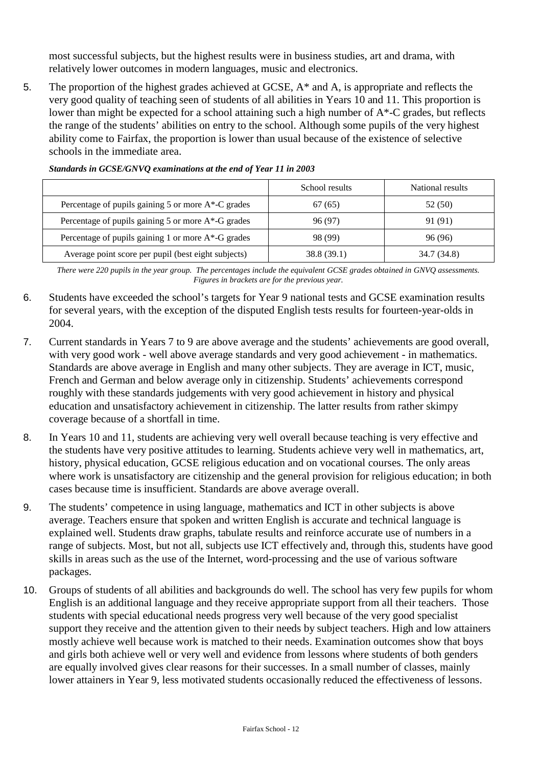most successful subjects, but the highest results were in business studies, art and drama, with relatively lower outcomes in modern languages, music and electronics.

5. The proportion of the highest grades achieved at GCSE, A\* and A, is appropriate and reflects the very good quality of teaching seen of students of all abilities in Years 10 and 11. This proportion is lower than might be expected for a school attaining such a high number of A\*-C grades, but reflects the range of the students' abilities on entry to the school. Although some pupils of the very highest ability come to Fairfax, the proportion is lower than usual because of the existence of selective schools in the immediate area.

|                                                          | School results | National results |
|----------------------------------------------------------|----------------|------------------|
| Percentage of pupils gaining $5$ or more $A^*$ -C grades | 67(65)         | 52 (50)          |
| Percentage of pupils gaining 5 or more A*-G grades       | 96 (97)        | 91 (91)          |
| Percentage of pupils gaining 1 or more $A^*$ -G grades   | 98 (99)        | 96 (96)          |
| Average point score per pupil (best eight subjects)      | 38.8 (39.1)    | 34.7 (34.8)      |

*Standards in GCSE/GNVQ examinations at the end of Year 11 in 2003*

*There were 220 pupils in the year group. The percentages include the equivalent GCSE grades obtained in GNVQ assessments. Figures in brackets are for the previous year.* 

- 6. Students have exceeded the school's targets for Year 9 national tests and GCSE examination results for several years, with the exception of the disputed English tests results for fourteen-year-olds in 2004.
- 7. Current standards in Years 7 to 9 are above average and the students' achievements are good overall, with very good work - well above average standards and very good achievement - in mathematics. Standards are above average in English and many other subjects. They are average in ICT, music, French and German and below average only in citizenship. Students' achievements correspond roughly with these standards judgements with very good achievement in history and physical education and unsatisfactory achievement in citizenship. The latter results from rather skimpy coverage because of a shortfall in time.
- 8. In Years 10 and 11, students are achieving very well overall because teaching is very effective and the students have very positive attitudes to learning. Students achieve very well in mathematics, art, history, physical education, GCSE religious education and on vocational courses. The only areas where work is unsatisfactory are citizenship and the general provision for religious education; in both cases because time is insufficient. Standards are above average overall.
- 9. The students' competence in using language, mathematics and ICT in other subjects is above average. Teachers ensure that spoken and written English is accurate and technical language is explained well. Students draw graphs, tabulate results and reinforce accurate use of numbers in a range of subjects. Most, but not all, subjects use ICT effectively and, through this, students have good skills in areas such as the use of the Internet, word-processing and the use of various software packages.
- 10. Groups of students of all abilities and backgrounds do well. The school has very few pupils for whom English is an additional language and they receive appropriate support from all their teachers. Those students with special educational needs progress very well because of the very good specialist support they receive and the attention given to their needs by subject teachers. High and low attainers mostly achieve well because work is matched to their needs. Examination outcomes show that boys and girls both achieve well or very well and evidence from lessons where students of both genders are equally involved gives clear reasons for their successes. In a small number of classes, mainly lower attainers in Year 9, less motivated students occasionally reduced the effectiveness of lessons.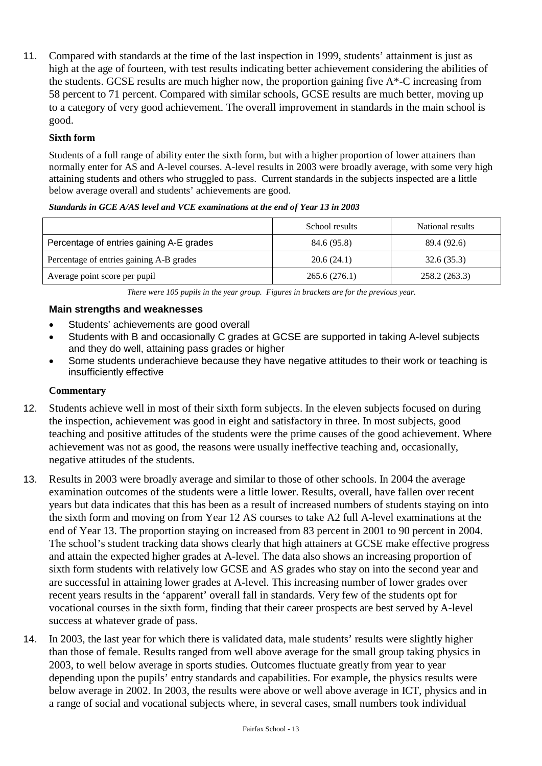11. Compared with standards at the time of the last inspection in 1999, students' attainment is just as high at the age of fourteen, with test results indicating better achievement considering the abilities of the students. GCSE results are much higher now, the proportion gaining five A\*-C increasing from 58 percent to 71 percent. Compared with similar schools, GCSE results are much better, moving up to a category of very good achievement. The overall improvement in standards in the main school is good.

## **Sixth form**

Students of a full range of ability enter the sixth form, but with a higher proportion of lower attainers than normally enter for AS and A-level courses. A-level results in 2003 were broadly average, with some very high attaining students and others who struggled to pass. Current standards in the subjects inspected are a little below average overall and students' achievements are good.

|                                          | School results | National results |
|------------------------------------------|----------------|------------------|
| Percentage of entries gaining A-E grades | 84.6 (95.8)    | 89.4 (92.6)      |
| Percentage of entries gaining A-B grades | 20.6(24.1)     | 32.6(35.3)       |
| Average point score per pupil            | 265.6(276.1)   | 258.2 (263.3)    |

*Standards in GCE A/AS level and VCE examinations at the end of Year 13 in 2003*

#### **Main strengths and weaknesses**

- Students' achievements are good overall
- Students with B and occasionally C grades at GCSE are supported in taking A-level subjects and they do well, attaining pass grades or higher
- Some students underachieve because they have negative attitudes to their work or teaching is insufficiently effective

- 12. Students achieve well in most of their sixth form subjects. In the eleven subjects focused on during the inspection, achievement was good in eight and satisfactory in three. In most subjects, good teaching and positive attitudes of the students were the prime causes of the good achievement. Where achievement was not as good, the reasons were usually ineffective teaching and, occasionally, negative attitudes of the students.
- 13. Results in 2003 were broadly average and similar to those of other schools. In 2004 the average examination outcomes of the students were a little lower. Results, overall, have fallen over recent years but data indicates that this has been as a result of increased numbers of students staying on into the sixth form and moving on from Year 12 AS courses to take A2 full A-level examinations at the end of Year 13. The proportion staying on increased from 83 percent in 2001 to 90 percent in 2004. The school's student tracking data shows clearly that high attainers at GCSE make effective progress and attain the expected higher grades at A-level. The data also shows an increasing proportion of sixth form students with relatively low GCSE and AS grades who stay on into the second year and are successful in attaining lower grades at A-level. This increasing number of lower grades over recent years results in the 'apparent' overall fall in standards. Very few of the students opt for vocational courses in the sixth form, finding that their career prospects are best served by A-level success at whatever grade of pass.
- 14. In 2003, the last year for which there is validated data, male students' results were slightly higher than those of female. Results ranged from well above average for the small group taking physics in 2003, to well below average in sports studies. Outcomes fluctuate greatly from year to year depending upon the pupils' entry standards and capabilities. For example, the physics results were below average in 2002. In 2003, the results were above or well above average in ICT, physics and in a range of social and vocational subjects where, in several cases, small numbers took individual

*There were 105 pupils in the year group. Figures in brackets are for the previous year.*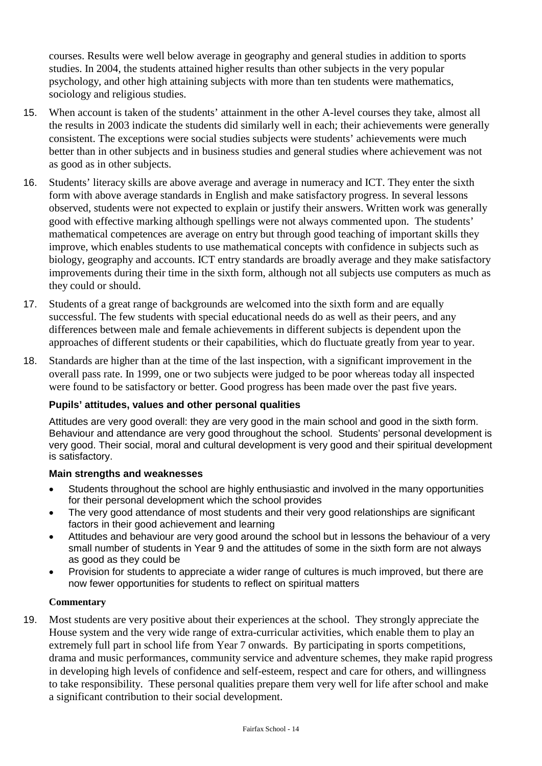courses. Results were well below average in geography and general studies in addition to sports studies. In 2004, the students attained higher results than other subjects in the very popular psychology, and other high attaining subjects with more than ten students were mathematics, sociology and religious studies.

- 15. When account is taken of the students' attainment in the other A-level courses they take, almost all the results in 2003 indicate the students did similarly well in each; their achievements were generally consistent. The exceptions were social studies subjects were students' achievements were much better than in other subjects and in business studies and general studies where achievement was not as good as in other subjects.
- 16. Students' literacy skills are above average and average in numeracy and ICT. They enter the sixth form with above average standards in English and make satisfactory progress. In several lessons observed, students were not expected to explain or justify their answers. Written work was generally good with effective marking although spellings were not always commented upon. The students' mathematical competences are average on entry but through good teaching of important skills they improve, which enables students to use mathematical concepts with confidence in subjects such as biology, geography and accounts. ICT entry standards are broadly average and they make satisfactory improvements during their time in the sixth form, although not all subjects use computers as much as they could or should.
- 17. Students of a great range of backgrounds are welcomed into the sixth form and are equally successful. The few students with special educational needs do as well as their peers, and any differences between male and female achievements in different subjects is dependent upon the approaches of different students or their capabilities, which do fluctuate greatly from year to year.
- 18. Standards are higher than at the time of the last inspection, with a significant improvement in the overall pass rate. In 1999, one or two subjects were judged to be poor whereas today all inspected were found to be satisfactory or better. Good progress has been made over the past five years.

## **Pupils' attitudes, values and other personal qualities**

Attitudes are very good overall: they are very good in the main school and good in the sixth form. Behaviour and attendance are very good throughout the school. Students' personal development is very good. Their social, moral and cultural development is very good and their spiritual development is satisfactory.

#### **Main strengths and weaknesses**

- Students throughout the school are highly enthusiastic and involved in the many opportunities for their personal development which the school provides
- The very good attendance of most students and their very good relationships are significant factors in their good achievement and learning
- Attitudes and behaviour are very good around the school but in lessons the behaviour of a very small number of students in Year 9 and the attitudes of some in the sixth form are not always as good as they could be
- Provision for students to appreciate a wider range of cultures is much improved, but there are now fewer opportunities for students to reflect on spiritual matters

#### **Commentary**

19. Most students are very positive about their experiences at the school. They strongly appreciate the House system and the very wide range of extra-curricular activities, which enable them to play an extremely full part in school life from Year 7 onwards. By participating in sports competitions, drama and music performances, community service and adventure schemes, they make rapid progress in developing high levels of confidence and self-esteem, respect and care for others, and willingness to take responsibility. These personal qualities prepare them very well for life after school and make a significant contribution to their social development.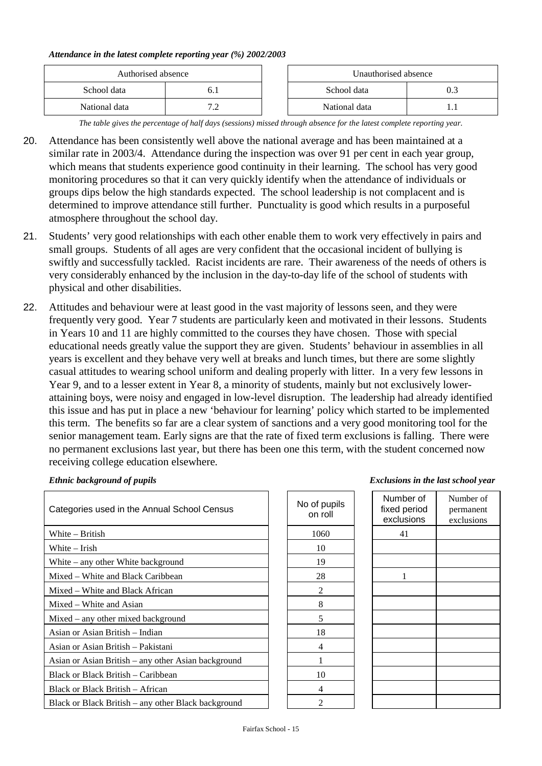#### *Attendance in the latest complete reporting year (%) 2002/2003*

| Authorised absence |  | Unauthorised absence |  |
|--------------------|--|----------------------|--|
| School data        |  | School data          |  |
| National data      |  | National data        |  |

*The table gives the percentage of half days (sessions) missed through absence for the latest complete reporting year.*

- 20. Attendance has been consistently well above the national average and has been maintained at a similar rate in 2003/4. Attendance during the inspection was over 91 per cent in each year group, which means that students experience good continuity in their learning. The school has very good monitoring procedures so that it can very quickly identify when the attendance of individuals or groups dips below the high standards expected. The school leadership is not complacent and is determined to improve attendance still further. Punctuality is good which results in a purposeful atmosphere throughout the school day.
- 21. Students' very good relationships with each other enable them to work very effectively in pairs and small groups. Students of all ages are very confident that the occasional incident of bullying is swiftly and successfully tackled. Racist incidents are rare. Their awareness of the needs of others is very considerably enhanced by the inclusion in the day-to-day life of the school of students with physical and other disabilities.
- 22. Attitudes and behaviour were at least good in the vast majority of lessons seen, and they were frequently very good. Year 7 students are particularly keen and motivated in their lessons. Students in Years 10 and 11 are highly committed to the courses they have chosen. Those with special educational needs greatly value the support they are given. Students' behaviour in assemblies in all years is excellent and they behave very well at breaks and lunch times, but there are some slightly casual attitudes to wearing school uniform and dealing properly with litter. In a very few lessons in Year 9, and to a lesser extent in Year 8, a minority of students, mainly but not exclusively lowerattaining boys, were noisy and engaged in low-level disruption. The leadership had already identified this issue and has put in place a new 'behaviour for learning' policy which started to be implemented this term. The benefits so far are a clear system of sanctions and a very good monitoring tool for the senior management team. Early signs are that the rate of fixed term exclusions is falling. There were no permanent exclusions last year, but there has been one this term, with the student concerned now receiving college education elsewhere.

| Categories used in the Annual School Census         | No of pupils<br>on roll | Numb <sub></sub><br>fixed p<br>exclus |
|-----------------------------------------------------|-------------------------|---------------------------------------|
| White – British                                     | 1060                    | 41                                    |
| White – Irish                                       | 10                      |                                       |
| White – any other White background                  | 19                      |                                       |
| Mixed – White and Black Caribbean                   | 28                      |                                       |
| Mixed – White and Black African                     | 2                       |                                       |
| Mixed – White and Asian                             | 8                       |                                       |
| Mixed – any other mixed background                  | 5                       |                                       |
| Asian or Asian British – Indian                     | 18                      |                                       |
| Asian or Asian British – Pakistani                  | 4                       |                                       |
| Asian or Asian British – any other Asian background |                         |                                       |
| Black or Black British – Caribbean                  | 10                      |                                       |
| Black or Black British – African                    | 4                       |                                       |
| Black or Black British – any other Black background |                         |                                       |

| No of pupils<br>on roll | Nur<br>fixed<br>exc |
|-------------------------|---------------------|
| 1060                    |                     |
| 10                      |                     |
| 19                      |                     |
| 28                      |                     |
| $\overline{c}$          |                     |
| 8                       |                     |
| 5                       |                     |
| 18                      |                     |
| 4                       |                     |
| $\mathbf{1}$            |                     |
| 10                      |                     |
| 4                       |                     |
| ◠                       |                     |

#### *Ethnic background of pupils Exclusions in the last school year*

| Number of<br>fixed period<br>exclusions | Number of<br>permanent<br>exclusions |
|-----------------------------------------|--------------------------------------|
| 41                                      |                                      |
|                                         |                                      |
|                                         |                                      |
| 1                                       |                                      |
|                                         |                                      |
|                                         |                                      |
|                                         |                                      |
|                                         |                                      |
|                                         |                                      |
|                                         |                                      |
|                                         |                                      |
|                                         |                                      |
|                                         |                                      |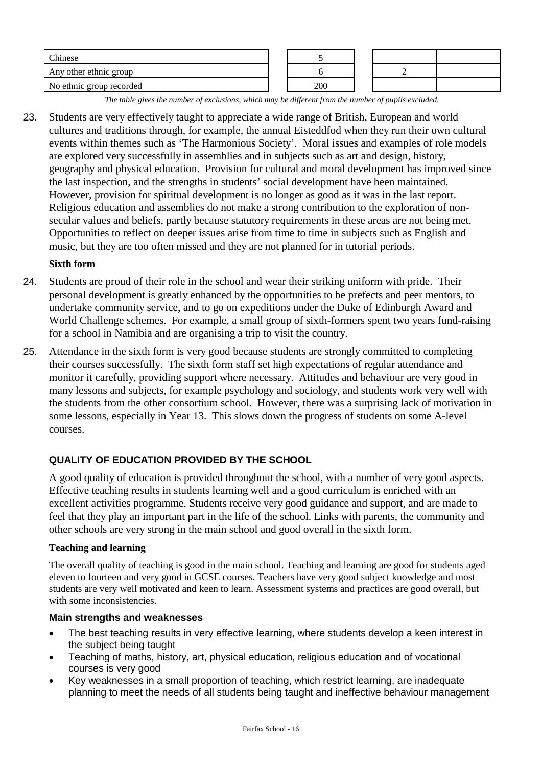| Chinese                  |     |  |  |
|--------------------------|-----|--|--|
| Any other ethnic group   |     |  |  |
| No ethnic group recorded | 200 |  |  |

*The table gives the number of exclusions, which may be different from the number of pupils excluded.*

23. Students are very effectively taught to appreciate a wide range of British, European and world cultures and traditions through, for example, the annual Eisteddfod when they run their own cultural events within themes such as 'The Harmonious Society'. Moral issues and examples of role models are explored very successfully in assemblies and in subjects such as art and design, history, geography and physical education. Provision for cultural and moral development has improved since the last inspection, and the strengths in students' social development have been maintained. However, provision for spiritual development is no longer as good as it was in the last report. Religious education and assemblies do not make a strong contribution to the exploration of nonsecular values and beliefs, partly because statutory requirements in these areas are not being met. Opportunities to reflect on deeper issues arise from time to time in subjects such as English and music, but they are too often missed and they are not planned for in tutorial periods.

#### **Sixth form**

- 24. Students are proud of their role in the school and wear their striking uniform with pride. Their personal development is greatly enhanced by the opportunities to be prefects and peer mentors, to undertake community service, and to go on expeditions under the Duke of Edinburgh Award and World Challenge schemes. For example, a small group of sixth-formers spent two years fund-raising for a school in Namibia and are organising a trip to visit the country.
- 25. Attendance in the sixth form is very good because students are strongly committed to completing their courses successfully. The sixth form staff set high expectations of regular attendance and monitor it carefully, providing support where necessary. Attitudes and behaviour are very good in many lessons and subjects, for example psychology and sociology, and students work very well with the students from the other consortium school. However, there was a surprising lack of motivation in some lessons, especially in Year 13. This slows down the progress of students on some A-level courses.

# **QUALITY OF EDUCATION PROVIDED BY THE SCHOOL**

A good quality of education is provided throughout the school, with a number of very good aspects. Effective teaching results in students learning well and a good curriculum is enriched with an excellent activities programme. Students receive very good guidance and support, and are made to feel that they play an important part in the life of the school. Links with parents, the community and other schools are very strong in the main school and good overall in the sixth form.

#### **Teaching and learning**

The overall quality of teaching is good in the main school. Teaching and learning are good for students aged eleven to fourteen and very good in GCSE courses. Teachers have very good subject knowledge and most students are very well motivated and keen to learn. Assessment systems and practices are good overall, but with some inconsistencies.

#### **Main strengths and weaknesses**

- The best teaching results in very effective learning, where students develop a keen interest in the subject being taught
- Teaching of maths, history, art, physical education, religious education and of vocational courses is very good
- Key weaknesses in a small proportion of teaching, which restrict learning, are inadequate planning to meet the needs of all students being taught and ineffective behaviour management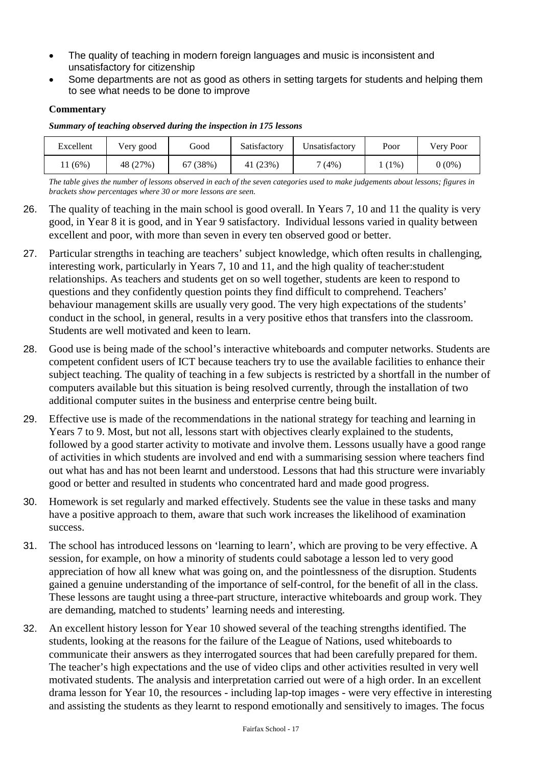- The quality of teaching in modern foreign languages and music is inconsistent and unsatisfactory for citizenship
- Some departments are not as good as others in setting targets for students and helping them to see what needs to be done to improve

#### **Commentary**

*Summary of teaching observed during the inspection in 175 lessons*

| Excellent | Very good | Good     | Satisfactorv | Unsatisfactory | Poor   | Very Poor |
|-----------|-----------|----------|--------------|----------------|--------|-----------|
| $(6\%)$   | 48 (27%)  | 67 (38%) | 41 (23%)     | $7(4\%)$       | $(1\%$ | $0(0\%)$  |

*The table gives the number of lessons observed in each of the seven categories used to make judgements about lessons; figures in brackets show percentages where 30 or more lessons are seen.*

- 26. The quality of teaching in the main school is good overall. In Years 7, 10 and 11 the quality is very good, in Year 8 it is good, and in Year 9 satisfactory. Individual lessons varied in quality between excellent and poor, with more than seven in every ten observed good or better.
- 27. Particular strengths in teaching are teachers' subject knowledge, which often results in challenging, interesting work, particularly in Years 7, 10 and 11, and the high quality of teacher:student relationships. As teachers and students get on so well together, students are keen to respond to questions and they confidently question points they find difficult to comprehend. Teachers' behaviour management skills are usually very good. The very high expectations of the students' conduct in the school, in general, results in a very positive ethos that transfers into the classroom. Students are well motivated and keen to learn.
- 28. Good use is being made of the school's interactive whiteboards and computer networks. Students are competent confident users of ICT because teachers try to use the available facilities to enhance their subject teaching. The quality of teaching in a few subjects is restricted by a shortfall in the number of computers available but this situation is being resolved currently, through the installation of two additional computer suites in the business and enterprise centre being built.
- 29. Effective use is made of the recommendations in the national strategy for teaching and learning in Years 7 to 9. Most, but not all, lessons start with objectives clearly explained to the students, followed by a good starter activity to motivate and involve them. Lessons usually have a good range of activities in which students are involved and end with a summarising session where teachers find out what has and has not been learnt and understood. Lessons that had this structure were invariably good or better and resulted in students who concentrated hard and made good progress.
- 30. Homework is set regularly and marked effectively. Students see the value in these tasks and many have a positive approach to them, aware that such work increases the likelihood of examination success.
- 31. The school has introduced lessons on 'learning to learn', which are proving to be very effective. A session, for example, on how a minority of students could sabotage a lesson led to very good appreciation of how all knew what was going on, and the pointlessness of the disruption. Students gained a genuine understanding of the importance of self-control, for the benefit of all in the class. These lessons are taught using a three-part structure, interactive whiteboards and group work. They are demanding, matched to students' learning needs and interesting.
- 32. An excellent history lesson for Year 10 showed several of the teaching strengths identified. The students, looking at the reasons for the failure of the League of Nations, used whiteboards to communicate their answers as they interrogated sources that had been carefully prepared for them. The teacher's high expectations and the use of video clips and other activities resulted in very well motivated students. The analysis and interpretation carried out were of a high order. In an excellent drama lesson for Year 10, the resources - including lap-top images - were very effective in interesting and assisting the students as they learnt to respond emotionally and sensitively to images. The focus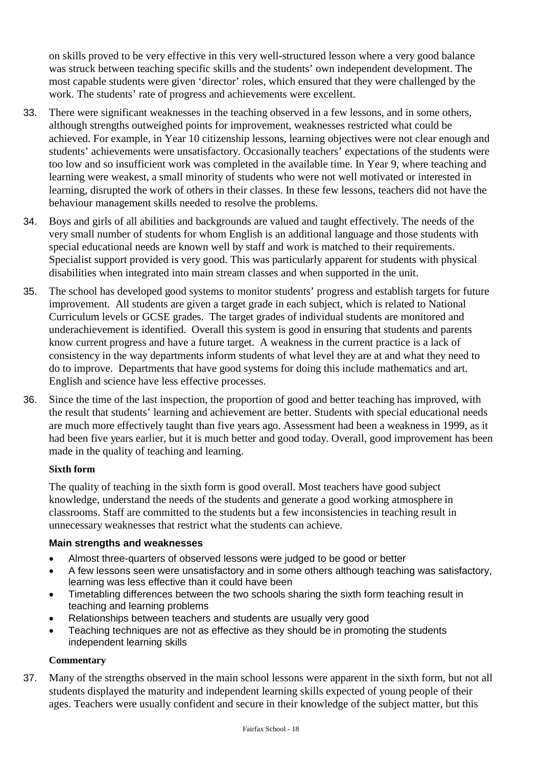on skills proved to be very effective in this very well-structured lesson where a very good balance was struck between teaching specific skills and the students' own independent development. The most capable students were given 'director' roles, which ensured that they were challenged by the work. The students' rate of progress and achievements were excellent.

- 33. There were significant weaknesses in the teaching observed in a few lessons, and in some others, although strengths outweighed points for improvement, weaknesses restricted what could be achieved. For example, in Year 10 citizenship lessons, learning objectives were not clear enough and students' achievements were unsatisfactory. Occasionally teachers' expectations of the students were too low and so insufficient work was completed in the available time. In Year 9, where teaching and learning were weakest, a small minority of students who were not well motivated or interested in learning, disrupted the work of others in their classes. In these few lessons, teachers did not have the behaviour management skills needed to resolve the problems.
- 34. Boys and girls of all abilities and backgrounds are valued and taught effectively. The needs of the very small number of students for whom English is an additional language and those students with special educational needs are known well by staff and work is matched to their requirements. Specialist support provided is very good. This was particularly apparent for students with physical disabilities when integrated into main stream classes and when supported in the unit.
- 35. The school has developed good systems to monitor students' progress and establish targets for future improvement. All students are given a target grade in each subject, which is related to National Curriculum levels or GCSE grades. The target grades of individual students are monitored and underachievement is identified. Overall this system is good in ensuring that students and parents know current progress and have a future target. A weakness in the current practice is a lack of consistency in the way departments inform students of what level they are at and what they need to do to improve. Departments that have good systems for doing this include mathematics and art. English and science have less effective processes.
- 36. Since the time of the last inspection, the proportion of good and better teaching has improved, with the result that students' learning and achievement are better. Students with special educational needs are much more effectively taught than five years ago. Assessment had been a weakness in 1999, as it had been five years earlier, but it is much better and good today. Overall, good improvement has been made in the quality of teaching and learning.

#### **Sixth form**

The quality of teaching in the sixth form is good overall. Most teachers have good subject knowledge, understand the needs of the students and generate a good working atmosphere in classrooms. Staff are committed to the students but a few inconsistencies in teaching result in unnecessary weaknesses that restrict what the students can achieve.

#### **Main strengths and weaknesses**

- Almost three-quarters of observed lessons were judged to be good or better
- A few lessons seen were unsatisfactory and in some others although teaching was satisfactory, learning was less effective than it could have been
- Timetabling differences between the two schools sharing the sixth form teaching result in teaching and learning problems
- Relationships between teachers and students are usually very good
- Teaching techniques are not as effective as they should be in promoting the students independent learning skills

## **Commentary**

37. Many of the strengths observed in the main school lessons were apparent in the sixth form, but not all students displayed the maturity and independent learning skills expected of young people of their ages. Teachers were usually confident and secure in their knowledge of the subject matter, but this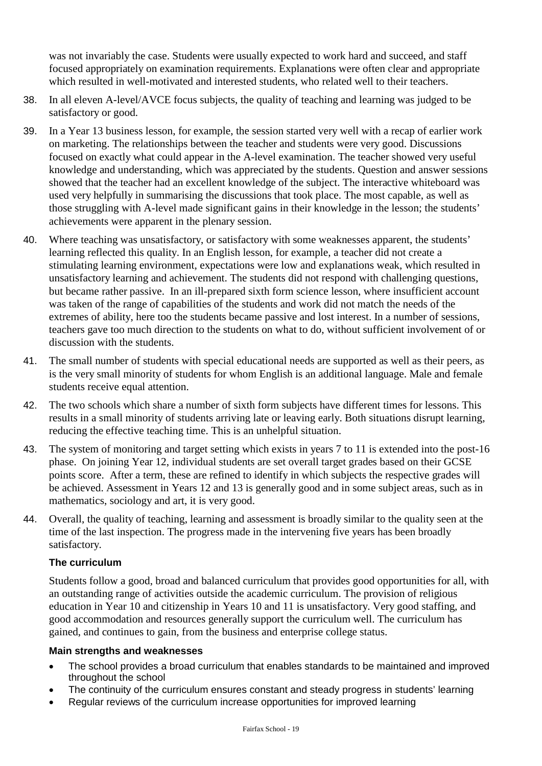was not invariably the case. Students were usually expected to work hard and succeed, and staff focused appropriately on examination requirements. Explanations were often clear and appropriate which resulted in well-motivated and interested students, who related well to their teachers.

- 38. In all eleven A-level/AVCE focus subjects, the quality of teaching and learning was judged to be satisfactory or good.
- 39. In a Year 13 business lesson, for example, the session started very well with a recap of earlier work on marketing. The relationships between the teacher and students were very good. Discussions focused on exactly what could appear in the A-level examination. The teacher showed very useful knowledge and understanding, which was appreciated by the students. Question and answer sessions showed that the teacher had an excellent knowledge of the subject. The interactive whiteboard was used very helpfully in summarising the discussions that took place. The most capable, as well as those struggling with A-level made significant gains in their knowledge in the lesson; the students' achievements were apparent in the plenary session.
- 40. Where teaching was unsatisfactory, or satisfactory with some weaknesses apparent, the students' learning reflected this quality. In an English lesson, for example, a teacher did not create a stimulating learning environment, expectations were low and explanations weak, which resulted in unsatisfactory learning and achievement. The students did not respond with challenging questions, but became rather passive. In an ill-prepared sixth form science lesson, where insufficient account was taken of the range of capabilities of the students and work did not match the needs of the extremes of ability, here too the students became passive and lost interest. In a number of sessions, teachers gave too much direction to the students on what to do, without sufficient involvement of or discussion with the students.
- 41. The small number of students with special educational needs are supported as well as their peers, as is the very small minority of students for whom English is an additional language. Male and female students receive equal attention.
- 42. The two schools which share a number of sixth form subjects have different times for lessons. This results in a small minority of students arriving late or leaving early. Both situations disrupt learning, reducing the effective teaching time. This is an unhelpful situation.
- 43. The system of monitoring and target setting which exists in years 7 to 11 is extended into the post-16 phase. On joining Year 12, individual students are set overall target grades based on their GCSE points score. After a term, these are refined to identify in which subjects the respective grades will be achieved. Assessment in Years 12 and 13 is generally good and in some subject areas, such as in mathematics, sociology and art, it is very good.
- 44. Overall, the quality of teaching, learning and assessment is broadly similar to the quality seen at the time of the last inspection. The progress made in the intervening five years has been broadly satisfactory.

## **The curriculum**

Students follow a good, broad and balanced curriculum that provides good opportunities for all, with an outstanding range of activities outside the academic curriculum. The provision of religious education in Year 10 and citizenship in Years 10 and 11 is unsatisfactory. Very good staffing, and good accommodation and resources generally support the curriculum well. The curriculum has gained, and continues to gain, from the business and enterprise college status.

#### **Main strengths and weaknesses**

- The school provides a broad curriculum that enables standards to be maintained and improved throughout the school
- The continuity of the curriculum ensures constant and steady progress in students' learning
- Regular reviews of the curriculum increase opportunities for improved learning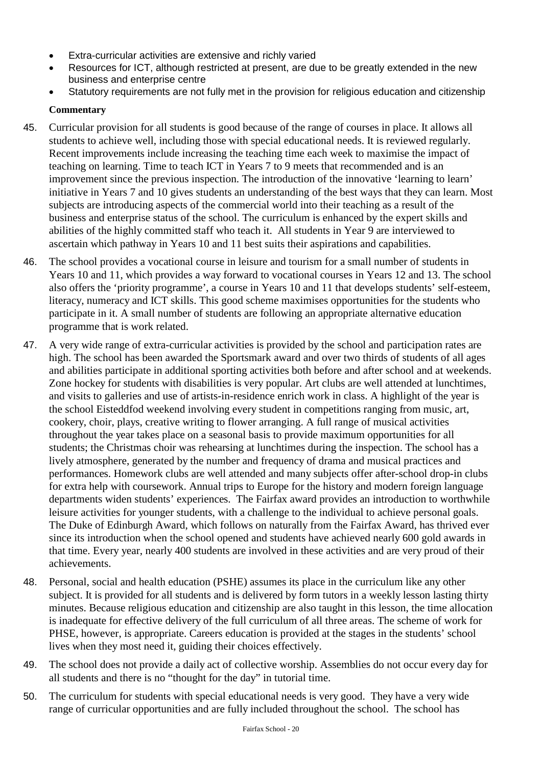- Extra-curricular activities are extensive and richly varied
- Resources for ICT, although restricted at present, are due to be greatly extended in the new business and enterprise centre
- Statutory requirements are not fully met in the provision for religious education and citizenship

- 45. Curricular provision for all students is good because of the range of courses in place. It allows all students to achieve well, including those with special educational needs. It is reviewed regularly. Recent improvements include increasing the teaching time each week to maximise the impact of teaching on learning. Time to teach ICT in Years 7 to 9 meets that recommended and is an improvement since the previous inspection. The introduction of the innovative 'learning to learn' initiative in Years 7 and 10 gives students an understanding of the best ways that they can learn. Most subjects are introducing aspects of the commercial world into their teaching as a result of the business and enterprise status of the school. The curriculum is enhanced by the expert skills and abilities of the highly committed staff who teach it. All students in Year 9 are interviewed to ascertain which pathway in Years 10 and 11 best suits their aspirations and capabilities.
- 46. The school provides a vocational course in leisure and tourism for a small number of students in Years 10 and 11, which provides a way forward to vocational courses in Years 12 and 13. The school also offers the 'priority programme', a course in Years 10 and 11 that develops students' self-esteem, literacy, numeracy and ICT skills. This good scheme maximises opportunities for the students who participate in it. A small number of students are following an appropriate alternative education programme that is work related.
- 47. A very wide range of extra-curricular activities is provided by the school and participation rates are high. The school has been awarded the Sportsmark award and over two thirds of students of all ages and abilities participate in additional sporting activities both before and after school and at weekends. Zone hockey for students with disabilities is very popular. Art clubs are well attended at lunchtimes, and visits to galleries and use of artists-in-residence enrich work in class. A highlight of the year is the school Eisteddfod weekend involving every student in competitions ranging from music, art, cookery, choir, plays, creative writing to flower arranging. A full range of musical activities throughout the year takes place on a seasonal basis to provide maximum opportunities for all students; the Christmas choir was rehearsing at lunchtimes during the inspection. The school has a lively atmosphere, generated by the number and frequency of drama and musical practices and performances. Homework clubs are well attended and many subjects offer after-school drop-in clubs for extra help with coursework. Annual trips to Europe for the history and modern foreign language departments widen students' experiences. The Fairfax award provides an introduction to worthwhile leisure activities for younger students, with a challenge to the individual to achieve personal goals. The Duke of Edinburgh Award, which follows on naturally from the Fairfax Award, has thrived ever since its introduction when the school opened and students have achieved nearly 600 gold awards in that time. Every year, nearly 400 students are involved in these activities and are very proud of their achievements.
- 48. Personal, social and health education (PSHE) assumes its place in the curriculum like any other subject. It is provided for all students and is delivered by form tutors in a weekly lesson lasting thirty minutes. Because religious education and citizenship are also taught in this lesson, the time allocation is inadequate for effective delivery of the full curriculum of all three areas. The scheme of work for PHSE, however, is appropriate. Careers education is provided at the stages in the students' school lives when they most need it, guiding their choices effectively.
- 49. The school does not provide a daily act of collective worship. Assemblies do not occur every day for all students and there is no "thought for the day" in tutorial time.
- 50. The curriculum for students with special educational needs is very good. They have a very wide range of curricular opportunities and are fully included throughout the school. The school has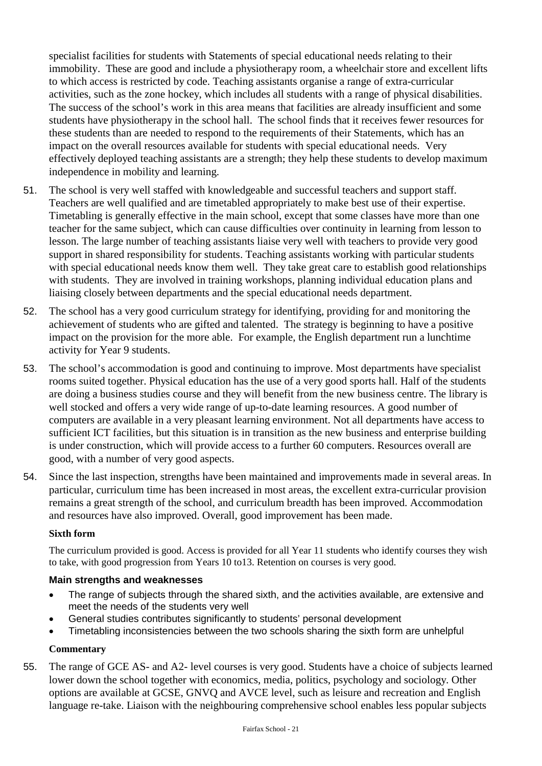specialist facilities for students with Statements of special educational needs relating to their immobility. These are good and include a physiotherapy room, a wheelchair store and excellent lifts to which access is restricted by code. Teaching assistants organise a range of extra-curricular activities, such as the zone hockey, which includes all students with a range of physical disabilities. The success of the school's work in this area means that facilities are already insufficient and some students have physiotherapy in the school hall. The school finds that it receives fewer resources for these students than are needed to respond to the requirements of their Statements, which has an impact on the overall resources available for students with special educational needs. Very effectively deployed teaching assistants are a strength; they help these students to develop maximum independence in mobility and learning.

- 51. The school is very well staffed with knowledgeable and successful teachers and support staff. Teachers are well qualified and are timetabled appropriately to make best use of their expertise. Timetabling is generally effective in the main school, except that some classes have more than one teacher for the same subject, which can cause difficulties over continuity in learning from lesson to lesson. The large number of teaching assistants liaise very well with teachers to provide very good support in shared responsibility for students. Teaching assistants working with particular students with special educational needs know them well. They take great care to establish good relationships with students. They are involved in training workshops, planning individual education plans and liaising closely between departments and the special educational needs department.
- 52. The school has a very good curriculum strategy for identifying, providing for and monitoring the achievement of students who are gifted and talented. The strategy is beginning to have a positive impact on the provision for the more able. For example, the English department run a lunchtime activity for Year 9 students.
- 53. The school's accommodation is good and continuing to improve. Most departments have specialist rooms suited together. Physical education has the use of a very good sports hall. Half of the students are doing a business studies course and they will benefit from the new business centre. The library is well stocked and offers a very wide range of up-to-date learning resources. A good number of computers are available in a very pleasant learning environment. Not all departments have access to sufficient ICT facilities, but this situation is in transition as the new business and enterprise building is under construction, which will provide access to a further 60 computers. Resources overall are good, with a number of very good aspects.
- 54. Since the last inspection, strengths have been maintained and improvements made in several areas. In particular, curriculum time has been increased in most areas, the excellent extra-curricular provision remains a great strength of the school, and curriculum breadth has been improved. Accommodation and resources have also improved. Overall, good improvement has been made.

#### **Sixth form**

The curriculum provided is good. Access is provided for all Year 11 students who identify courses they wish to take, with good progression from Years 10 to13. Retention on courses is very good.

#### **Main strengths and weaknesses**

- The range of subjects through the shared sixth, and the activities available, are extensive and meet the needs of the students very well
- General studies contributes significantly to students' personal development
- Timetabling inconsistencies between the two schools sharing the sixth form are unhelpful

## **Commentary**

55. The range of GCE AS- and A2- level courses is very good. Students have a choice of subjects learned lower down the school together with economics, media, politics, psychology and sociology. Other options are available at GCSE, GNVQ and AVCE level, such as leisure and recreation and English language re-take. Liaison with the neighbouring comprehensive school enables less popular subjects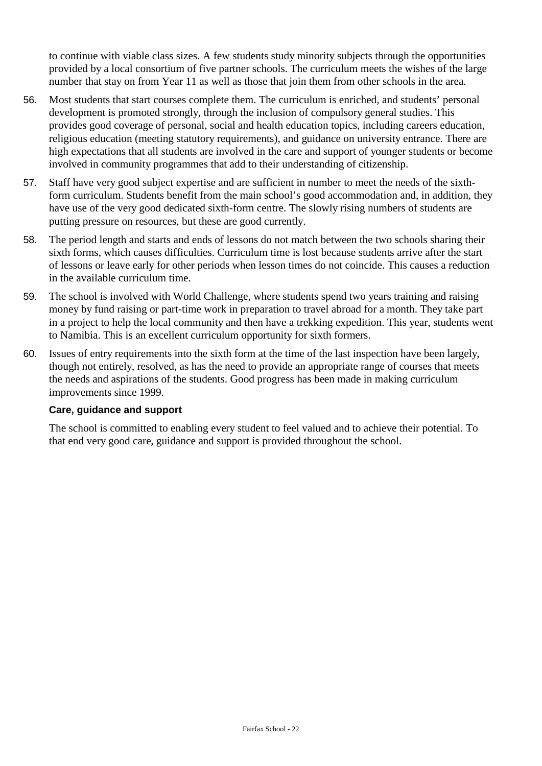to continue with viable class sizes. A few students study minority subjects through the opportunities provided by a local consortium of five partner schools. The curriculum meets the wishes of the large number that stay on from Year 11 as well as those that join them from other schools in the area.

- 56. Most students that start courses complete them. The curriculum is enriched, and students' personal development is promoted strongly, through the inclusion of compulsory general studies. This provides good coverage of personal, social and health education topics, including careers education, religious education (meeting statutory requirements), and guidance on university entrance. There are high expectations that all students are involved in the care and support of younger students or become involved in community programmes that add to their understanding of citizenship.
- 57. Staff have very good subject expertise and are sufficient in number to meet the needs of the sixthform curriculum. Students benefit from the main school's good accommodation and, in addition, they have use of the very good dedicated sixth-form centre. The slowly rising numbers of students are putting pressure on resources, but these are good currently.
- 58. The period length and starts and ends of lessons do not match between the two schools sharing their sixth forms, which causes difficulties. Curriculum time is lost because students arrive after the start of lessons or leave early for other periods when lesson times do not coincide. This causes a reduction in the available curriculum time.
- 59. The school is involved with World Challenge, where students spend two years training and raising money by fund raising or part-time work in preparation to travel abroad for a month. They take part in a project to help the local community and then have a trekking expedition. This year, students went to Namibia. This is an excellent curriculum opportunity for sixth formers.
- 60. Issues of entry requirements into the sixth form at the time of the last inspection have been largely, though not entirely, resolved, as has the need to provide an appropriate range of courses that meets the needs and aspirations of the students. Good progress has been made in making curriculum improvements since 1999.

## **Care, guidance and support**

The school is committed to enabling every student to feel valued and to achieve their potential. To that end very good care, guidance and support is provided throughout the school.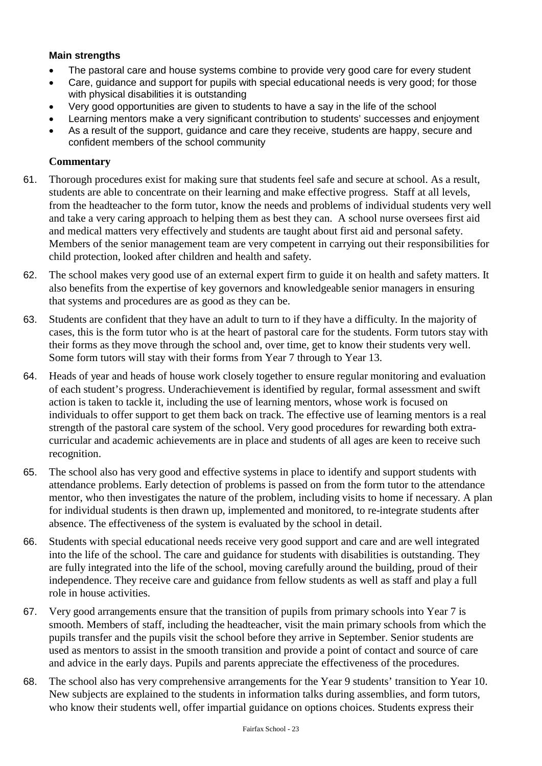## **Main strengths**

- The pastoral care and house systems combine to provide very good care for every student
- Care, guidance and support for pupils with special educational needs is very good; for those with physical disabilities it is outstanding
- Very good opportunities are given to students to have a say in the life of the school
- Learning mentors make a very significant contribution to students' successes and enjoyment
- As a result of the support, guidance and care they receive, students are happy, secure and confident members of the school community

- 61. Thorough procedures exist for making sure that students feel safe and secure at school. As a result, students are able to concentrate on their learning and make effective progress. Staff at all levels, from the headteacher to the form tutor, know the needs and problems of individual students very well and take a very caring approach to helping them as best they can. A school nurse oversees first aid and medical matters very effectively and students are taught about first aid and personal safety. Members of the senior management team are very competent in carrying out their responsibilities for child protection, looked after children and health and safety.
- 62. The school makes very good use of an external expert firm to guide it on health and safety matters. It also benefits from the expertise of key governors and knowledgeable senior managers in ensuring that systems and procedures are as good as they can be.
- 63. Students are confident that they have an adult to turn to if they have a difficulty. In the majority of cases, this is the form tutor who is at the heart of pastoral care for the students. Form tutors stay with their forms as they move through the school and, over time, get to know their students very well. Some form tutors will stay with their forms from Year 7 through to Year 13.
- 64. Heads of year and heads of house work closely together to ensure regular monitoring and evaluation of each student's progress. Underachievement is identified by regular, formal assessment and swift action is taken to tackle it, including the use of learning mentors, whose work is focused on individuals to offer support to get them back on track. The effective use of learning mentors is a real strength of the pastoral care system of the school. Very good procedures for rewarding both extracurricular and academic achievements are in place and students of all ages are keen to receive such recognition.
- 65. The school also has very good and effective systems in place to identify and support students with attendance problems. Early detection of problems is passed on from the form tutor to the attendance mentor, who then investigates the nature of the problem, including visits to home if necessary. A plan for individual students is then drawn up, implemented and monitored, to re-integrate students after absence. The effectiveness of the system is evaluated by the school in detail.
- 66. Students with special educational needs receive very good support and care and are well integrated into the life of the school. The care and guidance for students with disabilities is outstanding. They are fully integrated into the life of the school, moving carefully around the building, proud of their independence. They receive care and guidance from fellow students as well as staff and play a full role in house activities.
- 67. Very good arrangements ensure that the transition of pupils from primary schools into Year 7 is smooth. Members of staff, including the headteacher, visit the main primary schools from which the pupils transfer and the pupils visit the school before they arrive in September. Senior students are used as mentors to assist in the smooth transition and provide a point of contact and source of care and advice in the early days. Pupils and parents appreciate the effectiveness of the procedures.
- 68. The school also has very comprehensive arrangements for the Year 9 students' transition to Year 10. New subjects are explained to the students in information talks during assemblies, and form tutors, who know their students well, offer impartial guidance on options choices. Students express their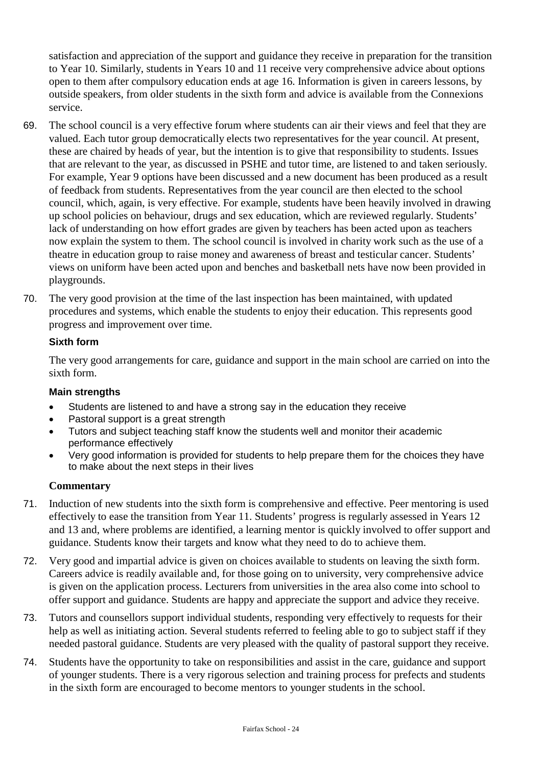satisfaction and appreciation of the support and guidance they receive in preparation for the transition to Year 10. Similarly, students in Years 10 and 11 receive very comprehensive advice about options open to them after compulsory education ends at age 16. Information is given in careers lessons, by outside speakers, from older students in the sixth form and advice is available from the Connexions service.

- 69. The school council is a very effective forum where students can air their views and feel that they are valued. Each tutor group democratically elects two representatives for the year council. At present, these are chaired by heads of year, but the intention is to give that responsibility to students. Issues that are relevant to the year, as discussed in PSHE and tutor time, are listened to and taken seriously. For example, Year 9 options have been discussed and a new document has been produced as a result of feedback from students. Representatives from the year council are then elected to the school council, which, again, is very effective. For example, students have been heavily involved in drawing up school policies on behaviour, drugs and sex education, which are reviewed regularly. Students' lack of understanding on how effort grades are given by teachers has been acted upon as teachers now explain the system to them. The school council is involved in charity work such as the use of a theatre in education group to raise money and awareness of breast and testicular cancer. Students' views on uniform have been acted upon and benches and basketball nets have now been provided in playgrounds.
- 70. The very good provision at the time of the last inspection has been maintained, with updated procedures and systems, which enable the students to enjoy their education. This represents good progress and improvement over time.

## **Sixth form**

The very good arrangements for care, guidance and support in the main school are carried on into the sixth form.

#### **Main strengths**

- Students are listened to and have a strong say in the education they receive
- Pastoral support is a great strength
- Tutors and subject teaching staff know the students well and monitor their academic performance effectively
- Very good information is provided for students to help prepare them for the choices they have to make about the next steps in their lives

- 71. Induction of new students into the sixth form is comprehensive and effective. Peer mentoring is used effectively to ease the transition from Year 11. Students' progress is regularly assessed in Years 12 and 13 and, where problems are identified, a learning mentor is quickly involved to offer support and guidance. Students know their targets and know what they need to do to achieve them.
- 72. Very good and impartial advice is given on choices available to students on leaving the sixth form. Careers advice is readily available and, for those going on to university, very comprehensive advice is given on the application process. Lecturers from universities in the area also come into school to offer support and guidance. Students are happy and appreciate the support and advice they receive.
- 73. Tutors and counsellors support individual students, responding very effectively to requests for their help as well as initiating action. Several students referred to feeling able to go to subject staff if they needed pastoral guidance. Students are very pleased with the quality of pastoral support they receive.
- 74. Students have the opportunity to take on responsibilities and assist in the care, guidance and support of younger students. There is a very rigorous selection and training process for prefects and students in the sixth form are encouraged to become mentors to younger students in the school.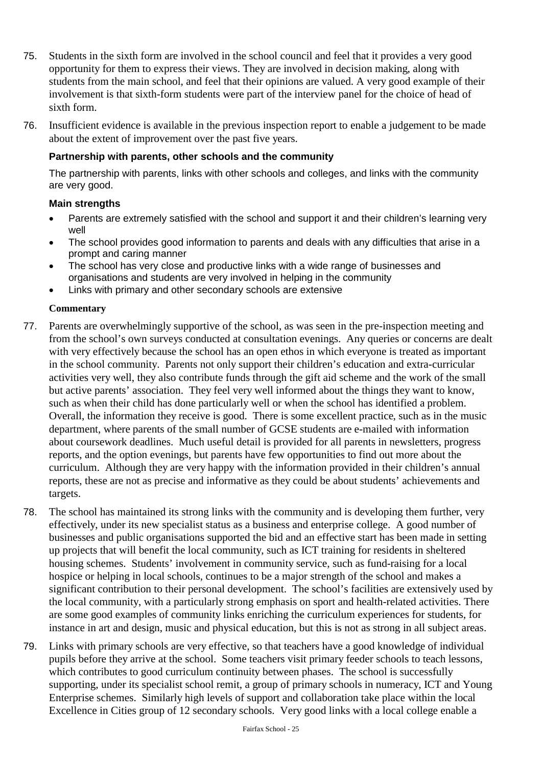- 75. Students in the sixth form are involved in the school council and feel that it provides a very good opportunity for them to express their views. They are involved in decision making, along with students from the main school, and feel that their opinions are valued. A very good example of their involvement is that sixth-form students were part of the interview panel for the choice of head of sixth form.
- 76. Insufficient evidence is available in the previous inspection report to enable a judgement to be made about the extent of improvement over the past five years.

#### **Partnership with parents, other schools and the community**

The partnership with parents, links with other schools and colleges, and links with the community are very good.

#### **Main strengths**

- Parents are extremely satisfied with the school and support it and their children's learning very well
- The school provides good information to parents and deals with any difficulties that arise in a prompt and caring manner
- The school has very close and productive links with a wide range of businesses and organisations and students are very involved in helping in the community
- Links with primary and other secondary schools are extensive

- 77. Parents are overwhelmingly supportive of the school, as was seen in the pre-inspection meeting and from the school's own surveys conducted at consultation evenings. Any queries or concerns are dealt with very effectively because the school has an open ethos in which everyone is treated as important in the school community. Parents not only support their children's education and extra-curricular activities very well, they also contribute funds through the gift aid scheme and the work of the small but active parents' association. They feel very well informed about the things they want to know, such as when their child has done particularly well or when the school has identified a problem. Overall, the information they receive is good. There is some excellent practice, such as in the music department, where parents of the small number of GCSE students are e-mailed with information about coursework deadlines. Much useful detail is provided for all parents in newsletters, progress reports, and the option evenings, but parents have few opportunities to find out more about the curriculum. Although they are very happy with the information provided in their children's annual reports, these are not as precise and informative as they could be about students' achievements and targets.
- 78. The school has maintained its strong links with the community and is developing them further, very effectively, under its new specialist status as a business and enterprise college. A good number of businesses and public organisations supported the bid and an effective start has been made in setting up projects that will benefit the local community, such as ICT training for residents in sheltered housing schemes. Students' involvement in community service, such as fund-raising for a local hospice or helping in local schools, continues to be a major strength of the school and makes a significant contribution to their personal development. The school's facilities are extensively used by the local community, with a particularly strong emphasis on sport and health-related activities. There are some good examples of community links enriching the curriculum experiences for students, for instance in art and design, music and physical education, but this is not as strong in all subject areas.
- 79. Links with primary schools are very effective, so that teachers have a good knowledge of individual pupils before they arrive at the school. Some teachers visit primary feeder schools to teach lessons, which contributes to good curriculum continuity between phases. The school is successfully supporting, under its specialist school remit, a group of primary schools in numeracy, ICT and Young Enterprise schemes. Similarly high levels of support and collaboration take place within the local Excellence in Cities group of 12 secondary schools. Very good links with a local college enable a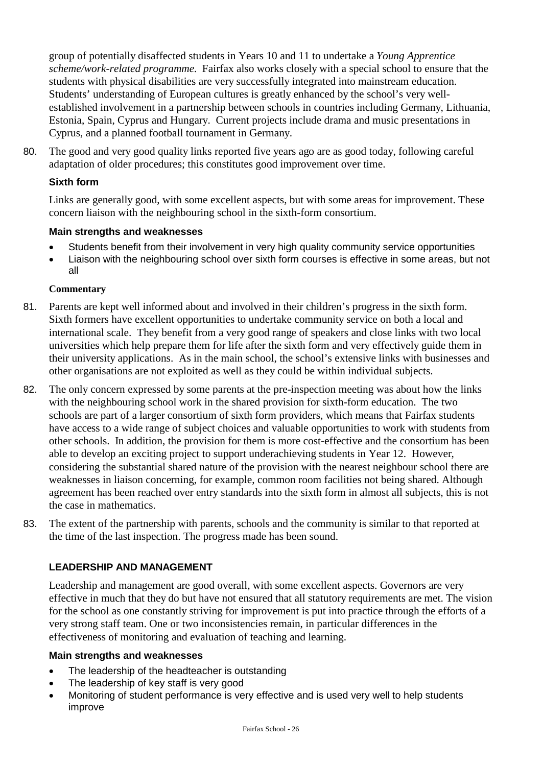group of potentially disaffected students in Years 10 and 11 to undertake a *Young Apprentice scheme/work-related programme*. Fairfax also works closely with a special school to ensure that the students with physical disabilities are very successfully integrated into mainstream education. Students' understanding of European cultures is greatly enhanced by the school's very wellestablished involvement in a partnership between schools in countries including Germany, Lithuania, Estonia, Spain, Cyprus and Hungary. Current projects include drama and music presentations in Cyprus, and a planned football tournament in Germany.

80. The good and very good quality links reported five years ago are as good today, following careful adaptation of older procedures; this constitutes good improvement over time.

## **Sixth form**

Links are generally good, with some excellent aspects, but with some areas for improvement. These concern liaison with the neighbouring school in the sixth-form consortium.

#### **Main strengths and weaknesses**

- Students benefit from their involvement in very high quality community service opportunities
- Liaison with the neighbouring school over sixth form courses is effective in some areas, but not all

#### **Commentary**

- 81. Parents are kept well informed about and involved in their children's progress in the sixth form. Sixth formers have excellent opportunities to undertake community service on both a local and international scale. They benefit from a very good range of speakers and close links with two local universities which help prepare them for life after the sixth form and very effectively guide them in their university applications. As in the main school, the school's extensive links with businesses and other organisations are not exploited as well as they could be within individual subjects.
- 82. The only concern expressed by some parents at the pre-inspection meeting was about how the links with the neighbouring school work in the shared provision for sixth-form education. The two schools are part of a larger consortium of sixth form providers, which means that Fairfax students have access to a wide range of subject choices and valuable opportunities to work with students from other schools. In addition, the provision for them is more cost-effective and the consortium has been able to develop an exciting project to support underachieving students in Year 12. However, considering the substantial shared nature of the provision with the nearest neighbour school there are weaknesses in liaison concerning, for example, common room facilities not being shared. Although agreement has been reached over entry standards into the sixth form in almost all subjects, this is not the case in mathematics.
- 83. The extent of the partnership with parents, schools and the community is similar to that reported at the time of the last inspection. The progress made has been sound.

#### **LEADERSHIP AND MANAGEMENT**

Leadership and management are good overall, with some excellent aspects. Governors are very effective in much that they do but have not ensured that all statutory requirements are met. The vision for the school as one constantly striving for improvement is put into practice through the efforts of a very strong staff team. One or two inconsistencies remain, in particular differences in the effectiveness of monitoring and evaluation of teaching and learning.

#### **Main strengths and weaknesses**

- The leadership of the headteacher is outstanding
- The leadership of key staff is very good
- Monitoring of student performance is very effective and is used very well to help students improve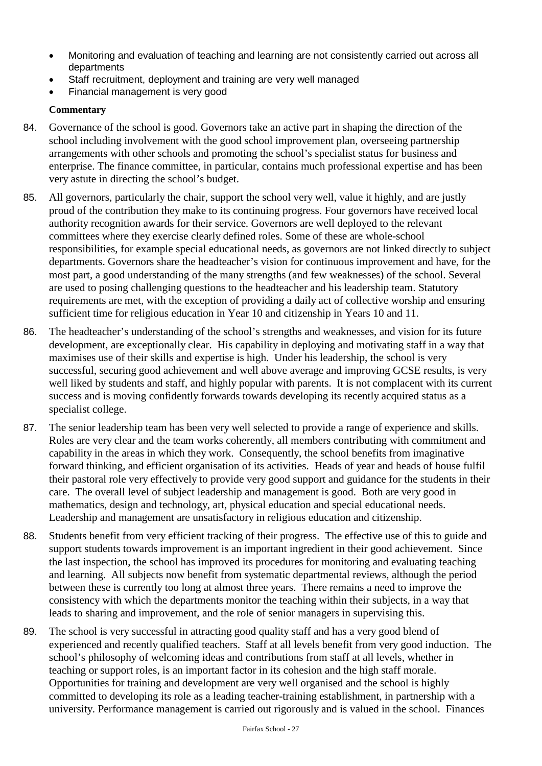- Monitoring and evaluation of teaching and learning are not consistently carried out across all departments
- Staff recruitment, deployment and training are very well managed
- Financial management is very good

- 84. Governance of the school is good. Governors take an active part in shaping the direction of the school including involvement with the good school improvement plan, overseeing partnership arrangements with other schools and promoting the school's specialist status for business and enterprise. The finance committee, in particular, contains much professional expertise and has been very astute in directing the school's budget.
- 85. All governors, particularly the chair, support the school very well, value it highly, and are justly proud of the contribution they make to its continuing progress. Four governors have received local authority recognition awards for their service. Governors are well deployed to the relevant committees where they exercise clearly defined roles. Some of these are whole-school responsibilities, for example special educational needs, as governors are not linked directly to subject departments. Governors share the headteacher's vision for continuous improvement and have, for the most part, a good understanding of the many strengths (and few weaknesses) of the school. Several are used to posing challenging questions to the headteacher and his leadership team. Statutory requirements are met, with the exception of providing a daily act of collective worship and ensuring sufficient time for religious education in Year 10 and citizenship in Years 10 and 11.
- 86. The headteacher's understanding of the school's strengths and weaknesses, and vision for its future development, are exceptionally clear. His capability in deploying and motivating staff in a way that maximises use of their skills and expertise is high. Under his leadership, the school is very successful, securing good achievement and well above average and improving GCSE results, is very well liked by students and staff, and highly popular with parents. It is not complacent with its current success and is moving confidently forwards towards developing its recently acquired status as a specialist college.
- 87. The senior leadership team has been very well selected to provide a range of experience and skills. Roles are very clear and the team works coherently, all members contributing with commitment and capability in the areas in which they work. Consequently, the school benefits from imaginative forward thinking, and efficient organisation of its activities. Heads of year and heads of house fulfil their pastoral role very effectively to provide very good support and guidance for the students in their care. The overall level of subject leadership and management is good. Both are very good in mathematics, design and technology, art, physical education and special educational needs. Leadership and management are unsatisfactory in religious education and citizenship.
- 88. Students benefit from very efficient tracking of their progress. The effective use of this to guide and support students towards improvement is an important ingredient in their good achievement. Since the last inspection, the school has improved its procedures for monitoring and evaluating teaching and learning. All subjects now benefit from systematic departmental reviews, although the period between these is currently too long at almost three years. There remains a need to improve the consistency with which the departments monitor the teaching within their subjects, in a way that leads to sharing and improvement, and the role of senior managers in supervising this.
- 89. The school is very successful in attracting good quality staff and has a very good blend of experienced and recently qualified teachers. Staff at all levels benefit from very good induction. The school's philosophy of welcoming ideas and contributions from staff at all levels, whether in teaching or support roles, is an important factor in its cohesion and the high staff morale. Opportunities for training and development are very well organised and the school is highly committed to developing its role as a leading teacher-training establishment, in partnership with a university. Performance management is carried out rigorously and is valued in the school. Finances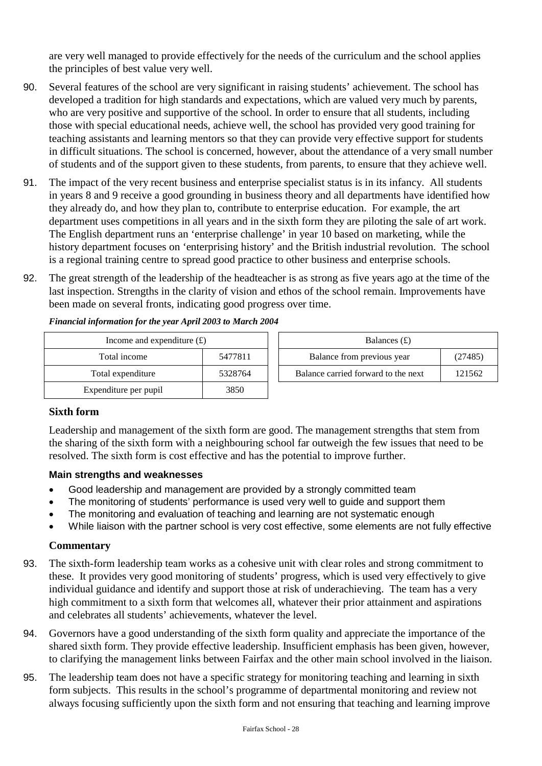are very well managed to provide effectively for the needs of the curriculum and the school applies the principles of best value very well.

- 90. Several features of the school are very significant in raising students' achievement. The school has developed a tradition for high standards and expectations, which are valued very much by parents, who are very positive and supportive of the school. In order to ensure that all students, including those with special educational needs, achieve well, the school has provided very good training for teaching assistants and learning mentors so that they can provide very effective support for students in difficult situations. The school is concerned, however, about the attendance of a very small number of students and of the support given to these students, from parents, to ensure that they achieve well.
- 91. The impact of the very recent business and enterprise specialist status is in its infancy. All students in years 8 and 9 receive a good grounding in business theory and all departments have identified how they already do, and how they plan to, contribute to enterprise education. For example, the art department uses competitions in all years and in the sixth form they are piloting the sale of art work. The English department runs an 'enterprise challenge' in year 10 based on marketing, while the history department focuses on 'enterprising history' and the British industrial revolution. The school is a regional training centre to spread good practice to other business and enterprise schools.
- 92. The great strength of the leadership of the headteacher is as strong as five years ago at the time of the last inspection. Strengths in the clarity of vision and ethos of the school remain. Improvements have been made on several fronts, indicating good progress over time.

| Income and expenditure $(f)$ |         | Balances $(f)$                   |
|------------------------------|---------|----------------------------------|
| Total income                 | 5477811 | Balance from previous year       |
| Total expenditure            | 5328764 | Balance carried forward to the r |
| Expenditure per pupil        | 3850    |                                  |

*Financial information for the year April 2003 to March 2004*

| Income and expenditure $(f)$ |         | Balances $(f)$                      |         |
|------------------------------|---------|-------------------------------------|---------|
| Total income                 | 5477811 | Balance from previous year          | (27485) |
| Total expenditure            | 5328764 | Balance carried forward to the next | 121562  |

## **Sixth form**

Leadership and management of the sixth form are good. The management strengths that stem from the sharing of the sixth form with a neighbouring school far outweigh the few issues that need to be resolved. The sixth form is cost effective and has the potential to improve further.

## **Main strengths and weaknesses**

- Good leadership and management are provided by a strongly committed team
- The monitoring of students' performance is used very well to guide and support them
- The monitoring and evaluation of teaching and learning are not systematic enough
- While liaison with the partner school is very cost effective, some elements are not fully effective

- 93. The sixth-form leadership team works as a cohesive unit with clear roles and strong commitment to these. It provides very good monitoring of students' progress, which is used very effectively to give individual guidance and identify and support those at risk of underachieving. The team has a very high commitment to a sixth form that welcomes all, whatever their prior attainment and aspirations and celebrates all students' achievements, whatever the level.
- 94. Governors have a good understanding of the sixth form quality and appreciate the importance of the shared sixth form. They provide effective leadership. Insufficient emphasis has been given, however, to clarifying the management links between Fairfax and the other main school involved in the liaison.
- 95. The leadership team does not have a specific strategy for monitoring teaching and learning in sixth form subjects. This results in the school's programme of departmental monitoring and review not always focusing sufficiently upon the sixth form and not ensuring that teaching and learning improve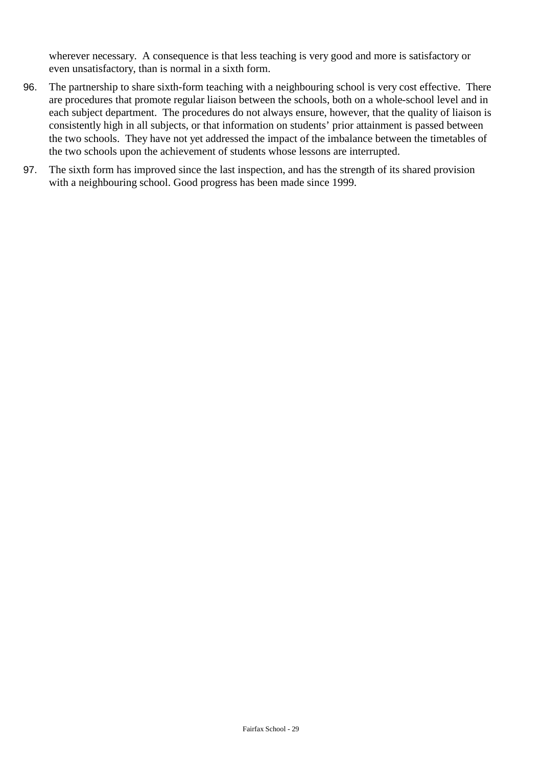wherever necessary. A consequence is that less teaching is very good and more is satisfactory or even unsatisfactory, than is normal in a sixth form.

- 96. The partnership to share sixth-form teaching with a neighbouring school is very cost effective. There are procedures that promote regular liaison between the schools, both on a whole-school level and in each subject department. The procedures do not always ensure, however, that the quality of liaison is consistently high in all subjects, or that information on students' prior attainment is passed between the two schools. They have not yet addressed the impact of the imbalance between the timetables of the two schools upon the achievement of students whose lessons are interrupted.
- 97. The sixth form has improved since the last inspection, and has the strength of its shared provision with a neighbouring school. Good progress has been made since 1999.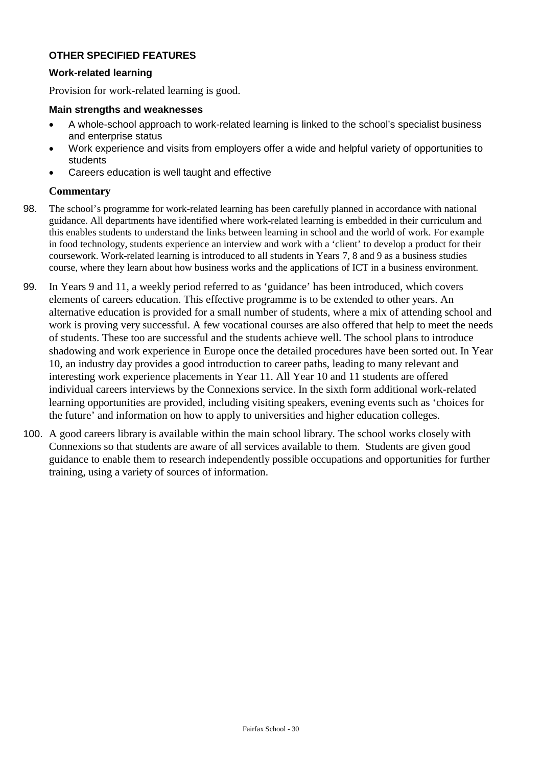## **OTHER SPECIFIED FEATURES**

#### **Work-related learning**

Provision for work-related learning is good.

#### **Main strengths and weaknesses**

- A whole-school approach to work-related learning is linked to the school's specialist business and enterprise status
- Work experience and visits from employers offer a wide and helpful variety of opportunities to students
- Careers education is well taught and effective

- 98. The school's programme for work-related learning has been carefully planned in accordance with national guidance. All departments have identified where work-related learning is embedded in their curriculum and this enables students to understand the links between learning in school and the world of work. For example in food technology, students experience an interview and work with a 'client' to develop a product for their coursework. Work-related learning is introduced to all students in Years 7, 8 and 9 as a business studies course, where they learn about how business works and the applications of ICT in a business environment.
- 99. In Years 9 and 11, a weekly period referred to as 'guidance' has been introduced, which covers elements of careers education. This effective programme is to be extended to other years. An alternative education is provided for a small number of students, where a mix of attending school and work is proving very successful. A few vocational courses are also offered that help to meet the needs of students. These too are successful and the students achieve well. The school plans to introduce shadowing and work experience in Europe once the detailed procedures have been sorted out. In Year 10, an industry day provides a good introduction to career paths, leading to many relevant and interesting work experience placements in Year 11. All Year 10 and 11 students are offered individual careers interviews by the Connexions service. In the sixth form additional work-related learning opportunities are provided, including visiting speakers, evening events such as 'choices for the future' and information on how to apply to universities and higher education colleges.
- 100. A good careers library is available within the main school library. The school works closely with Connexions so that students are aware of all services available to them. Students are given good guidance to enable them to research independently possible occupations and opportunities for further training, using a variety of sources of information.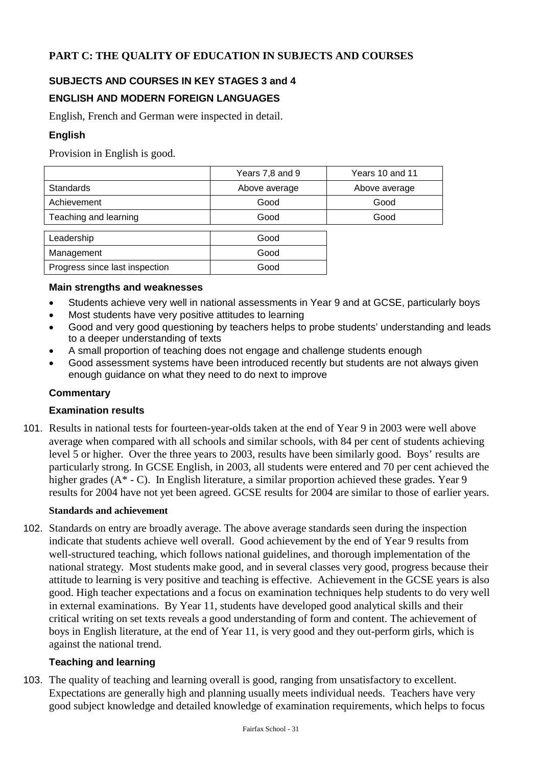## **PART C: THE QUALITY OF EDUCATION IN SUBJECTS AND COURSES**

## **SUBJECTS AND COURSES IN KEY STAGES 3 and 4**

## **ENGLISH AND MODERN FOREIGN LANGUAGES**

English, French and German were inspected in detail.

## **English**

Provision in English is good.

|                                | Years 7,8 and 9 | Years 10 and 11 |
|--------------------------------|-----------------|-----------------|
| <b>Standards</b>               | Above average   | Above average   |
| Achievement                    | Good            | Good            |
| Teaching and learning          | Good            | Good            |
|                                |                 |                 |
| Leadership                     | Good            |                 |
| Management                     | Good            |                 |
| Progress since last inspection | Good            |                 |

#### **Main strengths and weaknesses**

- Students achieve very well in national assessments in Year 9 and at GCSE, particularly boys
- Most students have very positive attitudes to learning
- Good and very good questioning by teachers helps to probe students' understanding and leads to a deeper understanding of texts
- A small proportion of teaching does not engage and challenge students enough
- Good assessment systems have been introduced recently but students are not always given enough guidance on what they need to do next to improve

#### **Commentary**

#### **Examination results**

101. Results in national tests for fourteen-year-olds taken at the end of Year 9 in 2003 were well above average when compared with all schools and similar schools, with 84 per cent of students achieving level 5 or higher. Over the three years to 2003, results have been similarly good. Boys' results are particularly strong. In GCSE English, in 2003, all students were entered and 70 per cent achieved the higher grades (A<sup>\*</sup> - C). In English literature, a similar proportion achieved these grades. Year 9 results for 2004 have not yet been agreed. GCSE results for 2004 are similar to those of earlier years.

#### **Standards and achievement**

102. Standards on entry are broadly average. The above average standards seen during the inspection indicate that students achieve well overall. Good achievement by the end of Year 9 results from well-structured teaching, which follows national guidelines, and thorough implementation of the national strategy. Most students make good, and in several classes very good, progress because their attitude to learning is very positive and teaching is effective. Achievement in the GCSE years is also good. High teacher expectations and a focus on examination techniques help students to do very well in external examinations. By Year 11, students have developed good analytical skills and their critical writing on set texts reveals a good understanding of form and content. The achievement of boys in English literature, at the end of Year 11, is very good and they out-perform girls, which is against the national trend.

#### **Teaching and learning**

103. The quality of teaching and learning overall is good, ranging from unsatisfactory to excellent. Expectations are generally high and planning usually meets individual needs. Teachers have very good subject knowledge and detailed knowledge of examination requirements, which helps to focus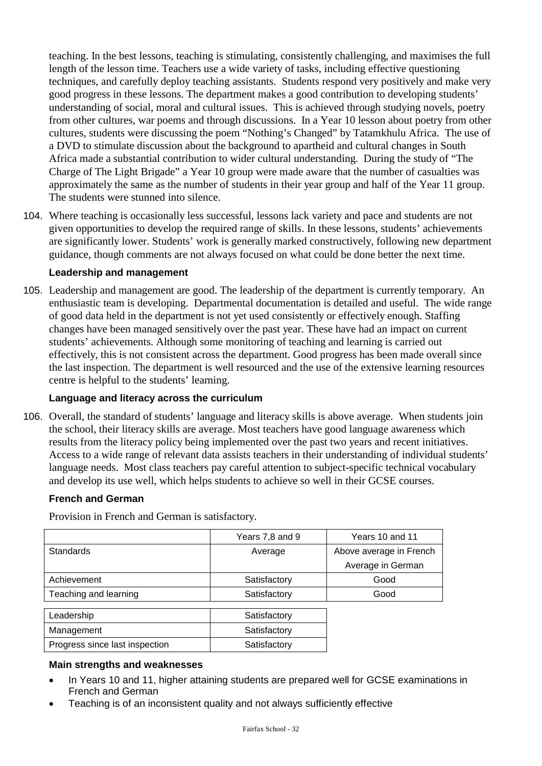teaching. In the best lessons, teaching is stimulating, consistently challenging, and maximises the full length of the lesson time. Teachers use a wide variety of tasks, including effective questioning techniques, and carefully deploy teaching assistants. Students respond very positively and make very good progress in these lessons. The department makes a good contribution to developing students' understanding of social, moral and cultural issues. This is achieved through studying novels, poetry from other cultures, war poems and through discussions. In a Year 10 lesson about poetry from other cultures, students were discussing the poem "Nothing's Changed" by Tatamkhulu Africa. The use of a DVD to stimulate discussion about the background to apartheid and cultural changes in South Africa made a substantial contribution to wider cultural understanding. During the study of "The Charge of The Light Brigade" a Year 10 group were made aware that the number of casualties was approximately the same as the number of students in their year group and half of the Year 11 group. The students were stunned into silence.

104. Where teaching is occasionally less successful, lessons lack variety and pace and students are not given opportunities to develop the required range of skills. In these lessons, students' achievements are significantly lower. Students' work is generally marked constructively, following new department guidance, though comments are not always focused on what could be done better the next time.

#### **Leadership and management**

105. Leadership and management are good. The leadership of the department is currently temporary. An enthusiastic team is developing. Departmental documentation is detailed and useful. The wide range of good data held in the department is not yet used consistently or effectively enough. Staffing changes have been managed sensitively over the past year. These have had an impact on current students' achievements. Although some monitoring of teaching and learning is carried out effectively, this is not consistent across the department. Good progress has been made overall since the last inspection. The department is well resourced and the use of the extensive learning resources centre is helpful to the students' learning.

#### **Language and literacy across the curriculum**

106. Overall, the standard of students' language and literacy skills is above average. When students join the school, their literacy skills are average. Most teachers have good language awareness which results from the literacy policy being implemented over the past two years and recent initiatives. Access to a wide range of relevant data assists teachers in their understanding of individual students' language needs. Most class teachers pay careful attention to subject-specific technical vocabulary and develop its use well, which helps students to achieve so well in their GCSE courses.

## **French and German**

Provision in French and German is satisfactory.

|                                | Years 7,8 and 9 | Years 10 and 11         |
|--------------------------------|-----------------|-------------------------|
| <b>Standards</b>               | Average         | Above average in French |
|                                |                 | Average in German       |
| Achievement                    | Satisfactory    | Good                    |
| Teaching and learning          | Satisfactory    | Good                    |
|                                |                 |                         |
| Leadership                     | Satisfactory    |                         |
| Management                     | Satisfactory    |                         |
| Progress since last inspection | Satisfactory    |                         |

#### **Main strengths and weaknesses**

- In Years 10 and 11, higher attaining students are prepared well for GCSE examinations in French and German
- Teaching is of an inconsistent quality and not always sufficiently effective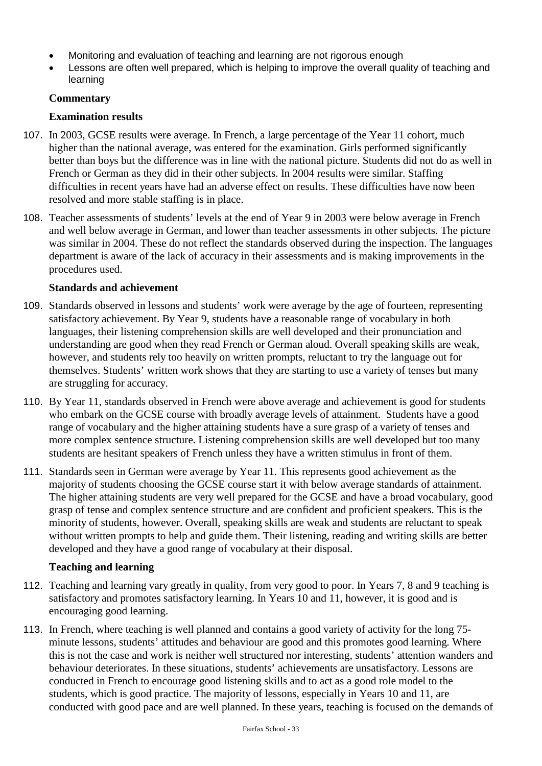- Monitoring and evaluation of teaching and learning are not rigorous enough
- Lessons are often well prepared, which is helping to improve the overall quality of teaching and learning

## **Commentary**

## **Examination results**

- 107. In 2003, GCSE results were average. In French, a large percentage of the Year 11 cohort, much higher than the national average, was entered for the examination. Girls performed significantly better than boys but the difference was in line with the national picture. Students did not do as well in French or German as they did in their other subjects. In 2004 results were similar. Staffing difficulties in recent years have had an adverse effect on results. These difficulties have now been resolved and more stable staffing is in place.
- 108. Teacher assessments of students' levels at the end of Year 9 in 2003 were below average in French and well below average in German, and lower than teacher assessments in other subjects. The picture was similar in 2004. These do not reflect the standards observed during the inspection. The languages department is aware of the lack of accuracy in their assessments and is making improvements in the procedures used.

#### **Standards and achievement**

- 109. Standards observed in lessons and students' work were average by the age of fourteen, representing satisfactory achievement. By Year 9, students have a reasonable range of vocabulary in both languages, their listening comprehension skills are well developed and their pronunciation and understanding are good when they read French or German aloud. Overall speaking skills are weak, however, and students rely too heavily on written prompts, reluctant to try the language out for themselves. Students' written work shows that they are starting to use a variety of tenses but many are struggling for accuracy.
- 110. By Year 11, standards observed in French were above average and achievement is good for students who embark on the GCSE course with broadly average levels of attainment. Students have a good range of vocabulary and the higher attaining students have a sure grasp of a variety of tenses and more complex sentence structure. Listening comprehension skills are well developed but too many students are hesitant speakers of French unless they have a written stimulus in front of them.
- 111. Standards seen in German were average by Year 11. This represents good achievement as the majority of students choosing the GCSE course start it with below average standards of attainment. The higher attaining students are very well prepared for the GCSE and have a broad vocabulary, good grasp of tense and complex sentence structure and are confident and proficient speakers. This is the minority of students, however. Overall, speaking skills are weak and students are reluctant to speak without written prompts to help and guide them. Their listening, reading and writing skills are better developed and they have a good range of vocabulary at their disposal.

#### **Teaching and learning**

- 112. Teaching and learning vary greatly in quality, from very good to poor. In Years 7, 8 and 9 teaching is satisfactory and promotes satisfactory learning. In Years 10 and 11, however, it is good and is encouraging good learning.
- 113. In French, where teaching is well planned and contains a good variety of activity for the long 75 minute lessons, students' attitudes and behaviour are good and this promotes good learning. Where this is not the case and work is neither well structured nor interesting, students' attention wanders and behaviour deteriorates. In these situations, students' achievements are unsatisfactory. Lessons are conducted in French to encourage good listening skills and to act as a good role model to the students, which is good practice. The majority of lessons, especially in Years 10 and 11, are conducted with good pace and are well planned. In these years, teaching is focused on the demands of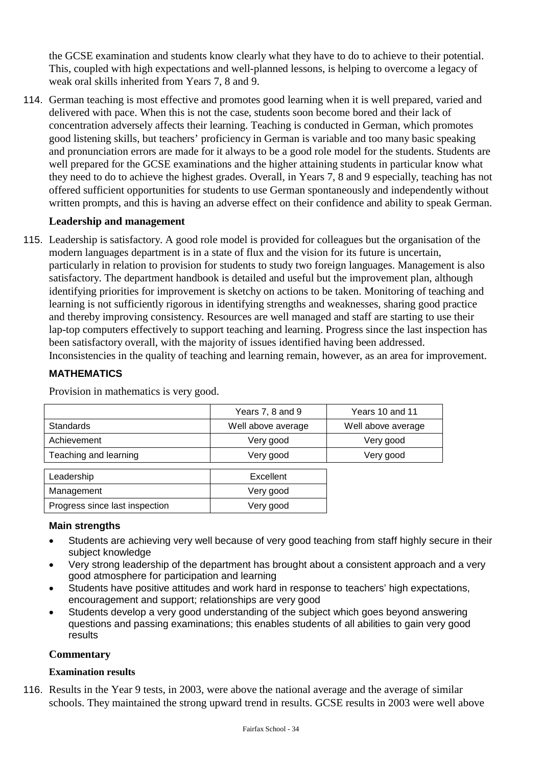the GCSE examination and students know clearly what they have to do to achieve to their potential. This, coupled with high expectations and well-planned lessons, is helping to overcome a legacy of weak oral skills inherited from Years 7, 8 and 9.

114. German teaching is most effective and promotes good learning when it is well prepared, varied and delivered with pace. When this is not the case, students soon become bored and their lack of concentration adversely affects their learning. Teaching is conducted in German, which promotes good listening skills, but teachers' proficiency in German is variable and too many basic speaking and pronunciation errors are made for it always to be a good role model for the students. Students are well prepared for the GCSE examinations and the higher attaining students in particular know what they need to do to achieve the highest grades. Overall, in Years 7, 8 and 9 especially, teaching has not offered sufficient opportunities for students to use German spontaneously and independently without written prompts, and this is having an adverse effect on their confidence and ability to speak German.

## **Leadership and management**

115. Leadership is satisfactory. A good role model is provided for colleagues but the organisation of the modern languages department is in a state of flux and the vision for its future is uncertain, particularly in relation to provision for students to study two foreign languages. Management is also satisfactory. The department handbook is detailed and useful but the improvement plan, although identifying priorities for improvement is sketchy on actions to be taken. Monitoring of teaching and learning is not sufficiently rigorous in identifying strengths and weaknesses, sharing good practice and thereby improving consistency. Resources are well managed and staff are starting to use their lap-top computers effectively to support teaching and learning. Progress since the last inspection has been satisfactory overall, with the majority of issues identified having been addressed. Inconsistencies in the quality of teaching and learning remain, however, as an area for improvement.

#### **MATHEMATICS**

|                                | Years 7, 8 and 9   | Years 10 and 11    |
|--------------------------------|--------------------|--------------------|
| <b>Standards</b>               | Well above average | Well above average |
| Achievement                    | Very good          | Very good          |
| Teaching and learning          | Very good          | Very good          |
|                                |                    |                    |
| Leadership                     | Excellent          |                    |
| Management                     | Very good          |                    |
| Progress since last inspection | Very good          |                    |

Provision in mathematics is very good.

#### **Main strengths**

- Students are achieving very well because of very good teaching from staff highly secure in their subject knowledge
- Very strong leadership of the department has brought about a consistent approach and a very good atmosphere for participation and learning
- Students have positive attitudes and work hard in response to teachers' high expectations, encouragement and support; relationships are very good
- Students develop a very good understanding of the subject which goes beyond answering questions and passing examinations; this enables students of all abilities to gain very good results

#### **Commentary**

#### **Examination results**

116. Results in the Year 9 tests, in 2003, were above the national average and the average of similar schools. They maintained the strong upward trend in results. GCSE results in 2003 were well above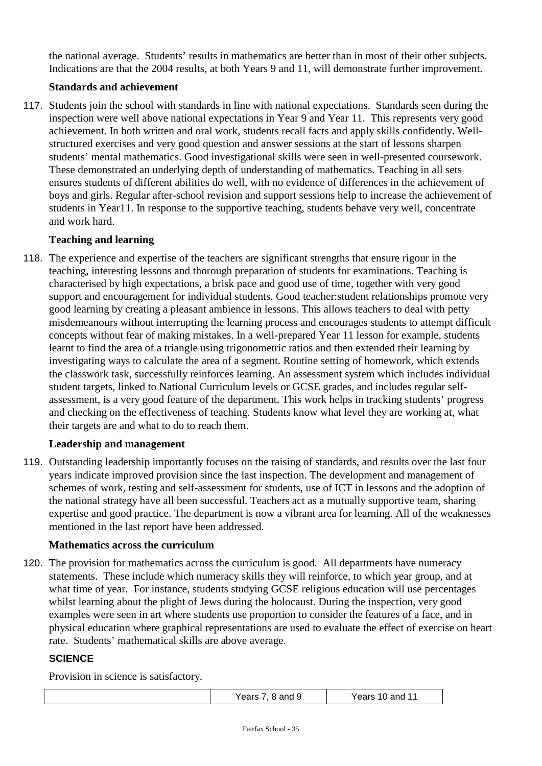the national average. Students' results in mathematics are better than in most of their other subjects. Indications are that the 2004 results, at both Years 9 and 11, will demonstrate further improvement.

## **Standards and achievement**

117. Students join the school with standards in line with national expectations. Standards seen during the inspection were well above national expectations in Year 9 and Year 11. This represents very good achievement. In both written and oral work, students recall facts and apply skills confidently. Wellstructured exercises and very good question and answer sessions at the start of lessons sharpen students' mental mathematics. Good investigational skills were seen in well-presented coursework. These demonstrated an underlying depth of understanding of mathematics. Teaching in all sets ensures students of different abilities do well, with no evidence of differences in the achievement of boys and girls. Regular after-school revision and support sessions help to increase the achievement of students in Year11. In response to the supportive teaching, students behave very well, concentrate and work hard.

## **Teaching and learning**

118. The experience and expertise of the teachers are significant strengths that ensure rigour in the teaching, interesting lessons and thorough preparation of students for examinations. Teaching is characterised by high expectations, a brisk pace and good use of time, together with very good support and encouragement for individual students. Good teacher:student relationships promote very good learning by creating a pleasant ambience in lessons. This allows teachers to deal with petty misdemeanours without interrupting the learning process and encourages students to attempt difficult concepts without fear of making mistakes. In a well-prepared Year 11 lesson for example, students learnt to find the area of a triangle using trigonometric ratios and then extended their learning by investigating ways to calculate the area of a segment. Routine setting of homework, which extends the classwork task, successfully reinforces learning. An assessment system which includes individual student targets, linked to National Curriculum levels or GCSE grades, and includes regular selfassessment, is a very good feature of the department. This work helps in tracking students' progress and checking on the effectiveness of teaching. Students know what level they are working at, what their targets are and what to do to reach them.

## **Leadership and management**

119. Outstanding leadership importantly focuses on the raising of standards, and results over the last four years indicate improved provision since the last inspection. The development and management of schemes of work, testing and self-assessment for students, use of ICT in lessons and the adoption of the national strategy have all been successful. Teachers act as a mutually supportive team, sharing expertise and good practice. The department is now a vibrant area for learning. All of the weaknesses mentioned in the last report have been addressed.

## **Mathematics across the curriculum**

120. The provision for mathematics across the curriculum is good. All departments have numeracy statements. These include which numeracy skills they will reinforce, to which year group, and at what time of year. For instance, students studying GCSE religious education will use percentages whilst learning about the plight of Jews during the holocaust. During the inspection, very good examples were seen in art where students use proportion to consider the features of a face, and in physical education where graphical representations are used to evaluate the effect of exercise on heart rate. Students' mathematical skills are above average.

# **SCIENCE**

Provision in science is satisfactory.

|  | Years 7, 8 and 9 | Years 10 and 11 |  |
|--|------------------|-----------------|--|
|--|------------------|-----------------|--|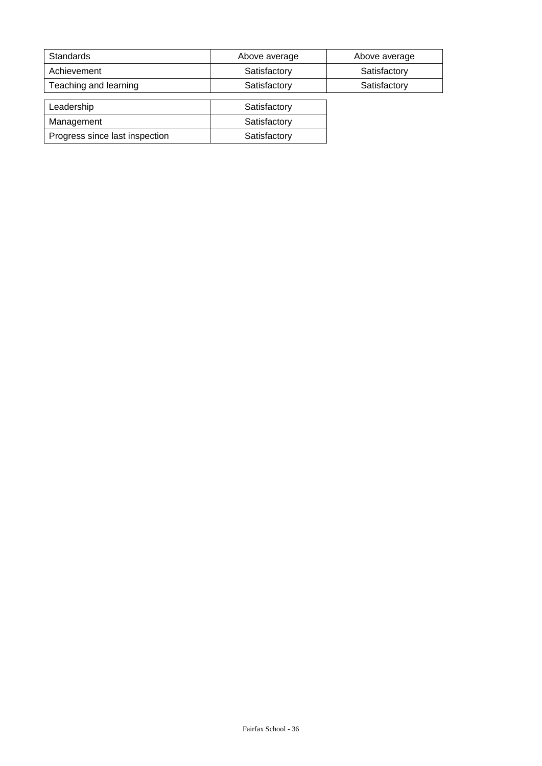| Standards             | Above average | Above average |
|-----------------------|---------------|---------------|
| Achievement           | Satisfactory  | Satisfactory  |
| Teaching and learning | Satisfactory  | Satisfactory  |
|                       |               |               |
| Leadership            | Satisfactory  |               |
| . .                   | .             |               |

| Management                     | Satisfactory |
|--------------------------------|--------------|
| Progress since last inspection | Satisfactory |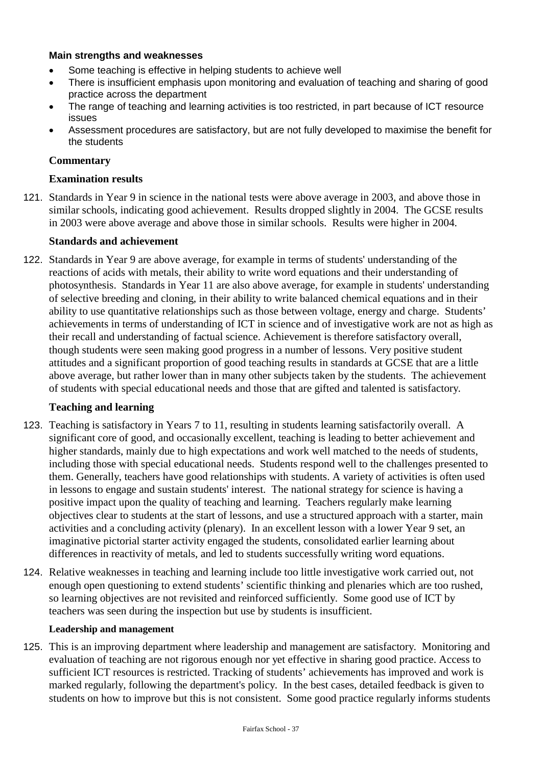### **Main strengths and weaknesses**

- Some teaching is effective in helping students to achieve well
- There is insufficient emphasis upon monitoring and evaluation of teaching and sharing of good practice across the department
- The range of teaching and learning activities is too restricted, in part because of ICT resource issues
- Assessment procedures are satisfactory, but are not fully developed to maximise the benefit for the students

### **Commentary**

### **Examination results**

121. Standards in Year 9 in science in the national tests were above average in 2003, and above those in similar schools, indicating good achievement. Results dropped slightly in 2004. The GCSE results in 2003 were above average and above those in similar schools. Results were higher in 2004.

#### **Standards and achievement**

122. Standards in Year 9 are above average, for example in terms of students' understanding of the reactions of acids with metals, their ability to write word equations and their understanding of photosynthesis. Standards in Year 11 are also above average, for example in students' understanding of selective breeding and cloning, in their ability to write balanced chemical equations and in their ability to use quantitative relationships such as those between voltage, energy and charge. Students' achievements in terms of understanding of ICT in science and of investigative work are not as high as their recall and understanding of factual science. Achievement is therefore satisfactory overall, though students were seen making good progress in a number of lessons. Very positive student attitudes and a significant proportion of good teaching results in standards at GCSE that are a little above average, but rather lower than in many other subjects taken by the students. The achievement of students with special educational needs and those that are gifted and talented is satisfactory.

#### **Teaching and learning**

- 123. Teaching is satisfactory in Years 7 to 11, resulting in students learning satisfactorily overall. A significant core of good, and occasionally excellent, teaching is leading to better achievement and higher standards, mainly due to high expectations and work well matched to the needs of students, including those with special educational needs. Students respond well to the challenges presented to them. Generally, teachers have good relationships with students. A variety of activities is often used in lessons to engage and sustain students' interest. The national strategy for science is having a positive impact upon the quality of teaching and learning. Teachers regularly make learning objectives clear to students at the start of lessons, and use a structured approach with a starter, main activities and a concluding activity (plenary). In an excellent lesson with a lower Year 9 set, an imaginative pictorial starter activity engaged the students, consolidated earlier learning about differences in reactivity of metals, and led to students successfully writing word equations.
- 124. Relative weaknesses in teaching and learning include too little investigative work carried out, not enough open questioning to extend students' scientific thinking and plenaries which are too rushed, so learning objectives are not revisited and reinforced sufficiently. Some good use of ICT by teachers was seen during the inspection but use by students is insufficient.

#### **Leadership and management**

125. This is an improving department where leadership and management are satisfactory. Monitoring and evaluation of teaching are not rigorous enough nor yet effective in sharing good practice. Access to sufficient ICT resources is restricted. Tracking of students' achievements has improved and work is marked regularly, following the department's policy. In the best cases, detailed feedback is given to students on how to improve but this is not consistent. Some good practice regularly informs students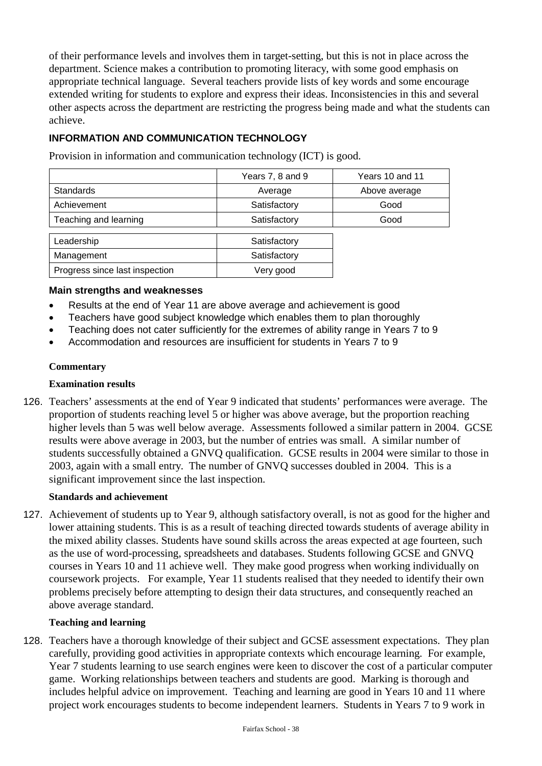of their performance levels and involves them in target-setting, but this is not in place across the department. Science makes a contribution to promoting literacy, with some good emphasis on appropriate technical language. Several teachers provide lists of key words and some encourage extended writing for students to explore and express their ideas. Inconsistencies in this and several other aspects across the department are restricting the progress being made and what the students can achieve.

# **INFORMATION AND COMMUNICATION TECHNOLOGY**

Provision in information and communication technology (ICT) is good.

|                                | Years 7, 8 and 9 | Years 10 and 11 |
|--------------------------------|------------------|-----------------|
| Standards                      | Average          | Above average   |
| Achievement                    | Satisfactory     | Good            |
| Teaching and learning          | Satisfactory     | Good            |
| Leadership                     | Satisfactory     |                 |
| Management                     | Satisfactory     |                 |
| Progress since last inspection | Very good        |                 |

#### **Main strengths and weaknesses**

- Results at the end of Year 11 are above average and achievement is good
- Teachers have good subject knowledge which enables them to plan thoroughly
- Teaching does not cater sufficiently for the extremes of ability range in Years 7 to 9
- Accommodation and resources are insufficient for students in Years 7 to 9

#### **Commentary**

#### **Examination results**

126. Teachers' assessments at the end of Year 9 indicated that students' performances were average. The proportion of students reaching level 5 or higher was above average, but the proportion reaching higher levels than 5 was well below average. Assessments followed a similar pattern in 2004. GCSE results were above average in 2003, but the number of entries was small. A similar number of students successfully obtained a GNVQ qualification. GCSE results in 2004 were similar to those in 2003, again with a small entry. The number of GNVQ successes doubled in 2004. This is a significant improvement since the last inspection.

#### **Standards and achievement**

127. Achievement of students up to Year 9, although satisfactory overall, is not as good for the higher and lower attaining students. This is as a result of teaching directed towards students of average ability in the mixed ability classes. Students have sound skills across the areas expected at age fourteen, such as the use of word-processing, spreadsheets and databases. Students following GCSE and GNVQ courses in Years 10 and 11 achieve well. They make good progress when working individually on coursework projects. For example, Year 11 students realised that they needed to identify their own problems precisely before attempting to design their data structures, and consequently reached an above average standard.

#### **Teaching and learning**

128. Teachers have a thorough knowledge of their subject and GCSE assessment expectations. They plan carefully, providing good activities in appropriate contexts which encourage learning. For example, Year 7 students learning to use search engines were keen to discover the cost of a particular computer game. Working relationships between teachers and students are good. Marking is thorough and includes helpful advice on improvement. Teaching and learning are good in Years 10 and 11 where project work encourages students to become independent learners. Students in Years 7 to 9 work in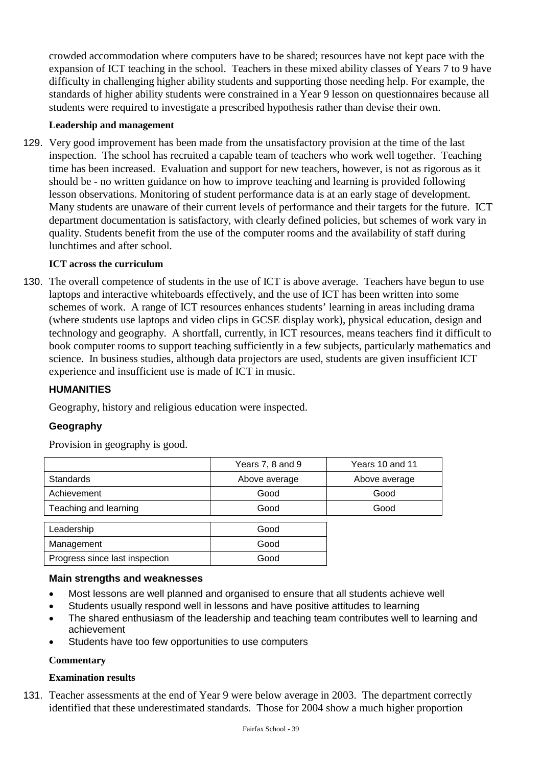crowded accommodation where computers have to be shared; resources have not kept pace with the expansion of ICT teaching in the school. Teachers in these mixed ability classes of Years 7 to 9 have difficulty in challenging higher ability students and supporting those needing help. For example, the standards of higher ability students were constrained in a Year 9 lesson on questionnaires because all students were required to investigate a prescribed hypothesis rather than devise their own.

### **Leadership and management**

129. Very good improvement has been made from the unsatisfactory provision at the time of the last inspection. The school has recruited a capable team of teachers who work well together. Teaching time has been increased. Evaluation and support for new teachers, however, is not as rigorous as it should be - no written guidance on how to improve teaching and learning is provided following lesson observations. Monitoring of student performance data is at an early stage of development. Many students are unaware of their current levels of performance and their targets for the future. ICT department documentation is satisfactory, with clearly defined policies, but schemes of work vary in quality. Students benefit from the use of the computer rooms and the availability of staff during lunchtimes and after school.

#### **ICT across the curriculum**

130. The overall competence of students in the use of ICT is above average. Teachers have begun to use laptops and interactive whiteboards effectively, and the use of ICT has been written into some schemes of work. A range of ICT resources enhances students' learning in areas including drama (where students use laptops and video clips in GCSE display work), physical education, design and technology and geography. A shortfall, currently, in ICT resources, means teachers find it difficult to book computer rooms to support teaching sufficiently in a few subjects, particularly mathematics and science. In business studies, although data projectors are used, students are given insufficient ICT experience and insufficient use is made of ICT in music.

## **HUMANITIES**

Geography, history and religious education were inspected.

## **Geography**

Provision in geography is good.

|                                | Years 7, 8 and 9 | Years 10 and 11 |
|--------------------------------|------------------|-----------------|
| Standards                      | Above average    | Above average   |
| Achievement                    | Good             | Good            |
| Teaching and learning          | Good             | Good            |
|                                |                  |                 |
| Leadership                     | Good             |                 |
| Management                     | Good             |                 |
| Progress since last inspection | Good             |                 |

#### **Main strengths and weaknesses**

- Most lessons are well planned and organised to ensure that all students achieve well
- Students usually respond well in lessons and have positive attitudes to learning
- The shared enthusiasm of the leadership and teaching team contributes well to learning and achievement
- Students have too few opportunities to use computers

#### **Commentary**

#### **Examination results**

131. Teacher assessments at the end of Year 9 were below average in 2003. The department correctly identified that these underestimated standards. Those for 2004 show a much higher proportion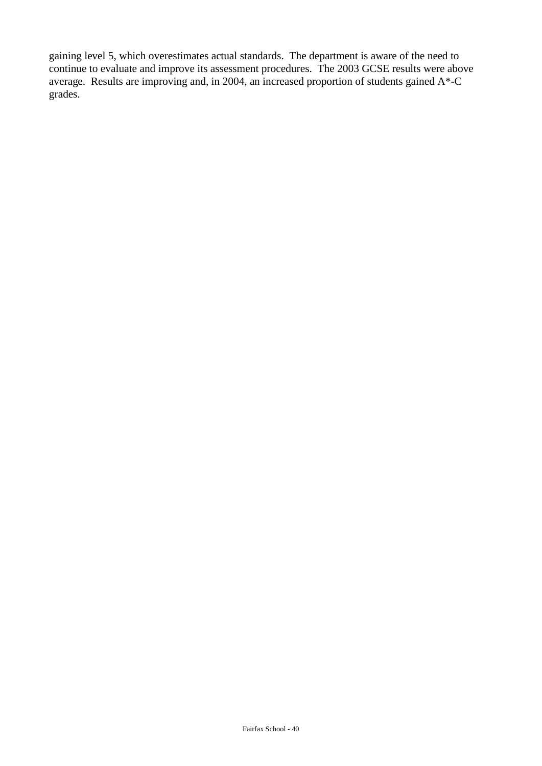gaining level 5, which overestimates actual standards. The department is aware of the need to continue to evaluate and improve its assessment procedures. The 2003 GCSE results were above average. Results are improving and, in 2004, an increased proportion of students gained A\*-C grades.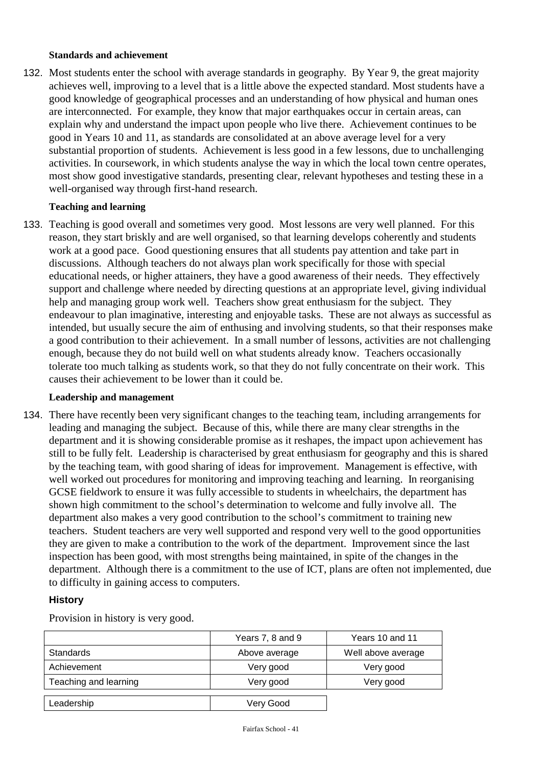#### **Standards and achievement**

132. Most students enter the school with average standards in geography. By Year 9, the great majority achieves well, improving to a level that is a little above the expected standard. Most students have a good knowledge of geographical processes and an understanding of how physical and human ones are interconnected. For example, they know that major earthquakes occur in certain areas, can explain why and understand the impact upon people who live there. Achievement continues to be good in Years 10 and 11, as standards are consolidated at an above average level for a very substantial proportion of students. Achievement is less good in a few lessons, due to unchallenging activities. In coursework, in which students analyse the way in which the local town centre operates, most show good investigative standards, presenting clear, relevant hypotheses and testing these in a well-organised way through first-hand research.

#### **Teaching and learning**

133. Teaching is good overall and sometimes very good. Most lessons are very well planned. For this reason, they start briskly and are well organised, so that learning develops coherently and students work at a good pace. Good questioning ensures that all students pay attention and take part in discussions. Although teachers do not always plan work specifically for those with special educational needs, or higher attainers, they have a good awareness of their needs. They effectively support and challenge where needed by directing questions at an appropriate level, giving individual help and managing group work well. Teachers show great enthusiasm for the subject. They endeavour to plan imaginative, interesting and enjoyable tasks. These are not always as successful as intended, but usually secure the aim of enthusing and involving students, so that their responses make a good contribution to their achievement. In a small number of lessons, activities are not challenging enough, because they do not build well on what students already know. Teachers occasionally tolerate too much talking as students work, so that they do not fully concentrate on their work. This causes their achievement to be lower than it could be.

#### **Leadership and management**

134. There have recently been very significant changes to the teaching team, including arrangements for leading and managing the subject. Because of this, while there are many clear strengths in the department and it is showing considerable promise as it reshapes, the impact upon achievement has still to be fully felt. Leadership is characterised by great enthusiasm for geography and this is shared by the teaching team, with good sharing of ideas for improvement. Management is effective, with well worked out procedures for monitoring and improving teaching and learning. In reorganising GCSE fieldwork to ensure it was fully accessible to students in wheelchairs, the department has shown high commitment to the school's determination to welcome and fully involve all. The department also makes a very good contribution to the school's commitment to training new teachers. Student teachers are very well supported and respond very well to the good opportunities they are given to make a contribution to the work of the department. Improvement since the last inspection has been good, with most strengths being maintained, in spite of the changes in the department. Although there is a commitment to the use of ICT, plans are often not implemented, due to difficulty in gaining access to computers.

#### **History**

Provision in history is very good.

|                       | Years 7, 8 and 9 | Years 10 and 11    |
|-----------------------|------------------|--------------------|
| <b>Standards</b>      | Above average    | Well above average |
| Achievement           | Very good        | Very good          |
| Teaching and learning | Very good        | Very good          |
|                       |                  |                    |
| Leadership            | Very Good        |                    |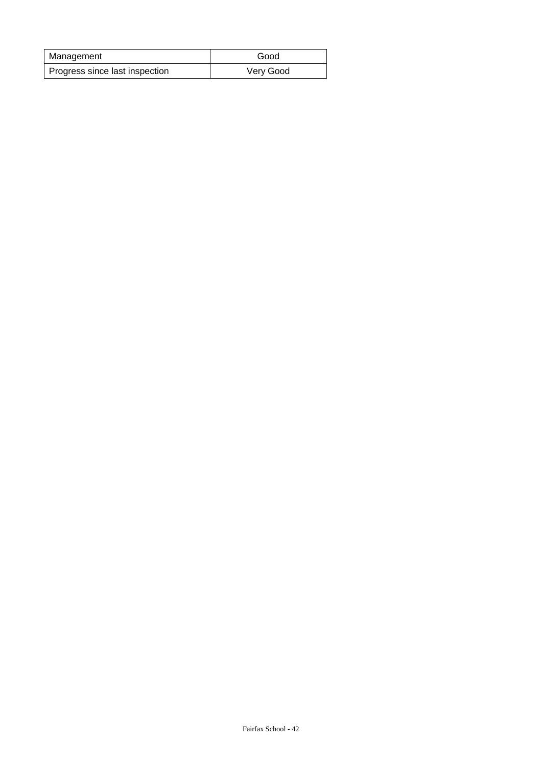| Management                     | Good      |
|--------------------------------|-----------|
| Progress since last inspection | Very Good |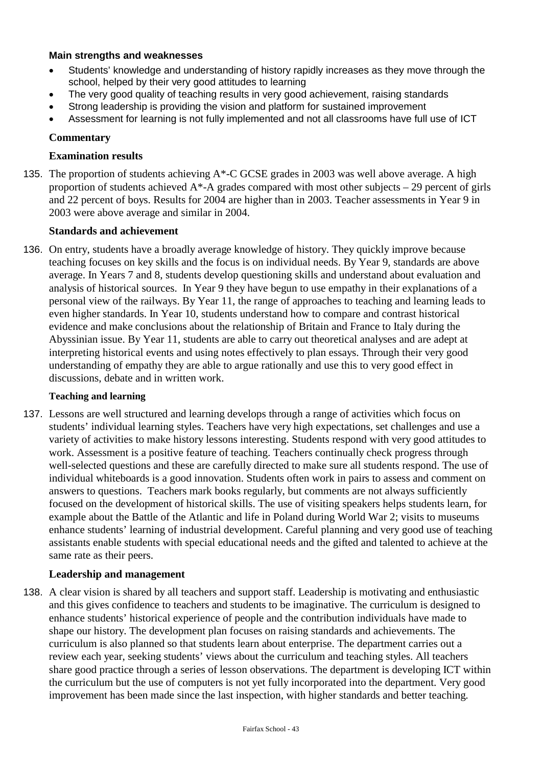### **Main strengths and weaknesses**

- Students' knowledge and understanding of history rapidly increases as they move through the school, helped by their very good attitudes to learning
- The very good quality of teaching results in very good achievement, raising standards
- Strong leadership is providing the vision and platform for sustained improvement
- Assessment for learning is not fully implemented and not all classrooms have full use of ICT

### **Commentary**

### **Examination results**

135. The proportion of students achieving A\*-C GCSE grades in 2003 was well above average. A high proportion of students achieved  $A^*$ -A grades compared with most other subjects – 29 percent of girls and 22 percent of boys. Results for 2004 are higher than in 2003. Teacher assessments in Year 9 in 2003 were above average and similar in 2004.

#### **Standards and achievement**

136. On entry, students have a broadly average knowledge of history. They quickly improve because teaching focuses on key skills and the focus is on individual needs. By Year 9, standards are above average. In Years 7 and 8, students develop questioning skills and understand about evaluation and analysis of historical sources. In Year 9 they have begun to use empathy in their explanations of a personal view of the railways. By Year 11, the range of approaches to teaching and learning leads to even higher standards. In Year 10, students understand how to compare and contrast historical evidence and make conclusions about the relationship of Britain and France to Italy during the Abyssinian issue. By Year 11, students are able to carry out theoretical analyses and are adept at interpreting historical events and using notes effectively to plan essays. Through their very good understanding of empathy they are able to argue rationally and use this to very good effect in discussions, debate and in written work.

#### **Teaching and learning**

137. Lessons are well structured and learning develops through a range of activities which focus on students' individual learning styles. Teachers have very high expectations, set challenges and use a variety of activities to make history lessons interesting. Students respond with very good attitudes to work. Assessment is a positive feature of teaching. Teachers continually check progress through well-selected questions and these are carefully directed to make sure all students respond. The use of individual whiteboards is a good innovation. Students often work in pairs to assess and comment on answers to questions. Teachers mark books regularly, but comments are not always sufficiently focused on the development of historical skills. The use of visiting speakers helps students learn, for example about the Battle of the Atlantic and life in Poland during World War 2; visits to museums enhance students' learning of industrial development. Careful planning and very good use of teaching assistants enable students with special educational needs and the gifted and talented to achieve at the same rate as their peers.

#### **Leadership and management**

138. A clear vision is shared by all teachers and support staff. Leadership is motivating and enthusiastic and this gives confidence to teachers and students to be imaginative. The curriculum is designed to enhance students' historical experience of people and the contribution individuals have made to shape our history. The development plan focuses on raising standards and achievements. The curriculum is also planned so that students learn about enterprise. The department carries out a review each year, seeking students' views about the curriculum and teaching styles. All teachers share good practice through a series of lesson observations. The department is developing ICT within the curriculum but the use of computers is not yet fully incorporated into the department. Very good improvement has been made since the last inspection, with higher standards and better teaching.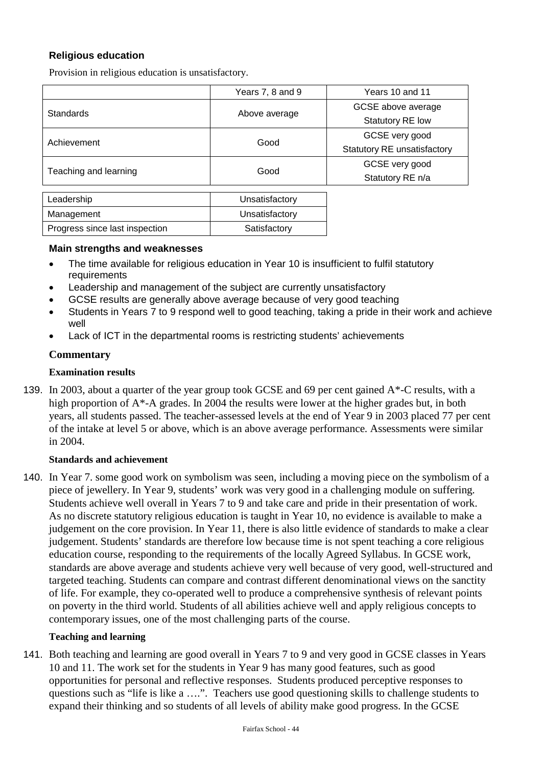## **Religious education**

Provision in religious education is unsatisfactory.

|                       | Years 7, 8 and 9 | Years 10 and 11                    |
|-----------------------|------------------|------------------------------------|
|                       |                  | GCSE above average                 |
| <b>Standards</b>      | Above average    | Statutory RE low                   |
| Achievement           |                  | GCSE very good                     |
|                       | Good             | <b>Statutory RE unsatisfactory</b> |
| Teaching and learning |                  | GCSE very good                     |
|                       | Good             | Statutory RE n/a                   |
|                       |                  |                                    |
| Leadership            | Unsatisfactory   |                                    |

| Management                     | Unsatisfactory |
|--------------------------------|----------------|
| Progress since last inspection | Satisfactory   |

#### **Main strengths and weaknesses**

- The time available for religious education in Year 10 is insufficient to fulfil statutory requirements
- Leadership and management of the subject are currently unsatisfactory
- GCSE results are generally above average because of very good teaching
- Students in Years 7 to 9 respond well to good teaching, taking a pride in their work and achieve well
- Lack of ICT in the departmental rooms is restricting students' achievements

### **Commentary**

### **Examination results**

139. In 2003, about a quarter of the year group took GCSE and 69 per cent gained A\*-C results, with a high proportion of A<sup>\*</sup>-A grades. In 2004 the results were lower at the higher grades but, in both years, all students passed. The teacher-assessed levels at the end of Year 9 in 2003 placed 77 per cent of the intake at level 5 or above, which is an above average performance. Assessments were similar in 2004.

#### **Standards and achievement**

140. In Year 7. some good work on symbolism was seen, including a moving piece on the symbolism of a piece of jewellery. In Year 9, students' work was very good in a challenging module on suffering. Students achieve well overall in Years 7 to 9 and take care and pride in their presentation of work. As no discrete statutory religious education is taught in Year 10, no evidence is available to make a judgement on the core provision. In Year 11, there is also little evidence of standards to make a clear judgement. Students' standards are therefore low because time is not spent teaching a core religious education course, responding to the requirements of the locally Agreed Syllabus. In GCSE work, standards are above average and students achieve very well because of very good, well-structured and targeted teaching. Students can compare and contrast different denominational views on the sanctity of life. For example, they co-operated well to produce a comprehensive synthesis of relevant points on poverty in the third world. Students of all abilities achieve well and apply religious concepts to contemporary issues, one of the most challenging parts of the course.

#### **Teaching and learning**

141. Both teaching and learning are good overall in Years 7 to 9 and very good in GCSE classes in Years 10 and 11. The work set for the students in Year 9 has many good features, such as good opportunities for personal and reflective responses. Students produced perceptive responses to questions such as "life is like a ….". Teachers use good questioning skills to challenge students to expand their thinking and so students of all levels of ability make good progress. In the GCSE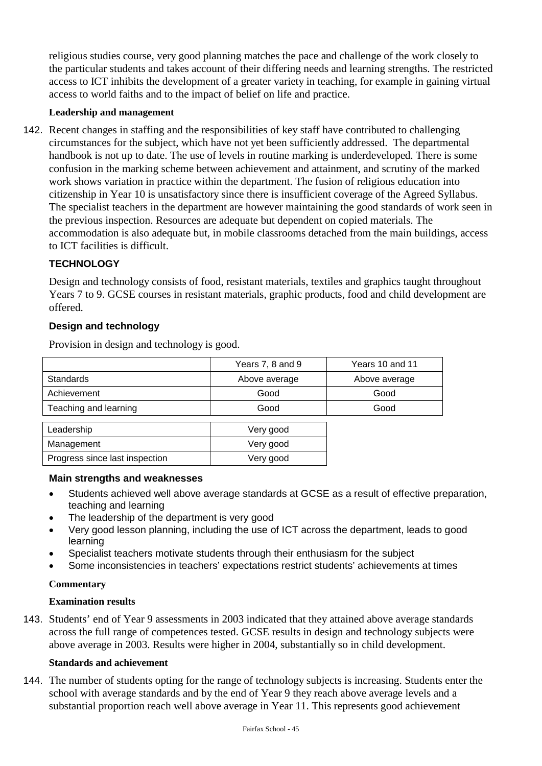religious studies course, very good planning matches the pace and challenge of the work closely to the particular students and takes account of their differing needs and learning strengths. The restricted access to ICT inhibits the development of a greater variety in teaching, for example in gaining virtual access to world faiths and to the impact of belief on life and practice.

### **Leadership and management**

142. Recent changes in staffing and the responsibilities of key staff have contributed to challenging circumstances for the subject, which have not yet been sufficiently addressed. The departmental handbook is not up to date. The use of levels in routine marking is underdeveloped. There is some confusion in the marking scheme between achievement and attainment, and scrutiny of the marked work shows variation in practice within the department. The fusion of religious education into citizenship in Year 10 is unsatisfactory since there is insufficient coverage of the Agreed Syllabus. The specialist teachers in the department are however maintaining the good standards of work seen in the previous inspection. Resources are adequate but dependent on copied materials. The accommodation is also adequate but, in mobile classrooms detached from the main buildings, access to ICT facilities is difficult.

## **TECHNOLOGY**

Design and technology consists of food, resistant materials, textiles and graphics taught throughout Years 7 to 9. GCSE courses in resistant materials, graphic products, food and child development are offered.

## **Design and technology**

Provision in design and technology is good.

|                       | Years 7, 8 and 9 | Years 10 and 11 |
|-----------------------|------------------|-----------------|
| <b>Standards</b>      | Above average    | Above average   |
| Achievement           | Good             | Good            |
| Teaching and learning | Good             | Good            |

| Leadership                     | Very good |
|--------------------------------|-----------|
| Management                     | Very good |
| Progress since last inspection | Very good |

#### **Main strengths and weaknesses**

- Students achieved well above average standards at GCSE as a result of effective preparation, teaching and learning
- The leadership of the department is very good
- Very good lesson planning, including the use of ICT across the department, leads to good learning
- Specialist teachers motivate students through their enthusiasm for the subject
- Some inconsistencies in teachers' expectations restrict students' achievements at times

## **Commentary**

#### **Examination results**

143. Students' end of Year 9 assessments in 2003 indicated that they attained above average standards across the full range of competences tested. GCSE results in design and technology subjects were above average in 2003. Results were higher in 2004, substantially so in child development.

#### **Standards and achievement**

144. The number of students opting for the range of technology subjects is increasing. Students enter the school with average standards and by the end of Year 9 they reach above average levels and a substantial proportion reach well above average in Year 11. This represents good achievement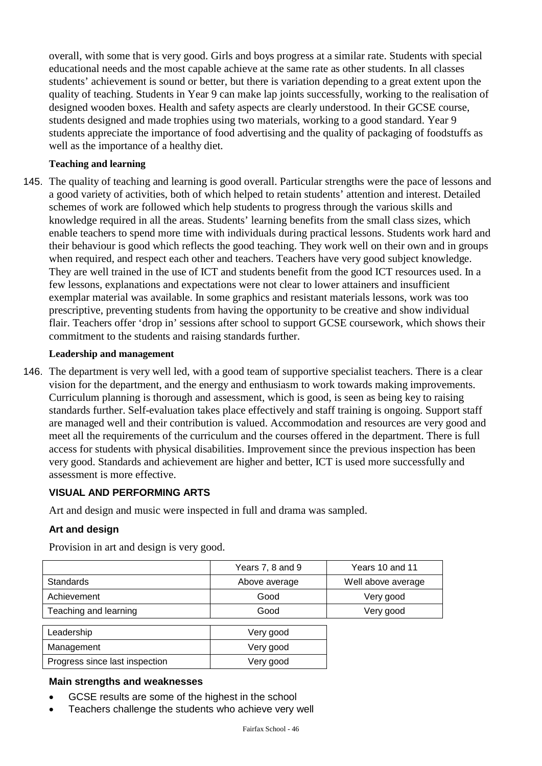overall, with some that is very good. Girls and boys progress at a similar rate. Students with special educational needs and the most capable achieve at the same rate as other students. In all classes students' achievement is sound or better, but there is variation depending to a great extent upon the quality of teaching. Students in Year 9 can make lap joints successfully, working to the realisation of designed wooden boxes. Health and safety aspects are clearly understood. In their GCSE course, students designed and made trophies using two materials, working to a good standard. Year 9 students appreciate the importance of food advertising and the quality of packaging of foodstuffs as well as the importance of a healthy diet.

### **Teaching and learning**

145. The quality of teaching and learning is good overall. Particular strengths were the pace of lessons and a good variety of activities, both of which helped to retain students' attention and interest. Detailed schemes of work are followed which help students to progress through the various skills and knowledge required in all the areas. Students' learning benefits from the small class sizes, which enable teachers to spend more time with individuals during practical lessons. Students work hard and their behaviour is good which reflects the good teaching. They work well on their own and in groups when required, and respect each other and teachers. Teachers have very good subject knowledge. They are well trained in the use of ICT and students benefit from the good ICT resources used. In a few lessons, explanations and expectations were not clear to lower attainers and insufficient exemplar material was available. In some graphics and resistant materials lessons, work was too prescriptive, preventing students from having the opportunity to be creative and show individual flair. Teachers offer 'drop in' sessions after school to support GCSE coursework, which shows their commitment to the students and raising standards further.

#### **Leadership and management**

146. The department is very well led, with a good team of supportive specialist teachers. There is a clear vision for the department, and the energy and enthusiasm to work towards making improvements. Curriculum planning is thorough and assessment, which is good, is seen as being key to raising standards further. Self-evaluation takes place effectively and staff training is ongoing. Support staff are managed well and their contribution is valued. Accommodation and resources are very good and meet all the requirements of the curriculum and the courses offered in the department. There is full access for students with physical disabilities. Improvement since the previous inspection has been very good. Standards and achievement are higher and better, ICT is used more successfully and assessment is more effective.

#### **VISUAL AND PERFORMING ARTS**

Art and design and music were inspected in full and drama was sampled.

#### **Art and design**

Provision in art and design is very good.

|                       | Years 7, 8 and 9 | Years 10 and 11    |
|-----------------------|------------------|--------------------|
| Standards             | Above average    | Well above average |
| Achievement           | Good             | Very good          |
| Teaching and learning | Good             | Very good          |
| Leadership            | Verv aood        |                    |

| Leadership                     | Very good |
|--------------------------------|-----------|
| Management                     | Very good |
| Progress since last inspection | Very good |
|                                |           |

### **Main strengths and weaknesses**

- GCSE results are some of the highest in the school
- Teachers challenge the students who achieve very well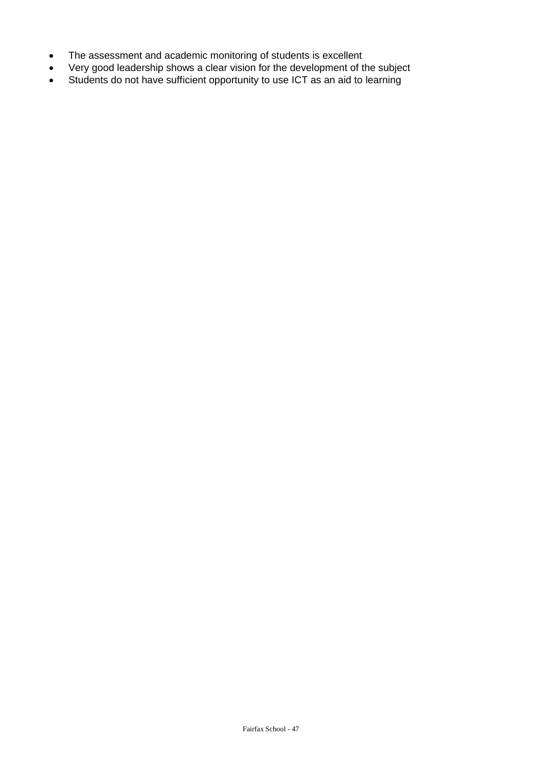- The assessment and academic monitoring of students is excellent
- Very good leadership shows a clear vision for the development of the subject
- Students do not have sufficient opportunity to use ICT as an aid to learning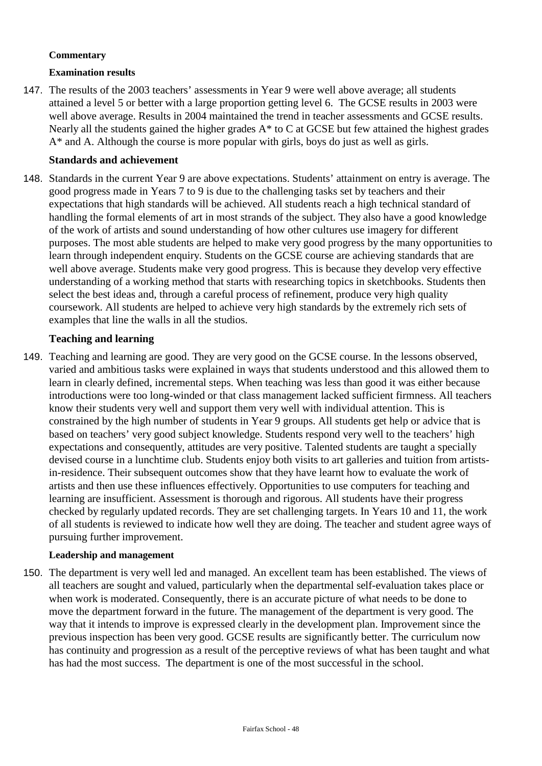### **Commentary**

### **Examination results**

147. The results of the 2003 teachers' assessments in Year 9 were well above average; all students attained a level 5 or better with a large proportion getting level 6. The GCSE results in 2003 were well above average. Results in 2004 maintained the trend in teacher assessments and GCSE results. Nearly all the students gained the higher grades A\* to C at GCSE but few attained the highest grades A\* and A. Although the course is more popular with girls, boys do just as well as girls.

### **Standards and achievement**

148. Standards in the current Year 9 are above expectations. Students' attainment on entry is average. The good progress made in Years 7 to 9 is due to the challenging tasks set by teachers and their expectations that high standards will be achieved. All students reach a high technical standard of handling the formal elements of art in most strands of the subject. They also have a good knowledge of the work of artists and sound understanding of how other cultures use imagery for different purposes. The most able students are helped to make very good progress by the many opportunities to learn through independent enquiry. Students on the GCSE course are achieving standards that are well above average. Students make very good progress. This is because they develop very effective understanding of a working method that starts with researching topics in sketchbooks. Students then select the best ideas and, through a careful process of refinement, produce very high quality coursework. All students are helped to achieve very high standards by the extremely rich sets of examples that line the walls in all the studios.

### **Teaching and learning**

149. Teaching and learning are good. They are very good on the GCSE course. In the lessons observed, varied and ambitious tasks were explained in ways that students understood and this allowed them to learn in clearly defined, incremental steps. When teaching was less than good it was either because introductions were too long-winded or that class management lacked sufficient firmness. All teachers know their students very well and support them very well with individual attention. This is constrained by the high number of students in Year 9 groups. All students get help or advice that is based on teachers' very good subject knowledge. Students respond very well to the teachers' high expectations and consequently, attitudes are very positive. Talented students are taught a specially devised course in a lunchtime club. Students enjoy both visits to art galleries and tuition from artistsin-residence. Their subsequent outcomes show that they have learnt how to evaluate the work of artists and then use these influences effectively. Opportunities to use computers for teaching and learning are insufficient. Assessment is thorough and rigorous. All students have their progress checked by regularly updated records. They are set challenging targets. In Years 10 and 11, the work of all students is reviewed to indicate how well they are doing. The teacher and student agree ways of pursuing further improvement.

#### **Leadership and management**

150. The department is very well led and managed. An excellent team has been established. The views of all teachers are sought and valued, particularly when the departmental self-evaluation takes place or when work is moderated. Consequently, there is an accurate picture of what needs to be done to move the department forward in the future. The management of the department is very good. The way that it intends to improve is expressed clearly in the development plan. Improvement since the previous inspection has been very good. GCSE results are significantly better. The curriculum now has continuity and progression as a result of the perceptive reviews of what has been taught and what has had the most success. The department is one of the most successful in the school.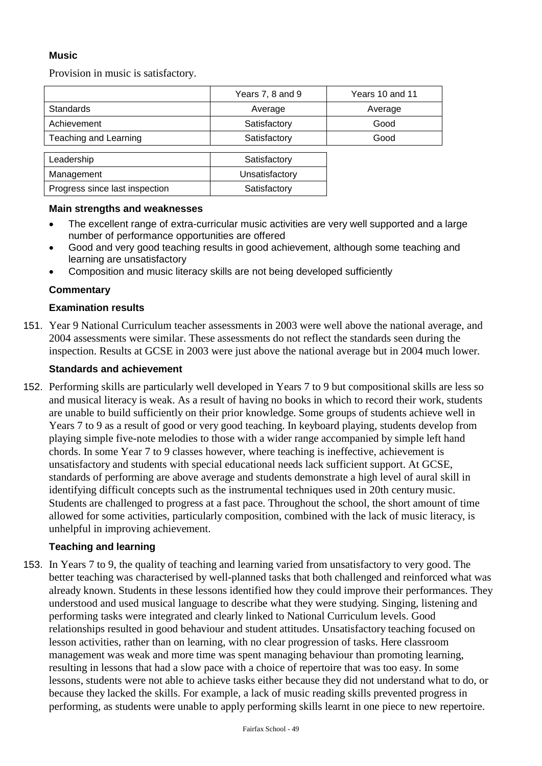### **Music**

Provision in music is satisfactory.

|                                | Years 7, 8 and 9 | Years 10 and 11 |
|--------------------------------|------------------|-----------------|
| <b>Standards</b>               | Average          | Average         |
| Achievement                    | Satisfactory     | Good            |
| Teaching and Learning          | Satisfactory     | Good            |
|                                |                  |                 |
| Leadership                     | Satisfactory     |                 |
| Management                     | Unsatisfactory   |                 |
| Progress since last inspection | Satisfactory     |                 |

#### **Main strengths and weaknesses**

- The excellent range of extra-curricular music activities are very well supported and a large number of performance opportunities are offered
- Good and very good teaching results in good achievement, although some teaching and learning are unsatisfactory
- Composition and music literacy skills are not being developed sufficiently

#### **Commentary**

#### **Examination results**

151. Year 9 National Curriculum teacher assessments in 2003 were well above the national average, and 2004 assessments were similar. These assessments do not reflect the standards seen during the inspection. Results at GCSE in 2003 were just above the national average but in 2004 much lower.

#### **Standards and achievement**

152. Performing skills are particularly well developed in Years 7 to 9 but compositional skills are less so and musical literacy is weak. As a result of having no books in which to record their work, students are unable to build sufficiently on their prior knowledge. Some groups of students achieve well in Years 7 to 9 as a result of good or very good teaching. In keyboard playing, students develop from playing simple five-note melodies to those with a wider range accompanied by simple left hand chords. In some Year 7 to 9 classes however, where teaching is ineffective, achievement is unsatisfactory and students with special educational needs lack sufficient support. At GCSE, standards of performing are above average and students demonstrate a high level of aural skill in identifying difficult concepts such as the instrumental techniques used in 20th century music. Students are challenged to progress at a fast pace. Throughout the school, the short amount of time allowed for some activities, particularly composition, combined with the lack of music literacy, is unhelpful in improving achievement.

#### **Teaching and learning**

153. In Years 7 to 9, the quality of teaching and learning varied from unsatisfactory to very good. The better teaching was characterised by well-planned tasks that both challenged and reinforced what was already known. Students in these lessons identified how they could improve their performances. They understood and used musical language to describe what they were studying. Singing, listening and performing tasks were integrated and clearly linked to National Curriculum levels. Good relationships resulted in good behaviour and student attitudes. Unsatisfactory teaching focused on lesson activities, rather than on learning, with no clear progression of tasks. Here classroom management was weak and more time was spent managing behaviour than promoting learning, resulting in lessons that had a slow pace with a choice of repertoire that was too easy. In some lessons, students were not able to achieve tasks either because they did not understand what to do, or because they lacked the skills. For example, a lack of music reading skills prevented progress in performing, as students were unable to apply performing skills learnt in one piece to new repertoire.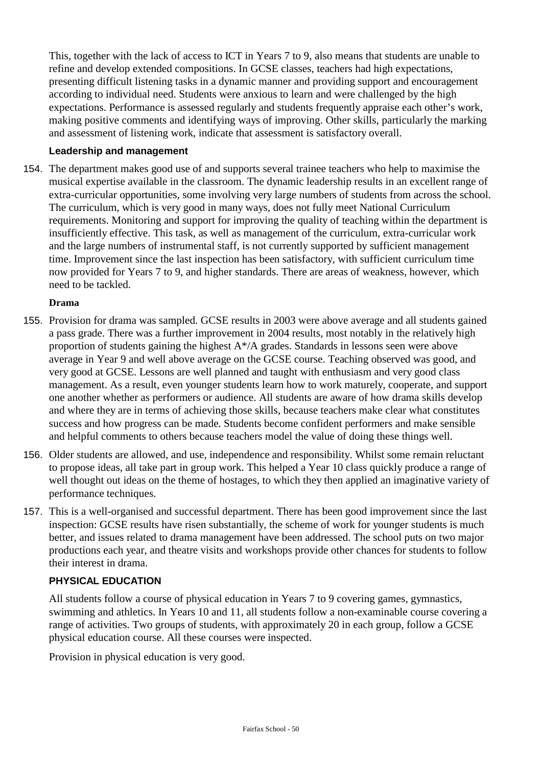This, together with the lack of access to ICT in Years 7 to 9, also means that students are unable to refine and develop extended compositions. In GCSE classes, teachers had high expectations, presenting difficult listening tasks in a dynamic manner and providing support and encouragement according to individual need. Students were anxious to learn and were challenged by the high expectations. Performance is assessed regularly and students frequently appraise each other's work, making positive comments and identifying ways of improving. Other skills, particularly the marking and assessment of listening work, indicate that assessment is satisfactory overall.

### **Leadership and management**

154. The department makes good use of and supports several trainee teachers who help to maximise the musical expertise available in the classroom. The dynamic leadership results in an excellent range of extra-curricular opportunities, some involving very large numbers of students from across the school. The curriculum, which is very good in many ways, does not fully meet National Curriculum requirements. Monitoring and support for improving the quality of teaching within the department is insufficiently effective. This task, as well as management of the curriculum, extra-curricular work and the large numbers of instrumental staff, is not currently supported by sufficient management time. Improvement since the last inspection has been satisfactory, with sufficient curriculum time now provided for Years 7 to 9, and higher standards. There are areas of weakness, however, which need to be tackled.

#### **Drama**

- 155. Provision for drama was sampled. GCSE results in 2003 were above average and all students gained a pass grade. There was a further improvement in 2004 results, most notably in the relatively high proportion of students gaining the highest A\*/A grades. Standards in lessons seen were above average in Year 9 and well above average on the GCSE course. Teaching observed was good, and very good at GCSE. Lessons are well planned and taught with enthusiasm and very good class management. As a result, even younger students learn how to work maturely, cooperate, and support one another whether as performers or audience. All students are aware of how drama skills develop and where they are in terms of achieving those skills, because teachers make clear what constitutes success and how progress can be made. Students become confident performers and make sensible and helpful comments to others because teachers model the value of doing these things well.
- 156. Older students are allowed, and use, independence and responsibility. Whilst some remain reluctant to propose ideas, all take part in group work. This helped a Year 10 class quickly produce a range of well thought out ideas on the theme of hostages, to which they then applied an imaginative variety of performance techniques.
- 157. This is a well-organised and successful department. There has been good improvement since the last inspection: GCSE results have risen substantially, the scheme of work for younger students is much better, and issues related to drama management have been addressed. The school puts on two major productions each year, and theatre visits and workshops provide other chances for students to follow their interest in drama.

#### **PHYSICAL EDUCATION**

All students follow a course of physical education in Years 7 to 9 covering games, gymnastics, swimming and athletics. In Years 10 and 11, all students follow a non-examinable course covering a range of activities. Two groups of students, with approximately 20 in each group, follow a GCSE physical education course. All these courses were inspected.

Provision in physical education is very good.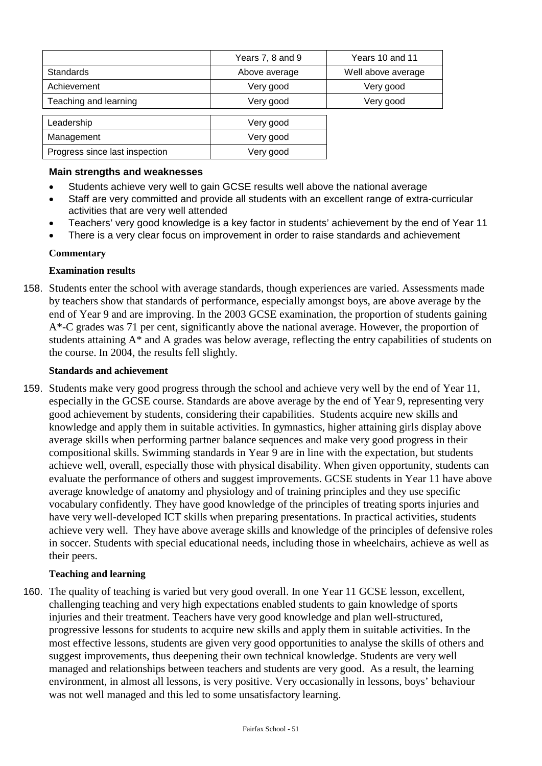|                                | Years 7, 8 and 9 | Years 10 and 11    |
|--------------------------------|------------------|--------------------|
| Standards                      | Above average    | Well above average |
| Achievement                    | Very good        | Very good          |
| Teaching and learning          | Very good        | Very good          |
|                                |                  |                    |
| Leadership                     | Very good        |                    |
| Management                     | Very good        |                    |
| Progress since last inspection | Very good        |                    |

## **Main strengths and weaknesses**

- Students achieve very well to gain GCSE results well above the national average
- Staff are very committed and provide all students with an excellent range of extra-curricular activities that are very well attended
- Teachers' very good knowledge is a key factor in students' achievement by the end of Year 11
- There is a very clear focus on improvement in order to raise standards and achievement

#### **Commentary**

#### **Examination results**

158. Students enter the school with average standards, though experiences are varied. Assessments made by teachers show that standards of performance, especially amongst boys, are above average by the end of Year 9 and are improving. In the 2003 GCSE examination, the proportion of students gaining A\*-C grades was 71 per cent, significantly above the national average. However, the proportion of students attaining A\* and A grades was below average, reflecting the entry capabilities of students on the course. In 2004, the results fell slightly.

#### **Standards and achievement**

159. Students make very good progress through the school and achieve very well by the end of Year 11, especially in the GCSE course. Standards are above average by the end of Year 9, representing very good achievement by students, considering their capabilities. Students acquire new skills and knowledge and apply them in suitable activities. In gymnastics, higher attaining girls display above average skills when performing partner balance sequences and make very good progress in their compositional skills. Swimming standards in Year 9 are in line with the expectation, but students achieve well, overall, especially those with physical disability. When given opportunity, students can evaluate the performance of others and suggest improvements. GCSE students in Year 11 have above average knowledge of anatomy and physiology and of training principles and they use specific vocabulary confidently. They have good knowledge of the principles of treating sports injuries and have very well-developed ICT skills when preparing presentations. In practical activities, students achieve very well. They have above average skills and knowledge of the principles of defensive roles in soccer. Students with special educational needs, including those in wheelchairs, achieve as well as their peers.

#### **Teaching and learning**

160. The quality of teaching is varied but very good overall. In one Year 11 GCSE lesson, excellent, challenging teaching and very high expectations enabled students to gain knowledge of sports injuries and their treatment. Teachers have very good knowledge and plan well-structured, progressive lessons for students to acquire new skills and apply them in suitable activities. In the most effective lessons, students are given very good opportunities to analyse the skills of others and suggest improvements, thus deepening their own technical knowledge. Students are very well managed and relationships between teachers and students are very good. As a result, the learning environment, in almost all lessons, is very positive. Very occasionally in lessons, boys' behaviour was not well managed and this led to some unsatisfactory learning.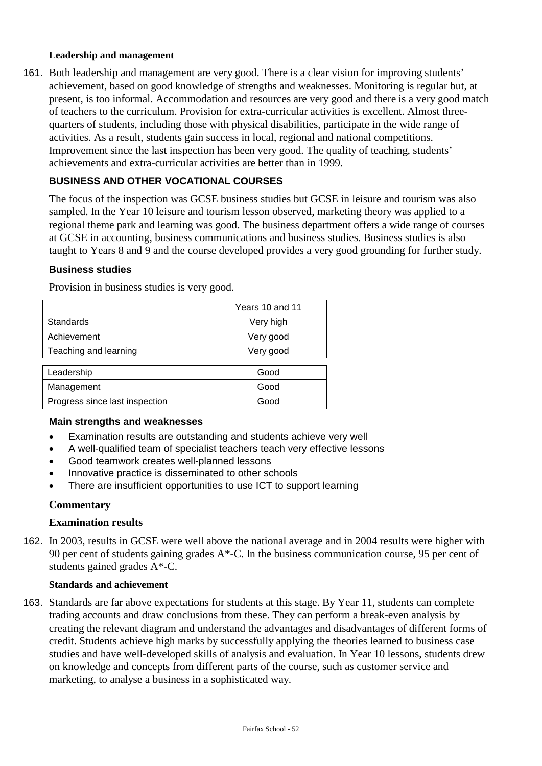#### **Leadership and management**

161. Both leadership and management are very good. There is a clear vision for improving students' achievement, based on good knowledge of strengths and weaknesses. Monitoring is regular but, at present, is too informal. Accommodation and resources are very good and there is a very good match of teachers to the curriculum. Provision for extra-curricular activities is excellent. Almost threequarters of students, including those with physical disabilities, participate in the wide range of activities. As a result, students gain success in local, regional and national competitions. Improvement since the last inspection has been very good. The quality of teaching, students' achievements and extra-curricular activities are better than in 1999.

### **BUSINESS AND OTHER VOCATIONAL COURSES**

The focus of the inspection was GCSE business studies but GCSE in leisure and tourism was also sampled. In the Year 10 leisure and tourism lesson observed, marketing theory was applied to a regional theme park and learning was good. The business department offers a wide range of courses at GCSE in accounting, business communications and business studies. Business studies is also taught to Years 8 and 9 and the course developed provides a very good grounding for further study.

#### **Business studies**

|  |  | Provision in business studies is very good. |  |
|--|--|---------------------------------------------|--|
|  |  |                                             |  |

|                                | Years 10 and 11 |
|--------------------------------|-----------------|
| Standards                      | Very high       |
| Achievement                    | Very good       |
| Teaching and learning          | Very good       |
|                                |                 |
| Leadership                     | Good            |
| Management                     | Good            |
| Progress since last inspection | Good            |

#### **Main strengths and weaknesses**

- Examination results are outstanding and students achieve very well
- A well-qualified team of specialist teachers teach very effective lessons
- Good teamwork creates well-planned lessons
- Innovative practice is disseminated to other schools
- There are insufficient opportunities to use ICT to support learning

#### **Commentary**

#### **Examination results**

162. In 2003, results in GCSE were well above the national average and in 2004 results were higher with 90 per cent of students gaining grades  $A^*$ -C. In the business communication course, 95 per cent of students gained grades A\*-C.

#### **Standards and achievement**

163. Standards are far above expectations for students at this stage. By Year 11, students can complete trading accounts and draw conclusions from these. They can perform a break-even analysis by creating the relevant diagram and understand the advantages and disadvantages of different forms of credit. Students achieve high marks by successfully applying the theories learned to business case studies and have well-developed skills of analysis and evaluation. In Year 10 lessons, students drew on knowledge and concepts from different parts of the course, such as customer service and marketing, to analyse a business in a sophisticated way.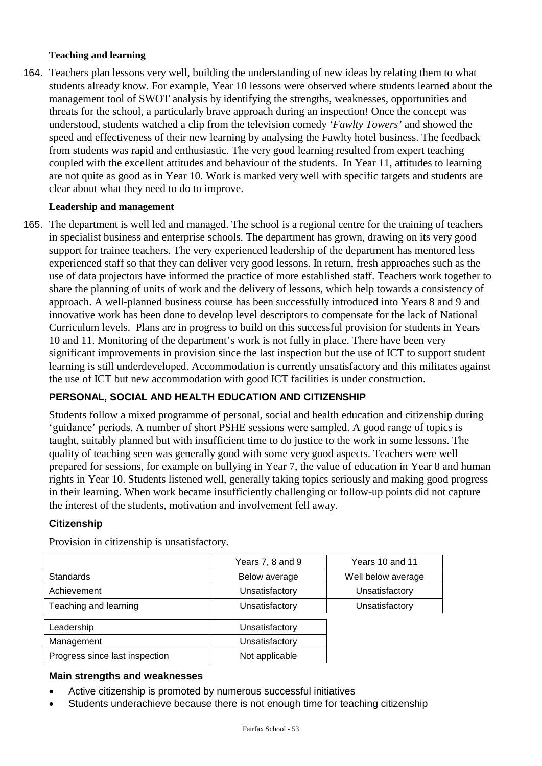### **Teaching and learning**

164. Teachers plan lessons very well, building the understanding of new ideas by relating them to what students already know. For example, Year 10 lessons were observed where students learned about the management tool of SWOT analysis by identifying the strengths, weaknesses, opportunities and threats for the school, a particularly brave approach during an inspection! Once the concept was understood, students watched a clip from the television comedy *'Fawlty Towers'* and showed the speed and effectiveness of their new learning by analysing the Fawlty hotel business. The feedback from students was rapid and enthusiastic. The very good learning resulted from expert teaching coupled with the excellent attitudes and behaviour of the students. In Year 11, attitudes to learning are not quite as good as in Year 10. Work is marked very well with specific targets and students are clear about what they need to do to improve.

### **Leadership and management**

165. The department is well led and managed. The school is a regional centre for the training of teachers in specialist business and enterprise schools. The department has grown, drawing on its very good support for trainee teachers. The very experienced leadership of the department has mentored less experienced staff so that they can deliver very good lessons. In return, fresh approaches such as the use of data projectors have informed the practice of more established staff. Teachers work together to share the planning of units of work and the delivery of lessons, which help towards a consistency of approach. A well-planned business course has been successfully introduced into Years 8 and 9 and innovative work has been done to develop level descriptors to compensate for the lack of National Curriculum levels. Plans are in progress to build on this successful provision for students in Years 10 and 11. Monitoring of the department's work is not fully in place. There have been very significant improvements in provision since the last inspection but the use of ICT to support student learning is still underdeveloped. Accommodation is currently unsatisfactory and this militates against the use of ICT but new accommodation with good ICT facilities is under construction.

# **PERSONAL, SOCIAL AND HEALTH EDUCATION AND CITIZENSHIP**

Students follow a mixed programme of personal, social and health education and citizenship during 'guidance' periods. A number of short PSHE sessions were sampled. A good range of topics is taught, suitably planned but with insufficient time to do justice to the work in some lessons. The quality of teaching seen was generally good with some very good aspects. Teachers were well prepared for sessions, for example on bullying in Year 7, the value of education in Year 8 and human rights in Year 10. Students listened well, generally taking topics seriously and making good progress in their learning. When work became insufficiently challenging or follow-up points did not capture the interest of the students, motivation and involvement fell away.

## **Citizenship**

|                                | Years 7, 8 and 9 | Years 10 and 11    |
|--------------------------------|------------------|--------------------|
| <b>Standards</b>               | Below average    | Well below average |
| Achievement                    | Unsatisfactory   | Unsatisfactory     |
| Teaching and learning          | Unsatisfactory   | Unsatisfactory     |
|                                |                  |                    |
| Leadership                     | Unsatisfactory   |                    |
| Management                     | Unsatisfactory   |                    |
| Progress since last inspection | Not applicable   |                    |

Provision in citizenship is unsatisfactory.

#### **Main strengths and weaknesses**

- Active citizenship is promoted by numerous successful initiatives
- Students underachieve because there is not enough time for teaching citizenship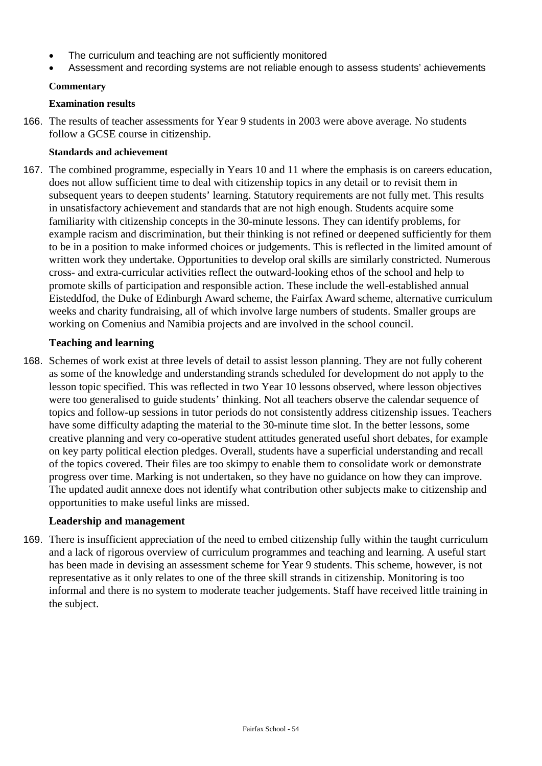- The curriculum and teaching are not sufficiently monitored
- Assessment and recording systems are not reliable enough to assess students' achievements

### **Commentary**

### **Examination results**

166. The results of teacher assessments for Year 9 students in 2003 were above average. No students follow a GCSE course in citizenship.

### **Standards and achievement**

167. The combined programme, especially in Years 10 and 11 where the emphasis is on careers education, does not allow sufficient time to deal with citizenship topics in any detail or to revisit them in subsequent years to deepen students' learning. Statutory requirements are not fully met. This results in unsatisfactory achievement and standards that are not high enough. Students acquire some familiarity with citizenship concepts in the 30-minute lessons. They can identify problems, for example racism and discrimination, but their thinking is not refined or deepened sufficiently for them to be in a position to make informed choices or judgements. This is reflected in the limited amount of written work they undertake. Opportunities to develop oral skills are similarly constricted. Numerous cross- and extra-curricular activities reflect the outward-looking ethos of the school and help to promote skills of participation and responsible action. These include the well-established annual Eisteddfod, the Duke of Edinburgh Award scheme, the Fairfax Award scheme, alternative curriculum weeks and charity fundraising, all of which involve large numbers of students. Smaller groups are working on Comenius and Namibia projects and are involved in the school council.

### **Teaching and learning**

168. Schemes of work exist at three levels of detail to assist lesson planning. They are not fully coherent as some of the knowledge and understanding strands scheduled for development do not apply to the lesson topic specified. This was reflected in two Year 10 lessons observed, where lesson objectives were too generalised to guide students' thinking. Not all teachers observe the calendar sequence of topics and follow-up sessions in tutor periods do not consistently address citizenship issues. Teachers have some difficulty adapting the material to the 30-minute time slot. In the better lessons, some creative planning and very co-operative student attitudes generated useful short debates, for example on key party political election pledges. Overall, students have a superficial understanding and recall of the topics covered. Their files are too skimpy to enable them to consolidate work or demonstrate progress over time. Marking is not undertaken, so they have no guidance on how they can improve. The updated audit annexe does not identify what contribution other subjects make to citizenship and opportunities to make useful links are missed.

## **Leadership and management**

169. There is insufficient appreciation of the need to embed citizenship fully within the taught curriculum and a lack of rigorous overview of curriculum programmes and teaching and learning. A useful start has been made in devising an assessment scheme for Year 9 students. This scheme, however, is not representative as it only relates to one of the three skill strands in citizenship. Monitoring is too informal and there is no system to moderate teacher judgements. Staff have received little training in the subject.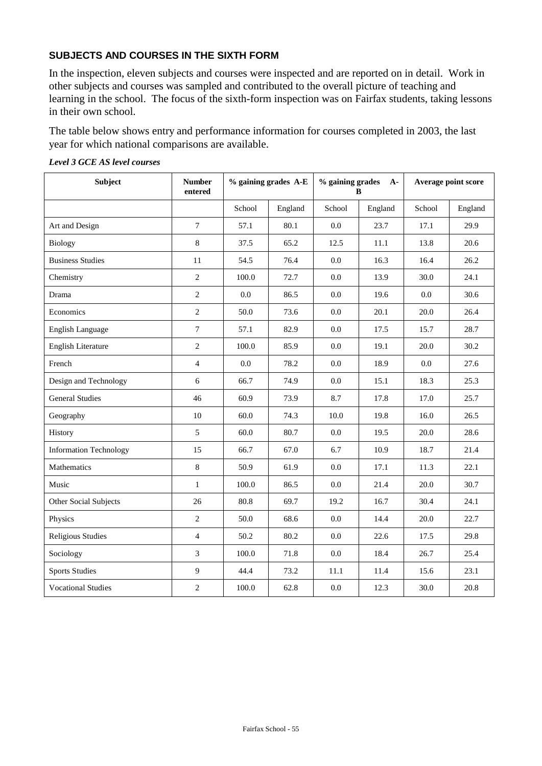## **SUBJECTS AND COURSES IN THE SIXTH FORM**

In the inspection, eleven subjects and courses were inspected and are reported on in detail. Work in other subjects and courses was sampled and contributed to the overall picture of teaching and learning in the school. The focus of the sixth-form inspection was on Fairfax students, taking lessons in their own school.

The table below shows entry and performance information for courses completed in 2003, the last year for which national comparisons are available.

| <b>Subject</b>                | <b>Number</b><br>entered | % gaining grades A-E |         | % gaining grades<br>$A-$<br>B |         | Average point score |         |
|-------------------------------|--------------------------|----------------------|---------|-------------------------------|---------|---------------------|---------|
|                               |                          | School               | England | School                        | England | School              | England |
| Art and Design                | $\overline{7}$           | 57.1                 | 80.1    | 0.0                           | 23.7    | 17.1                | 29.9    |
| Biology                       | $\,8\,$                  | 37.5                 | 65.2    | 12.5                          | 11.1    | 13.8                | 20.6    |
| <b>Business Studies</b>       | 11                       | 54.5                 | 76.4    | 0.0                           | 16.3    | 16.4                | 26.2    |
| Chemistry                     | 2                        | 100.0                | 72.7    | 0.0                           | 13.9    | 30.0                | 24.1    |
| Drama                         | 2                        | 0.0                  | 86.5    | 0.0                           | 19.6    | 0.0                 | 30.6    |
| Economics                     | $\overline{2}$           | 50.0                 | 73.6    | 0.0                           | 20.1    | 20.0                | 26.4    |
| <b>English Language</b>       | $\overline{7}$           | 57.1                 | 82.9    | 0.0                           | 17.5    | 15.7                | 28.7    |
| <b>English Literature</b>     | 2                        | 100.0                | 85.9    | 0.0                           | 19.1    | 20.0                | 30.2    |
| French                        | $\overline{4}$           | 0.0                  | 78.2    | 0.0                           | 18.9    | 0.0                 | 27.6    |
| Design and Technology         | $6\,$                    | 66.7                 | 74.9    | 0.0                           | 15.1    | 18.3                | 25.3    |
| <b>General Studies</b>        | 46                       | 60.9                 | 73.9    | 8.7                           | 17.8    | 17.0                | 25.7    |
| Geography                     | 10                       | 60.0                 | 74.3    | 10.0                          | 19.8    | 16.0                | 26.5    |
| History                       | 5                        | 60.0                 | 80.7    | 0.0                           | 19.5    | 20.0                | 28.6    |
| <b>Information Technology</b> | 15                       | 66.7                 | 67.0    | 6.7                           | 10.9    | 18.7                | 21.4    |
| Mathematics                   | 8                        | 50.9                 | 61.9    | 0.0                           | 17.1    | 11.3                | 22.1    |
| Music                         | $\mathbf{1}$             | 100.0                | 86.5    | 0.0                           | 21.4    | 20.0                | 30.7    |
| Other Social Subjects         | 26                       | 80.8                 | 69.7    | 19.2                          | 16.7    | 30.4                | 24.1    |
| Physics                       | 2                        | 50.0                 | 68.6    | 0.0                           | 14.4    | 20.0                | 22.7    |
| <b>Religious Studies</b>      | $\overline{4}$           | 50.2                 | 80.2    | 0.0                           | 22.6    | 17.5                | 29.8    |
| Sociology                     | 3                        | 100.0                | 71.8    | 0.0                           | 18.4    | 26.7                | 25.4    |
| <b>Sports Studies</b>         | 9                        | 44.4                 | 73.2    | 11.1                          | 11.4    | 15.6                | 23.1    |
| <b>Vocational Studies</b>     | $\overline{2}$           | 100.0                | 62.8    | 0.0                           | 12.3    | 30.0                | 20.8    |

#### *Level 3 GCE AS level courses*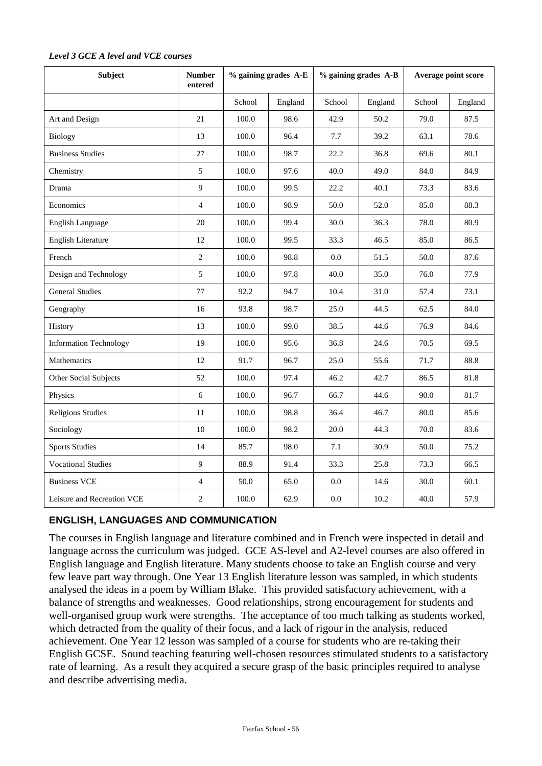| <b>Subject</b>                | <b>Number</b><br>entered |        | % gaining grades A-E |        | % gaining grades A-B |        | Average point score |
|-------------------------------|--------------------------|--------|----------------------|--------|----------------------|--------|---------------------|
|                               |                          | School | England              | School | England              | School | England             |
| Art and Design                | 21                       | 100.0  | 98.6                 | 42.9   | 50.2                 | 79.0   | 87.5                |
| <b>Biology</b>                | 13                       | 100.0  | 96.4                 | 7.7    | 39.2                 | 63.1   | 78.6                |
| <b>Business Studies</b>       | 27                       | 100.0  | 98.7                 | 22.2   | 36.8                 | 69.6   | 80.1                |
| Chemistry                     | 5                        | 100.0  | 97.6                 | 40.0   | 49.0                 | 84.0   | 84.9                |
| Drama                         | 9                        | 100.0  | 99.5                 | 22.2   | 40.1                 | 73.3   | 83.6                |
| Economics                     | $\overline{4}$           | 100.0  | 98.9                 | 50.0   | 52.0                 | 85.0   | 88.3                |
| English Language              | 20                       | 100.0  | 99.4                 | 30.0   | 36.3                 | 78.0   | 80.9                |
| <b>English Literature</b>     | 12                       | 100.0  | 99.5                 | 33.3   | 46.5                 | 85.0   | 86.5                |
| French                        | $\overline{c}$           | 100.0  | 98.8                 | 0.0    | 51.5                 | 50.0   | 87.6                |
| Design and Technology         | 5                        | 100.0  | 97.8                 | 40.0   | 35.0                 | 76.0   | 77.9                |
| <b>General Studies</b>        | 77                       | 92.2   | 94.7                 | 10.4   | 31.0                 | 57.4   | 73.1                |
| Geography                     | 16                       | 93.8   | 98.7                 | 25.0   | 44.5                 | 62.5   | 84.0                |
| History                       | 13                       | 100.0  | 99.0                 | 38.5   | 44.6                 | 76.9   | 84.6                |
| <b>Information Technology</b> | 19                       | 100.0  | 95.6                 | 36.8   | 24.6                 | 70.5   | 69.5                |
| Mathematics                   | 12                       | 91.7   | 96.7                 | 25.0   | 55.6                 | 71.7   | 88.8                |
| Other Social Subjects         | 52                       | 100.0  | 97.4                 | 46.2   | 42.7                 | 86.5   | 81.8                |
| Physics                       | 6                        | 100.0  | 96.7                 | 66.7   | 44.6                 | 90.0   | 81.7                |
| <b>Religious Studies</b>      | 11                       | 100.0  | 98.8                 | 36.4   | 46.7                 | 80.0   | 85.6                |
| Sociology                     | 10                       | 100.0  | 98.2                 | 20.0   | 44.3                 | 70.0   | 83.6                |
| <b>Sports Studies</b>         | 14                       | 85.7   | 98.0                 | 7.1    | 30.9                 | 50.0   | 75.2                |
| <b>Vocational Studies</b>     | 9                        | 88.9   | 91.4                 | 33.3   | 25.8                 | 73.3   | 66.5                |
| <b>Business VCE</b>           | $\overline{4}$           | 50.0   | 65.0                 | 0.0    | 14.6                 | 30.0   | 60.1                |
| Leisure and Recreation VCE    | $\overline{c}$           | 100.0  | 62.9                 | 0.0    | 10.2                 | 40.0   | 57.9                |

#### *Level 3 GCE A level and VCE courses*

## **ENGLISH, LANGUAGES AND COMMUNICATION**

The courses in English language and literature combined and in French were inspected in detail and language across the curriculum was judged. GCE AS-level and A2-level courses are also offered in English language and English literature. Many students choose to take an English course and very few leave part way through. One Year 13 English literature lesson was sampled, in which students analysed the ideas in a poem by William Blake. This provided satisfactory achievement, with a balance of strengths and weaknesses. Good relationships, strong encouragement for students and well-organised group work were strengths. The acceptance of too much talking as students worked, which detracted from the quality of their focus, and a lack of rigour in the analysis, reduced achievement. One Year 12 lesson was sampled of a course for students who are re-taking their English GCSE. Sound teaching featuring well-chosen resources stimulated students to a satisfactory rate of learning. As a result they acquired a secure grasp of the basic principles required to analyse and describe advertising media.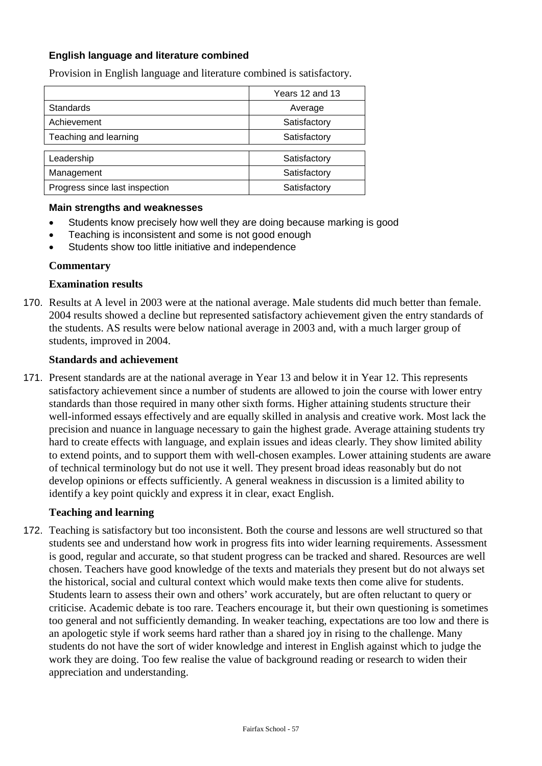## **English language and literature combined**

|                                | Years 12 and 13 |
|--------------------------------|-----------------|
| <b>Standards</b>               | Average         |
| Achievement                    | Satisfactory    |
| Teaching and learning          | Satisfactory    |
|                                |                 |
| Leadership                     | Satisfactory    |
| Management                     | Satisfactory    |
| Progress since last inspection | Satisfactory    |

Provision in English language and literature combined is satisfactory.

#### **Main strengths and weaknesses**

- Students know precisely how well they are doing because marking is good
- Teaching is inconsistent and some is not good enough
- Students show too little initiative and independence

#### **Commentary**

#### **Examination results**

170. Results at A level in 2003 were at the national average. Male students did much better than female. 2004 results showed a decline but represented satisfactory achievement given the entry standards of the students. AS results were below national average in 2003 and, with a much larger group of students, improved in 2004.

#### **Standards and achievement**

171. Present standards are at the national average in Year 13 and below it in Year 12. This represents satisfactory achievement since a number of students are allowed to join the course with lower entry standards than those required in many other sixth forms. Higher attaining students structure their well-informed essays effectively and are equally skilled in analysis and creative work. Most lack the precision and nuance in language necessary to gain the highest grade. Average attaining students try hard to create effects with language, and explain issues and ideas clearly. They show limited ability to extend points, and to support them with well-chosen examples. Lower attaining students are aware of technical terminology but do not use it well. They present broad ideas reasonably but do not develop opinions or effects sufficiently. A general weakness in discussion is a limited ability to identify a key point quickly and express it in clear, exact English.

#### **Teaching and learning**

172. Teaching is satisfactory but too inconsistent. Both the course and lessons are well structured so that students see and understand how work in progress fits into wider learning requirements. Assessment is good, regular and accurate, so that student progress can be tracked and shared. Resources are well chosen. Teachers have good knowledge of the texts and materials they present but do not always set the historical, social and cultural context which would make texts then come alive for students. Students learn to assess their own and others' work accurately, but are often reluctant to query or criticise. Academic debate is too rare. Teachers encourage it, but their own questioning is sometimes too general and not sufficiently demanding. In weaker teaching, expectations are too low and there is an apologetic style if work seems hard rather than a shared joy in rising to the challenge. Many students do not have the sort of wider knowledge and interest in English against which to judge the work they are doing. Too few realise the value of background reading or research to widen their appreciation and understanding.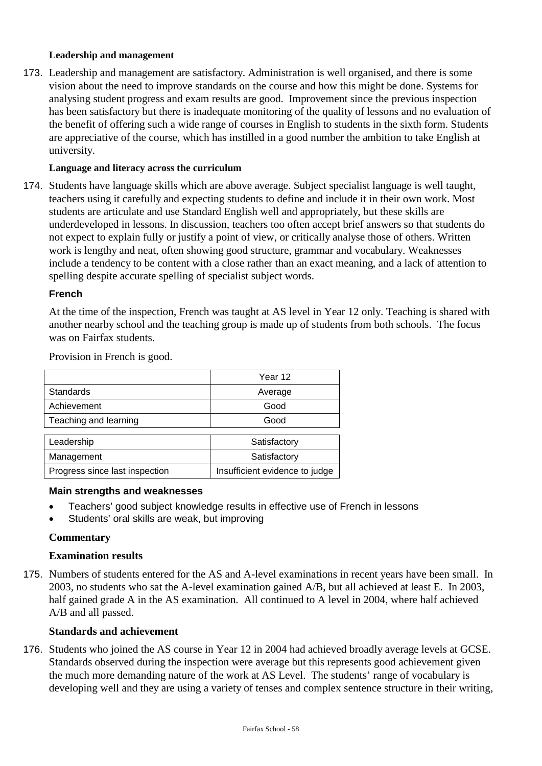### **Leadership and management**

173. Leadership and management are satisfactory. Administration is well organised, and there is some vision about the need to improve standards on the course and how this might be done. Systems for analysing student progress and exam results are good. Improvement since the previous inspection has been satisfactory but there is inadequate monitoring of the quality of lessons and no evaluation of the benefit of offering such a wide range of courses in English to students in the sixth form. Students are appreciative of the course, which has instilled in a good number the ambition to take English at university.

### **Language and literacy across the curriculum**

174. Students have language skills which are above average. Subject specialist language is well taught, teachers using it carefully and expecting students to define and include it in their own work. Most students are articulate and use Standard English well and appropriately, but these skills are underdeveloped in lessons. In discussion, teachers too often accept brief answers so that students do not expect to explain fully or justify a point of view, or critically analyse those of others. Written work is lengthy and neat, often showing good structure, grammar and vocabulary. Weaknesses include a tendency to be content with a close rather than an exact meaning, and a lack of attention to spelling despite accurate spelling of specialist subject words.

#### **French**

At the time of the inspection, French was taught at AS level in Year 12 only. Teaching is shared with another nearby school and the teaching group is made up of students from both schools. The focus was on Fairfax students.

|                                | Year 12                        |
|--------------------------------|--------------------------------|
| <b>Standards</b>               | Average                        |
| Achievement                    | Good                           |
| Teaching and learning          | Good                           |
|                                |                                |
| Leadership                     | Satisfactory                   |
| Management                     | Satisfactory                   |
| Progress since last inspection | Insufficient evidence to judge |

Provision in French is good.

#### **Main strengths and weaknesses**

- Teachers' good subject knowledge results in effective use of French in lessons
- Students' oral skills are weak, but improving

## **Commentary**

#### **Examination results**

175. Numbers of students entered for the AS and A-level examinations in recent years have been small. In 2003, no students who sat the A-level examination gained A/B, but all achieved at least E. In 2003, half gained grade A in the AS examination. All continued to A level in 2004, where half achieved A/B and all passed.

### **Standards and achievement**

176. Students who joined the AS course in Year 12 in 2004 had achieved broadly average levels at GCSE. Standards observed during the inspection were average but this represents good achievement given the much more demanding nature of the work at AS Level. The students' range of vocabulary is developing well and they are using a variety of tenses and complex sentence structure in their writing,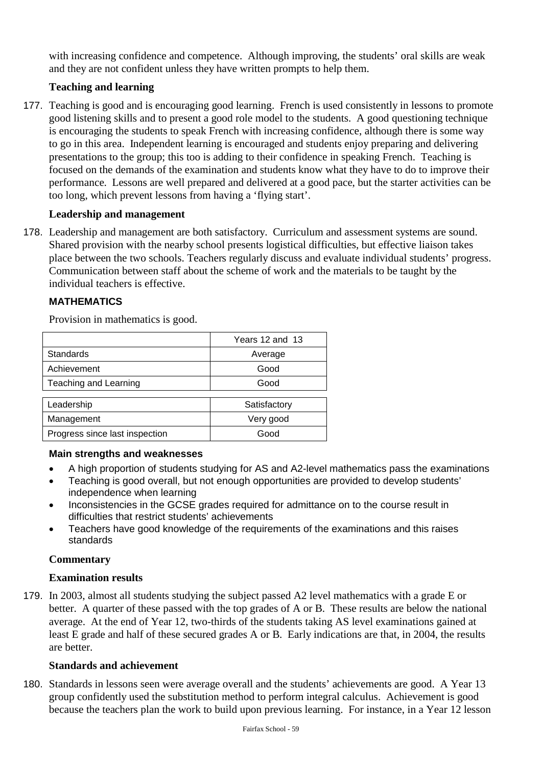with increasing confidence and competence. Although improving, the students' oral skills are weak and they are not confident unless they have written prompts to help them.

# **Teaching and learning**

177. Teaching is good and is encouraging good learning. French is used consistently in lessons to promote good listening skills and to present a good role model to the students. A good questioning technique is encouraging the students to speak French with increasing confidence, although there is some way to go in this area. Independent learning is encouraged and students enjoy preparing and delivering presentations to the group; this too is adding to their confidence in speaking French. Teaching is focused on the demands of the examination and students know what they have to do to improve their performance. Lessons are well prepared and delivered at a good pace, but the starter activities can be too long, which prevent lessons from having a 'flying start'.

## **Leadership and management**

178. Leadership and management are both satisfactory. Curriculum and assessment systems are sound. Shared provision with the nearby school presents logistical difficulties, but effective liaison takes place between the two schools. Teachers regularly discuss and evaluate individual students' progress. Communication between staff about the scheme of work and the materials to be taught by the individual teachers is effective.

## **MATHEMATICS**

Provision in mathematics is good.

|                                | Years 12 and 13 |
|--------------------------------|-----------------|
| Standards                      | Average         |
| Achievement                    | Good            |
| Teaching and Learning          | Good            |
|                                |                 |
| Leadership                     | Satisfactory    |
| Management                     | Very good       |
| Progress since last inspection | Good            |

## **Main strengths and weaknesses**

- A high proportion of students studying for AS and A2-level mathematics pass the examinations
- Teaching is good overall, but not enough opportunities are provided to develop students' independence when learning
- Inconsistencies in the GCSE grades required for admittance on to the course result in difficulties that restrict students' achievements
- Teachers have good knowledge of the requirements of the examinations and this raises standards

## **Commentary**

## **Examination results**

179. In 2003, almost all students studying the subject passed A2 level mathematics with a grade E or better. A quarter of these passed with the top grades of A or B. These results are below the national average. At the end of Year 12, two-thirds of the students taking AS level examinations gained at least E grade and half of these secured grades A or B. Early indications are that, in 2004, the results are better.

## **Standards and achievement**

180. Standards in lessons seen were average overall and the students' achievements are good. A Year 13 group confidently used the substitution method to perform integral calculus. Achievement is good because the teachers plan the work to build upon previous learning. For instance, in a Year 12 lesson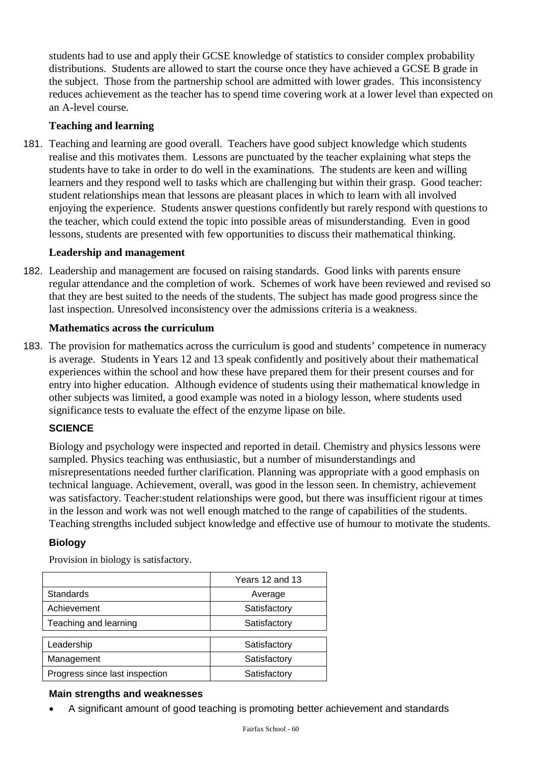students had to use and apply their GCSE knowledge of statistics to consider complex probability distributions. Students are allowed to start the course once they have achieved a GCSE B grade in the subject. Those from the partnership school are admitted with lower grades. This inconsistency reduces achievement as the teacher has to spend time covering work at a lower level than expected on an A-level course.

## **Teaching and learning**

181. Teaching and learning are good overall. Teachers have good subject knowledge which students realise and this motivates them. Lessons are punctuated by the teacher explaining what steps the students have to take in order to do well in the examinations. The students are keen and willing learners and they respond well to tasks which are challenging but within their grasp. Good teacher: student relationships mean that lessons are pleasant places in which to learn with all involved enjoying the experience. Students answer questions confidently but rarely respond with questions to the teacher, which could extend the topic into possible areas of misunderstanding. Even in good lessons, students are presented with few opportunities to discuss their mathematical thinking.

## **Leadership and management**

182. Leadership and management are focused on raising standards. Good links with parents ensure regular attendance and the completion of work. Schemes of work have been reviewed and revised so that they are best suited to the needs of the students. The subject has made good progress since the last inspection. Unresolved inconsistency over the admissions criteria is a weakness.

### **Mathematics across the curriculum**

183. The provision for mathematics across the curriculum is good and students' competence in numeracy is average. Students in Years 12 and 13 speak confidently and positively about their mathematical experiences within the school and how these have prepared them for their present courses and for entry into higher education. Although evidence of students using their mathematical knowledge in other subjects was limited, a good example was noted in a biology lesson, where students used significance tests to evaluate the effect of the enzyme lipase on bile.

## **SCIENCE**

Biology and psychology were inspected and reported in detail. Chemistry and physics lessons were sampled. Physics teaching was enthusiastic, but a number of misunderstandings and misrepresentations needed further clarification. Planning was appropriate with a good emphasis on technical language. Achievement, overall, was good in the lesson seen. In chemistry, achievement was satisfactory. Teacher:student relationships were good, but there was insufficient rigour at times in the lesson and work was not well enough matched to the range of capabilities of the students. Teaching strengths included subject knowledge and effective use of humour to motivate the students.

## **Biology**

|                                | Years 12 and 13 |
|--------------------------------|-----------------|
| Standards                      | Average         |
| Achievement                    | Satisfactory    |
| Teaching and learning          | Satisfactory    |
|                                |                 |
| Leadership                     | Satisfactory    |
| Management                     | Satisfactory    |
| Progress since last inspection | Satisfactory    |

Provision in biology is satisfactory.

## **Main strengths and weaknesses**

A significant amount of good teaching is promoting better achievement and standards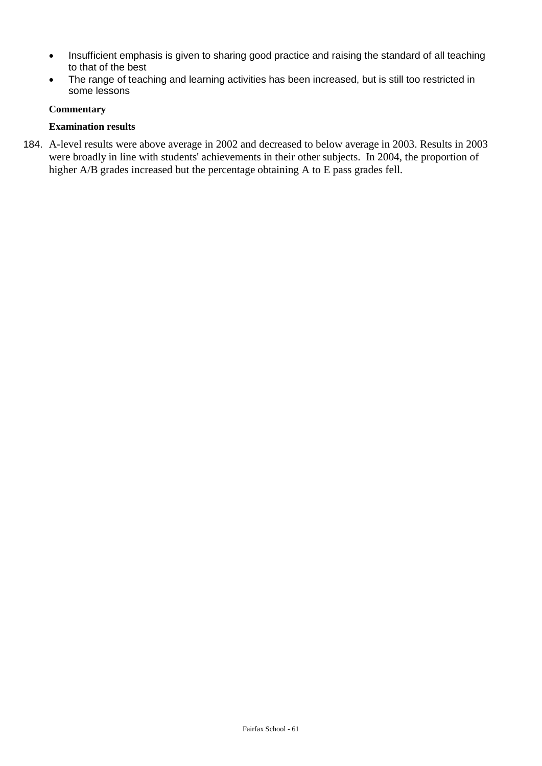- Insufficient emphasis is given to sharing good practice and raising the standard of all teaching to that of the best
- The range of teaching and learning activities has been increased, but is still too restricted in some lessons

#### **Commentary**

#### **Examination results**

184. A-level results were above average in 2002 and decreased to below average in 2003. Results in 2003 were broadly in line with students' achievements in their other subjects. In 2004, the proportion of higher A/B grades increased but the percentage obtaining A to E pass grades fell.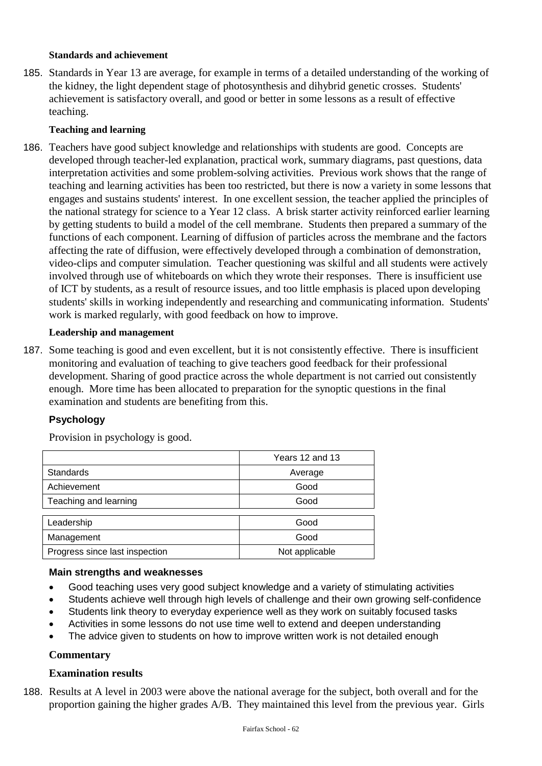#### **Standards and achievement**

185. Standards in Year 13 are average, for example in terms of a detailed understanding of the working of the kidney, the light dependent stage of photosynthesis and dihybrid genetic crosses. Students' achievement is satisfactory overall, and good or better in some lessons as a result of effective teaching.

#### **Teaching and learning**

186. Teachers have good subject knowledge and relationships with students are good. Concepts are developed through teacher-led explanation, practical work, summary diagrams, past questions, data interpretation activities and some problem-solving activities. Previous work shows that the range of teaching and learning activities has been too restricted, but there is now a variety in some lessons that engages and sustains students' interest. In one excellent session, the teacher applied the principles of the national strategy for science to a Year 12 class. A brisk starter activity reinforced earlier learning by getting students to build a model of the cell membrane. Students then prepared a summary of the functions of each component. Learning of diffusion of particles across the membrane and the factors affecting the rate of diffusion, were effectively developed through a combination of demonstration, video-clips and computer simulation. Teacher questioning was skilful and all students were actively involved through use of whiteboards on which they wrote their responses. There is insufficient use of ICT by students, as a result of resource issues, and too little emphasis is placed upon developing students' skills in working independently and researching and communicating information. Students' work is marked regularly, with good feedback on how to improve.

#### **Leadership and management**

187. Some teaching is good and even excellent, but it is not consistently effective. There is insufficient monitoring and evaluation of teaching to give teachers good feedback for their professional development. Sharing of good practice across the whole department is not carried out consistently enough. More time has been allocated to preparation for the synoptic questions in the final examination and students are benefiting from this.

#### **Psychology**

Provision in psychology is good.

|                                | Years 12 and 13 |
|--------------------------------|-----------------|
| <b>Standards</b>               | Average         |
| Achievement                    | Good            |
| Teaching and learning          | Good            |
|                                |                 |
| Leadership                     | Good            |
| Management                     | Good            |
| Progress since last inspection | Not applicable  |

#### **Main strengths and weaknesses**

- Good teaching uses very good subject knowledge and a variety of stimulating activities
- Students achieve well through high levels of challenge and their own growing self-confidence
- Students link theory to everyday experience well as they work on suitably focused tasks
- Activities in some lessons do not use time well to extend and deepen understanding
- The advice given to students on how to improve written work is not detailed enough

#### **Commentary**

#### **Examination results**

188. Results at A level in 2003 were above the national average for the subject, both overall and for the proportion gaining the higher grades A/B. They maintained this level from the previous year. Girls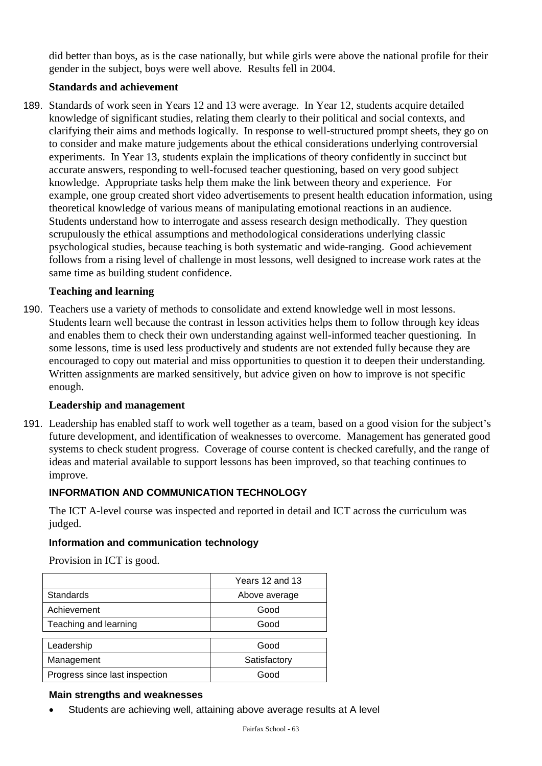did better than boys, as is the case nationally, but while girls were above the national profile for their gender in the subject, boys were well above. Results fell in 2004.

# **Standards and achievement**

189. Standards of work seen in Years 12 and 13 were average. In Year 12, students acquire detailed knowledge of significant studies, relating them clearly to their political and social contexts, and clarifying their aims and methods logically. In response to well-structured prompt sheets, they go on to consider and make mature judgements about the ethical considerations underlying controversial experiments. In Year 13, students explain the implications of theory confidently in succinct but accurate answers, responding to well-focused teacher questioning, based on very good subject knowledge. Appropriate tasks help them make the link between theory and experience. For example, one group created short video advertisements to present health education information, using theoretical knowledge of various means of manipulating emotional reactions in an audience. Students understand how to interrogate and assess research design methodically. They question scrupulously the ethical assumptions and methodological considerations underlying classic psychological studies, because teaching is both systematic and wide-ranging. Good achievement follows from a rising level of challenge in most lessons, well designed to increase work rates at the same time as building student confidence.

# **Teaching and learning**

190. Teachers use a variety of methods to consolidate and extend knowledge well in most lessons. Students learn well because the contrast in lesson activities helps them to follow through key ideas and enables them to check their own understanding against well-informed teacher questioning. In some lessons, time is used less productively and students are not extended fully because they are encouraged to copy out material and miss opportunities to question it to deepen their understanding. Written assignments are marked sensitively, but advice given on how to improve is not specific enough.

# **Leadership and management**

191. Leadership has enabled staff to work well together as a team, based on a good vision for the subject's future development, and identification of weaknesses to overcome. Management has generated good systems to check student progress. Coverage of course content is checked carefully, and the range of ideas and material available to support lessons has been improved, so that teaching continues to improve.

# **INFORMATION AND COMMUNICATION TECHNOLOGY**

The ICT A-level course was inspected and reported in detail and ICT across the curriculum was judged.

## **Information and communication technology**

Provision in ICT is good.

|                                | Years 12 and 13 |  |  |
|--------------------------------|-----------------|--|--|
| Standards                      | Above average   |  |  |
| Achievement                    | Good            |  |  |
| Teaching and learning          | Good            |  |  |
|                                |                 |  |  |
| Leadership                     | Good            |  |  |
| Management                     | Satisfactory    |  |  |
| Progress since last inspection | Good            |  |  |

## **Main strengths and weaknesses**

Students are achieving well, attaining above average results at A level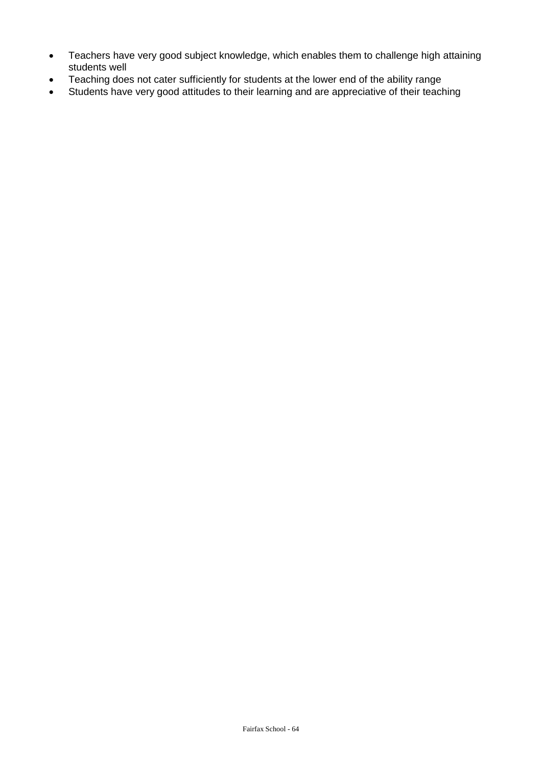- Teachers have very good subject knowledge, which enables them to challenge high attaining students well
- Teaching does not cater sufficiently for students at the lower end of the ability range
- Students have very good attitudes to their learning and are appreciative of their teaching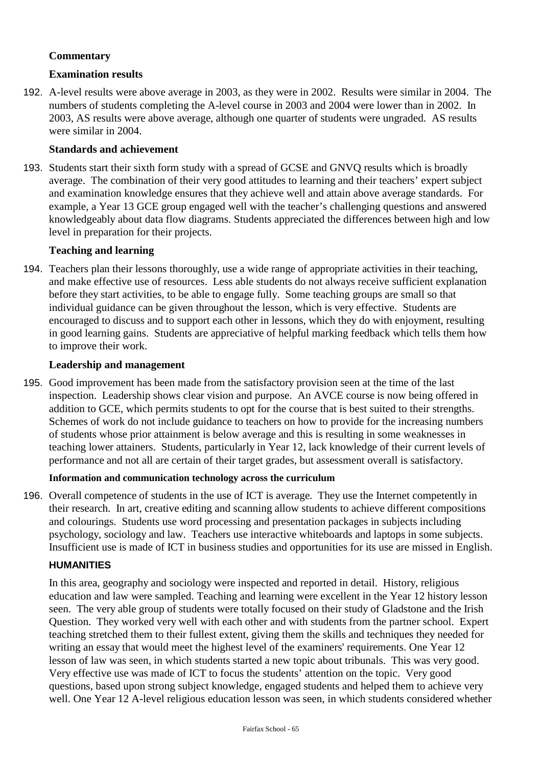## **Commentary**

### **Examination results**

192. A-level results were above average in 2003, as they were in 2002. Results were similar in 2004. The numbers of students completing the A-level course in 2003 and 2004 were lower than in 2002. In 2003, AS results were above average, although one quarter of students were ungraded. AS results were similar in 2004.

### **Standards and achievement**

193. Students start their sixth form study with a spread of GCSE and GNVQ results which is broadly average. The combination of their very good attitudes to learning and their teachers' expert subject and examination knowledge ensures that they achieve well and attain above average standards. For example, a Year 13 GCE group engaged well with the teacher's challenging questions and answered knowledgeably about data flow diagrams. Students appreciated the differences between high and low level in preparation for their projects.

#### **Teaching and learning**

194. Teachers plan their lessons thoroughly, use a wide range of appropriate activities in their teaching, and make effective use of resources. Less able students do not always receive sufficient explanation before they start activities, to be able to engage fully. Some teaching groups are small so that individual guidance can be given throughout the lesson, which is very effective. Students are encouraged to discuss and to support each other in lessons, which they do with enjoyment, resulting in good learning gains. Students are appreciative of helpful marking feedback which tells them how to improve their work.

#### **Leadership and management**

195. Good improvement has been made from the satisfactory provision seen at the time of the last inspection. Leadership shows clear vision and purpose. An AVCE course is now being offered in addition to GCE, which permits students to opt for the course that is best suited to their strengths. Schemes of work do not include guidance to teachers on how to provide for the increasing numbers of students whose prior attainment is below average and this is resulting in some weaknesses in teaching lower attainers. Students, particularly in Year 12, lack knowledge of their current levels of performance and not all are certain of their target grades, but assessment overall is satisfactory.

#### **Information and communication technology across the curriculum**

196. Overall competence of students in the use of ICT is average. They use the Internet competently in their research. In art, creative editing and scanning allow students to achieve different compositions and colourings. Students use word processing and presentation packages in subjects including psychology, sociology and law. Teachers use interactive whiteboards and laptops in some subjects. Insufficient use is made of ICT in business studies and opportunities for its use are missed in English.

## **HUMANITIES**

In this area, geography and sociology were inspected and reported in detail. History, religious education and law were sampled. Teaching and learning were excellent in the Year 12 history lesson seen. The very able group of students were totally focused on their study of Gladstone and the Irish Question. They worked very well with each other and with students from the partner school. Expert teaching stretched them to their fullest extent, giving them the skills and techniques they needed for writing an essay that would meet the highest level of the examiners' requirements. One Year 12 lesson of law was seen, in which students started a new topic about tribunals. This was very good. Very effective use was made of ICT to focus the students' attention on the topic. Very good questions, based upon strong subject knowledge, engaged students and helped them to achieve very well. One Year 12 A-level religious education lesson was seen, in which students considered whether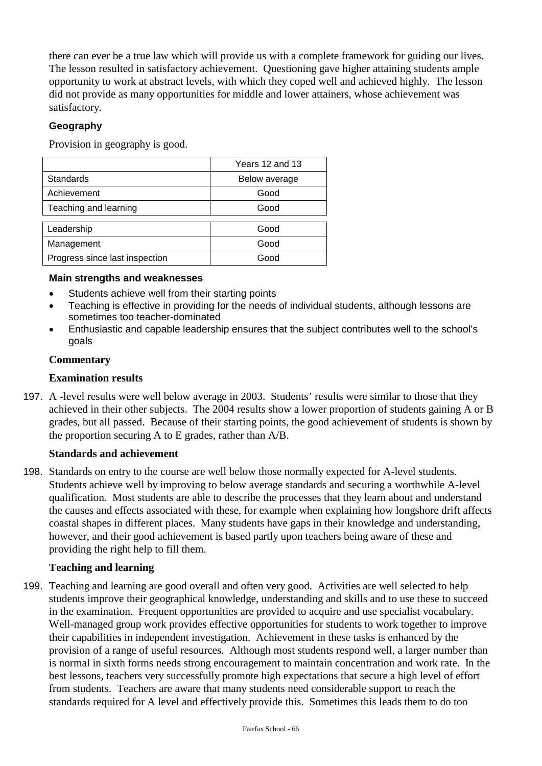there can ever be a true law which will provide us with a complete framework for guiding our lives. The lesson resulted in satisfactory achievement. Questioning gave higher attaining students ample opportunity to work at abstract levels, with which they coped well and achieved highly. The lesson did not provide as many opportunities for middle and lower attainers, whose achievement was satisfactory.

### **Geography**

Provision in geography is good.

|                                | Years 12 and 13 |
|--------------------------------|-----------------|
| <b>Standards</b>               | Below average   |
| Achievement                    | Good            |
| Teaching and learning          | Good            |
|                                |                 |
| Leadership                     | Good            |
| Management                     | Good            |
| Progress since last inspection | Good            |

#### **Main strengths and weaknesses**

- Students achieve well from their starting points
- Teaching is effective in providing for the needs of individual students, although lessons are sometimes too teacher-dominated
- Enthusiastic and capable leadership ensures that the subject contributes well to the school's goals

#### **Commentary**

#### **Examination results**

197. A -level results were well below average in 2003. Students' results were similar to those that they achieved in their other subjects. The 2004 results show a lower proportion of students gaining A or B grades, but all passed. Because of their starting points, the good achievement of students is shown by the proportion securing A to E grades, rather than A/B.

#### **Standards and achievement**

198. Standards on entry to the course are well below those normally expected for A-level students. Students achieve well by improving to below average standards and securing a worthwhile A-level qualification. Most students are able to describe the processes that they learn about and understand the causes and effects associated with these, for example when explaining how longshore drift affects coastal shapes in different places. Many students have gaps in their knowledge and understanding, however, and their good achievement is based partly upon teachers being aware of these and providing the right help to fill them.

#### **Teaching and learning**

199. Teaching and learning are good overall and often very good. Activities are well selected to help students improve their geographical knowledge, understanding and skills and to use these to succeed in the examination. Frequent opportunities are provided to acquire and use specialist vocabulary. Well-managed group work provides effective opportunities for students to work together to improve their capabilities in independent investigation. Achievement in these tasks is enhanced by the provision of a range of useful resources. Although most students respond well, a larger number than is normal in sixth forms needs strong encouragement to maintain concentration and work rate. In the best lessons, teachers very successfully promote high expectations that secure a high level of effort from students. Teachers are aware that many students need considerable support to reach the standards required for A level and effectively provide this. Sometimes this leads them to do too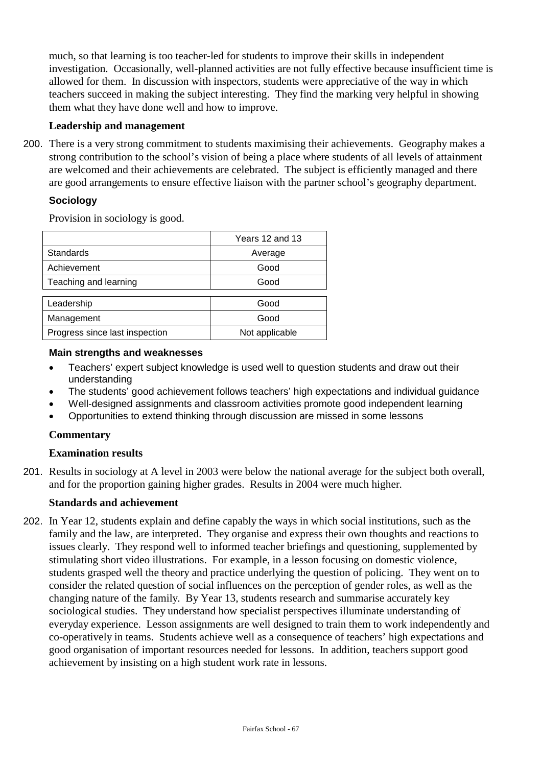much, so that learning is too teacher-led for students to improve their skills in independent investigation. Occasionally, well-planned activities are not fully effective because insufficient time is allowed for them. In discussion with inspectors, students were appreciative of the way in which teachers succeed in making the subject interesting. They find the marking very helpful in showing them what they have done well and how to improve.

## **Leadership and management**

200. There is a very strong commitment to students maximising their achievements. Geography makes a strong contribution to the school's vision of being a place where students of all levels of attainment are welcomed and their achievements are celebrated. The subject is efficiently managed and there are good arrangements to ensure effective liaison with the partner school's geography department.

### **Sociology**

Provision in sociology is good.

|                                | Years 12 and 13 |
|--------------------------------|-----------------|
| <b>Standards</b>               | Average         |
| Achievement                    | Good            |
| Teaching and learning          | Good            |
|                                |                 |
| Leadership                     | Good            |
| Management                     | Good            |
| Progress since last inspection | Not applicable  |

#### **Main strengths and weaknesses**

- Teachers' expert subject knowledge is used well to question students and draw out their understanding
- The students' good achievement follows teachers' high expectations and individual guidance
- Well-designed assignments and classroom activities promote good independent learning
- Opportunities to extend thinking through discussion are missed in some lessons

#### **Commentary**

#### **Examination results**

201. Results in sociology at A level in 2003 were below the national average for the subject both overall, and for the proportion gaining higher grades. Results in 2004 were much higher.

#### **Standards and achievement**

202. In Year 12, students explain and define capably the ways in which social institutions, such as the family and the law, are interpreted. They organise and express their own thoughts and reactions to issues clearly. They respond well to informed teacher briefings and questioning, supplemented by stimulating short video illustrations. For example, in a lesson focusing on domestic violence, students grasped well the theory and practice underlying the question of policing. They went on to consider the related question of social influences on the perception of gender roles, as well as the changing nature of the family. By Year 13, students research and summarise accurately key sociological studies. They understand how specialist perspectives illuminate understanding of everyday experience. Lesson assignments are well designed to train them to work independently and co-operatively in teams. Students achieve well as a consequence of teachers' high expectations and good organisation of important resources needed for lessons. In addition, teachers support good achievement by insisting on a high student work rate in lessons.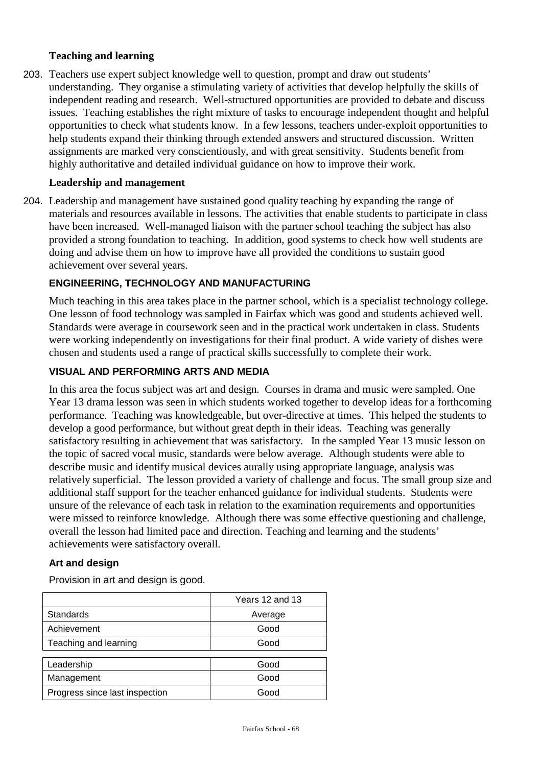### **Teaching and learning**

203. Teachers use expert subject knowledge well to question, prompt and draw out students' understanding. They organise a stimulating variety of activities that develop helpfully the skills of independent reading and research. Well-structured opportunities are provided to debate and discuss issues. Teaching establishes the right mixture of tasks to encourage independent thought and helpful opportunities to check what students know. In a few lessons, teachers under-exploit opportunities to help students expand their thinking through extended answers and structured discussion. Written assignments are marked very conscientiously, and with great sensitivity. Students benefit from highly authoritative and detailed individual guidance on how to improve their work.

### **Leadership and management**

204. Leadership and management have sustained good quality teaching by expanding the range of materials and resources available in lessons. The activities that enable students to participate in class have been increased. Well-managed liaison with the partner school teaching the subject has also provided a strong foundation to teaching. In addition, good systems to check how well students are doing and advise them on how to improve have all provided the conditions to sustain good achievement over several years.

### **ENGINEERING, TECHNOLOGY AND MANUFACTURING**

Much teaching in this area takes place in the partner school, which is a specialist technology college. One lesson of food technology was sampled in Fairfax which was good and students achieved well. Standards were average in coursework seen and in the practical work undertaken in class. Students were working independently on investigations for their final product. A wide variety of dishes were chosen and students used a range of practical skills successfully to complete their work.

#### **VISUAL AND PERFORMING ARTS AND MEDIA**

In this area the focus subject was art and design. Courses in drama and music were sampled. One Year 13 drama lesson was seen in which students worked together to develop ideas for a forthcoming performance. Teaching was knowledgeable, but over-directive at times. This helped the students to develop a good performance, but without great depth in their ideas. Teaching was generally satisfactory resulting in achievement that was satisfactory. In the sampled Year 13 music lesson on the topic of sacred vocal music, standards were below average. Although students were able to describe music and identify musical devices aurally using appropriate language, analysis was relatively superficial. The lesson provided a variety of challenge and focus. The small group size and additional staff support for the teacher enhanced guidance for individual students. Students were unsure of the relevance of each task in relation to the examination requirements and opportunities were missed to reinforce knowledge. Although there was some effective questioning and challenge, overall the lesson had limited pace and direction. Teaching and learning and the students' achievements were satisfactory overall.

### **Art and design**

Provision in art and design is good.

|                                | Years 12 and 13 |
|--------------------------------|-----------------|
| Standards                      | Average         |
| Achievement                    | Good            |
| Teaching and learning          | Good            |
|                                |                 |
| Leadership                     | Good            |
| Management                     | Good            |
| Progress since last inspection | Good            |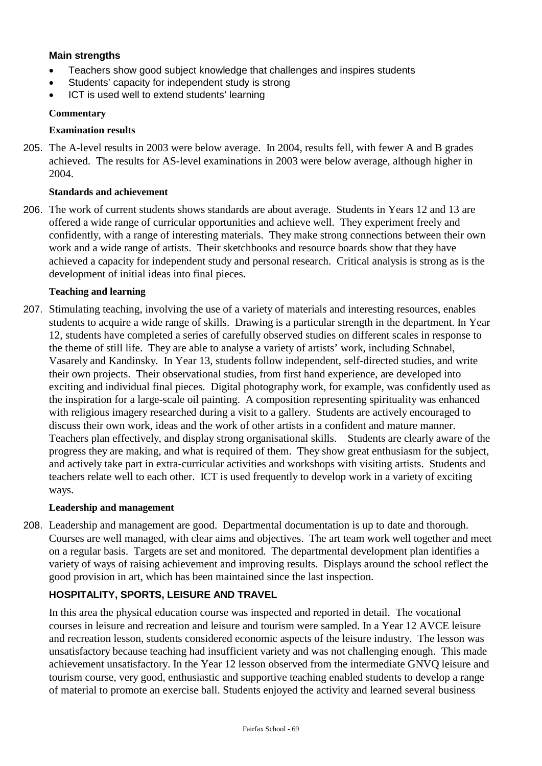### **Main strengths**

- Teachers show good subject knowledge that challenges and inspires students
- Students' capacity for independent study is strong
- ICT is used well to extend students' learning

#### **Commentary**

#### **Examination results**

205. The A-level results in 2003 were below average. In 2004, results fell, with fewer A and B grades achieved. The results for AS-level examinations in 2003 were below average, although higher in 2004.

#### **Standards and achievement**

206. The work of current students shows standards are about average. Students in Years 12 and 13 are offered a wide range of curricular opportunities and achieve well. They experiment freely and confidently, with a range of interesting materials. They make strong connections between their own work and a wide range of artists. Their sketchbooks and resource boards show that they have achieved a capacity for independent study and personal research. Critical analysis is strong as is the development of initial ideas into final pieces.

#### **Teaching and learning**

207. Stimulating teaching, involving the use of a variety of materials and interesting resources, enables students to acquire a wide range of skills. Drawing is a particular strength in the department. In Year 12, students have completed a series of carefully observed studies on different scales in response to the theme of still life. They are able to analyse a variety of artists' work, including Schnabel, Vasarely and Kandinsky. In Year 13, students follow independent, self-directed studies, and write their own projects. Their observational studies, from first hand experience, are developed into exciting and individual final pieces. Digital photography work, for example, was confidently used as the inspiration for a large-scale oil painting. A composition representing spirituality was enhanced with religious imagery researched during a visit to a gallery. Students are actively encouraged to discuss their own work, ideas and the work of other artists in a confident and mature manner. Teachers plan effectively, and display strong organisational skills. Students are clearly aware of the progress they are making, and what is required of them. They show great enthusiasm for the subject, and actively take part in extra-curricular activities and workshops with visiting artists. Students and teachers relate well to each other. ICT is used frequently to develop work in a variety of exciting ways.

#### **Leadership and management**

208. Leadership and management are good. Departmental documentation is up to date and thorough. Courses are well managed, with clear aims and objectives. The art team work well together and meet on a regular basis. Targets are set and monitored. The departmental development plan identifies a variety of ways of raising achievement and improving results. Displays around the school reflect the good provision in art, which has been maintained since the last inspection.

### **HOSPITALITY, SPORTS, LEISURE AND TRAVEL**

In this area the physical education course was inspected and reported in detail. The vocational courses in leisure and recreation and leisure and tourism were sampled. In a Year 12 AVCE leisure and recreation lesson, students considered economic aspects of the leisure industry. The lesson was unsatisfactory because teaching had insufficient variety and was not challenging enough. This made achievement unsatisfactory. In the Year 12 lesson observed from the intermediate GNVQ leisure and tourism course, very good, enthusiastic and supportive teaching enabled students to develop a range of material to promote an exercise ball. Students enjoyed the activity and learned several business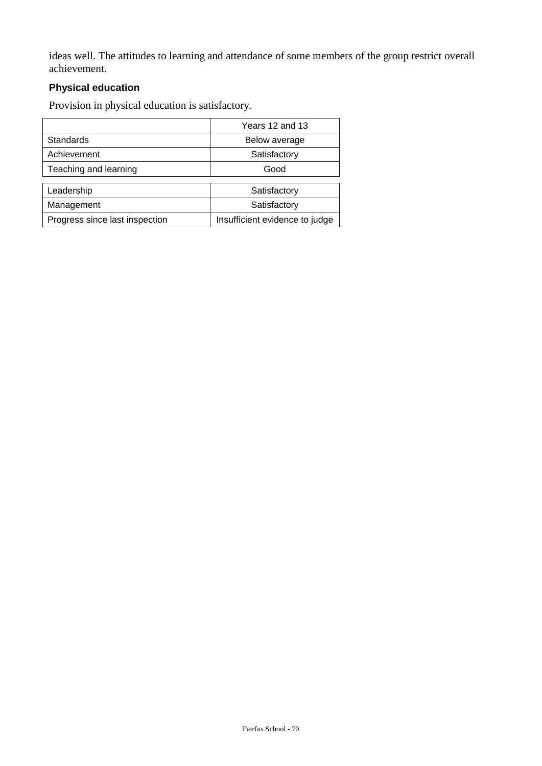ideas well. The attitudes to learning and attendance of some members of the group restrict overall achievement.

# **Physical education**

Provision in physical education is satisfactory.

|                                | Years 12 and 13                |
|--------------------------------|--------------------------------|
| Standards                      | Below average                  |
| Achievement                    | Satisfactory                   |
| Teaching and learning          | Good                           |
|                                |                                |
| Leadership                     | Satisfactory                   |
| Management                     | Satisfactory                   |
| Progress since last inspection | Insufficient evidence to judge |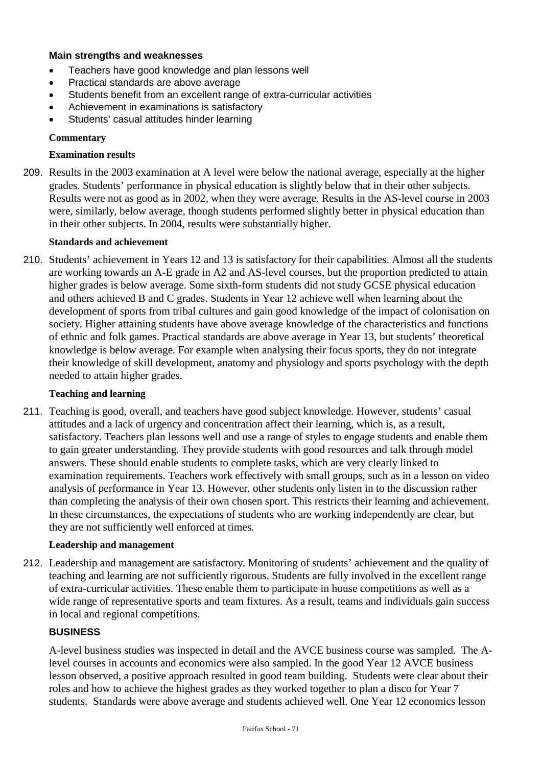### **Main strengths and weaknesses**

- Teachers have good knowledge and plan lessons well
- Practical standards are above average
- Students benefit from an excellent range of extra-curricular activities
- Achievement in examinations is satisfactory
- Students' casual attitudes hinder learning

### **Commentary**

### **Examination results**

209. Results in the 2003 examination at A level were below the national average, especially at the higher grades. Students' performance in physical education is slightly below that in their other subjects. Results were not as good as in 2002, when they were average. Results in the AS-level course in 2003 were, similarly, below average, though students performed slightly better in physical education than in their other subjects. In 2004, results were substantially higher.

#### **Standards and achievement**

210. Students' achievement in Years 12 and 13 is satisfactory for their capabilities. Almost all the students are working towards an A-E grade in A2 and AS-level courses, but the proportion predicted to attain higher grades is below average. Some sixth-form students did not study GCSE physical education and others achieved B and C grades. Students in Year 12 achieve well when learning about the development of sports from tribal cultures and gain good knowledge of the impact of colonisation on society. Higher attaining students have above average knowledge of the characteristics and functions of ethnic and folk games. Practical standards are above average in Year 13, but students' theoretical knowledge is below average. For example when analysing their focus sports, they do not integrate their knowledge of skill development, anatomy and physiology and sports psychology with the depth needed to attain higher grades.

#### **Teaching and learning**

211. Teaching is good, overall, and teachers have good subject knowledge. However, students' casual attitudes and a lack of urgency and concentration affect their learning, which is, as a result, satisfactory. Teachers plan lessons well and use a range of styles to engage students and enable them to gain greater understanding. They provide students with good resources and talk through model answers. These should enable students to complete tasks, which are very clearly linked to examination requirements. Teachers work effectively with small groups, such as in a lesson on video analysis of performance in Year 13. However, other students only listen in to the discussion rather than completing the analysis of their own chosen sport. This restricts their learning and achievement. In these circumstances, the expectations of students who are working independently are clear, but they are not sufficiently well enforced at times.

#### **Leadership and management**

212. Leadership and management are satisfactory. Monitoring of students' achievement and the quality of teaching and learning are not sufficiently rigorous. Students are fully involved in the excellent range of extra-curricular activities. These enable them to participate in house competitions as well as a wide range of representative sports and team fixtures. As a result, teams and individuals gain success in local and regional competitions.

#### **BUSINESS**

A-level business studies was inspected in detail and the AVCE business course was sampled. The Alevel courses in accounts and economics were also sampled. In the good Year 12 AVCE business lesson observed, a positive approach resulted in good team building. Students were clear about their roles and how to achieve the highest grades as they worked together to plan a disco for Year 7 students. Standards were above average and students achieved well. One Year 12 economics lesson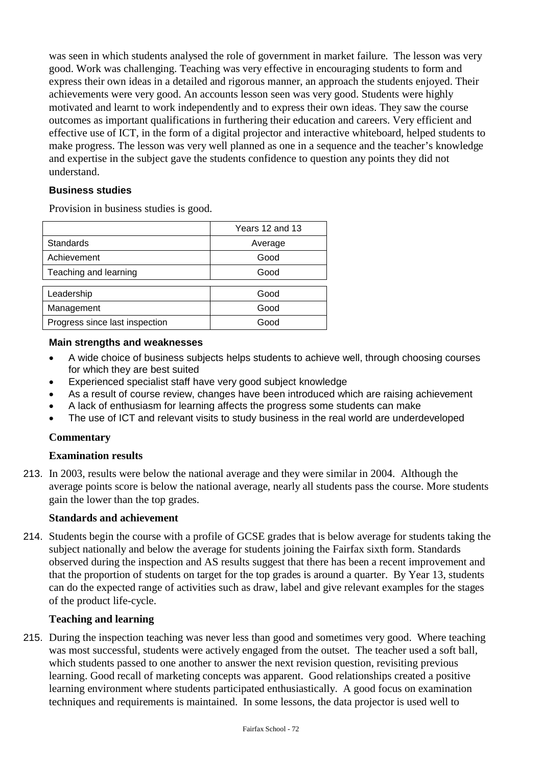was seen in which students analysed the role of government in market failure. The lesson was very good. Work was challenging. Teaching was very effective in encouraging students to form and express their own ideas in a detailed and rigorous manner, an approach the students enjoyed. Their achievements were very good. An accounts lesson seen was very good. Students were highly motivated and learnt to work independently and to express their own ideas. They saw the course outcomes as important qualifications in furthering their education and careers. Very efficient and effective use of ICT, in the form of a digital projector and interactive whiteboard, helped students to make progress. The lesson was very well planned as one in a sequence and the teacher's knowledge and expertise in the subject gave the students confidence to question any points they did not understand.

### **Business studies**

Provision in business studies is good.

|                                | Years 12 and 13 |  |
|--------------------------------|-----------------|--|
| <b>Standards</b>               | Average         |  |
| Achievement                    | Good            |  |
| Teaching and learning          | Good            |  |
|                                |                 |  |
| Leadership                     | Good            |  |
| Management                     | Good            |  |
| Progress since last inspection | Good            |  |

#### **Main strengths and weaknesses**

- A wide choice of business subjects helps students to achieve well, through choosing courses for which they are best suited
- Experienced specialist staff have very good subject knowledge
- As a result of course review, changes have been introduced which are raising achievement
- A lack of enthusiasm for learning affects the progress some students can make
- The use of ICT and relevant visits to study business in the real world are underdeveloped

## **Commentary**

#### **Examination results**

213. In 2003, results were below the national average and they were similar in 2004. Although the average points score is below the national average, nearly all students pass the course. More students gain the lower than the top grades.

#### **Standards and achievement**

214. Students begin the course with a profile of GCSE grades that is below average for students taking the subject nationally and below the average for students joining the Fairfax sixth form. Standards observed during the inspection and AS results suggest that there has been a recent improvement and that the proportion of students on target for the top grades is around a quarter. By Year 13, students can do the expected range of activities such as draw, label and give relevant examples for the stages of the product life-cycle.

#### **Teaching and learning**

215. During the inspection teaching was never less than good and sometimes very good. Where teaching was most successful, students were actively engaged from the outset. The teacher used a soft ball, which students passed to one another to answer the next revision question, revisiting previous learning. Good recall of marketing concepts was apparent. Good relationships created a positive learning environment where students participated enthusiastically. A good focus on examination techniques and requirements is maintained. In some lessons, the data projector is used well to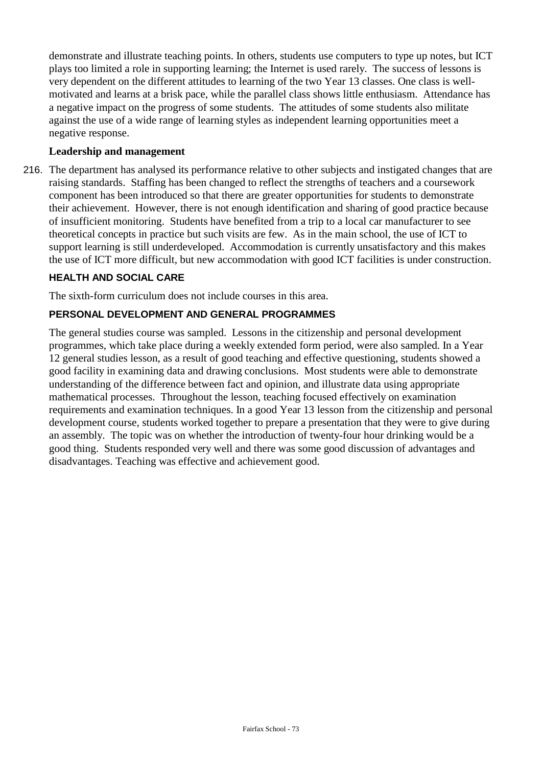demonstrate and illustrate teaching points. In others, students use computers to type up notes, but ICT plays too limited a role in supporting learning; the Internet is used rarely. The success of lessons is very dependent on the different attitudes to learning of the two Year 13 classes. One class is wellmotivated and learns at a brisk pace, while the parallel class shows little enthusiasm. Attendance has a negative impact on the progress of some students. The attitudes of some students also militate against the use of a wide range of learning styles as independent learning opportunities meet a negative response.

## **Leadership and management**

216. The department has analysed its performance relative to other subjects and instigated changes that are raising standards. Staffing has been changed to reflect the strengths of teachers and a coursework component has been introduced so that there are greater opportunities for students to demonstrate their achievement. However, there is not enough identification and sharing of good practice because of insufficient monitoring. Students have benefited from a trip to a local car manufacturer to see theoretical concepts in practice but such visits are few. As in the main school, the use of ICT to support learning is still underdeveloped. Accommodation is currently unsatisfactory and this makes the use of ICT more difficult, but new accommodation with good ICT facilities is under construction.

## **HEALTH AND SOCIAL CARE**

The sixth-form curriculum does not include courses in this area.

## **PERSONAL DEVELOPMENT AND GENERAL PROGRAMMES**

The general studies course was sampled. Lessons in the citizenship and personal development programmes, which take place during a weekly extended form period, were also sampled. In a Year 12 general studies lesson, as a result of good teaching and effective questioning, students showed a good facility in examining data and drawing conclusions. Most students were able to demonstrate understanding of the difference between fact and opinion, and illustrate data using appropriate mathematical processes. Throughout the lesson, teaching focused effectively on examination requirements and examination techniques. In a good Year 13 lesson from the citizenship and personal development course, students worked together to prepare a presentation that they were to give during an assembly. The topic was on whether the introduction of twenty-four hour drinking would be a good thing. Students responded very well and there was some good discussion of advantages and disadvantages. Teaching was effective and achievement good.